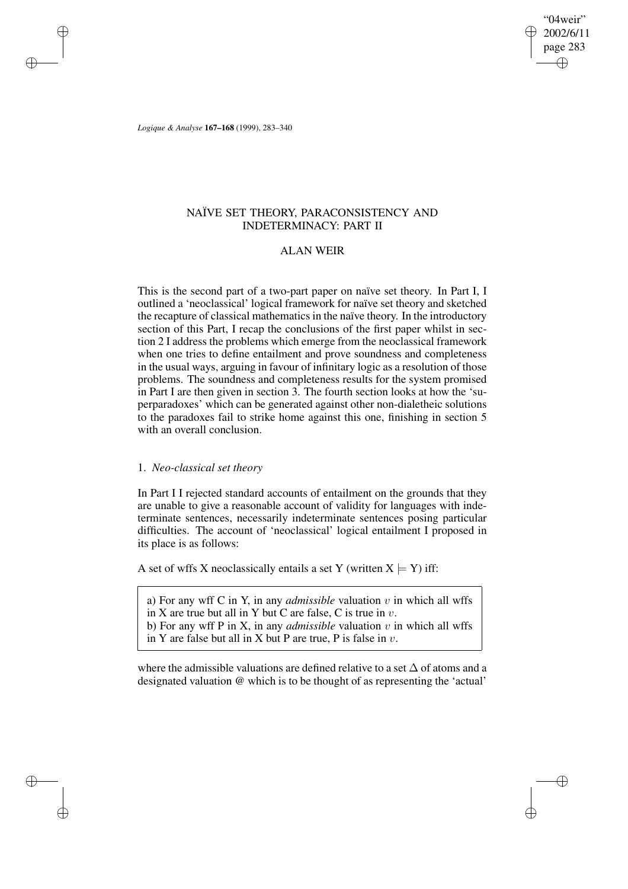"04weir" 2002/6/11 page 283 ✐ ✐

✐

✐

*Logique & Analyse* **167–168** (1999), 283–340

✐

✐

✐

✐

# NAÏVE SET THEORY, PARACONSISTENCY AND INDETERMINACY: PART II

# ALAN WEIR

This is the second part of a two-part paper on naïve set theory. In Part I, I outlined a 'neoclassical' logical framework for naïve set theory and sketched the recapture of classical mathematics in the naïve theory. In the introductory section of this Part, I recap the conclusions of the first paper whilst in section 2 I address the problems which emerge from the neoclassical framework when one tries to define entailment and prove soundness and completeness in the usual ways, arguing in favour of infinitary logic as a resolution of those problems. The soundness and completeness results for the system promised in Part I are then given in section 3. The fourth section looks at how the 'superparadoxes' which can be generated against other non-dialetheic solutions to the paradoxes fail to strike home against this one, finishing in section 5 with an overall conclusion.

### 1. *Neo-classical set theory*

In Part I I rejected standard accounts of entailment on the grounds that they are unable to give a reasonable account of validity for languages with indeterminate sentences, necessarily indeterminate sentences posing particular difficulties. The account of 'neoclassical' logical entailment I proposed in its place is as follows:

A set of wffs X neoclassically entails a set Y (written  $X \models Y$ ) iff:

a) For any wff C in Y, in any *admissible* valuation  $v$  in which all wffs in X are true but all in Y but C are false, C is true in  $v$ .

b) For any wff P in X, in any *admissible* valuation  $v$  in which all wffs

in Y are false but all in X but P are true, P is false in  $v$ .

where the admissible valuations are defined relative to a set  $\Delta$  of atoms and a designated valuation @ which is to be thought of as representing the 'actual'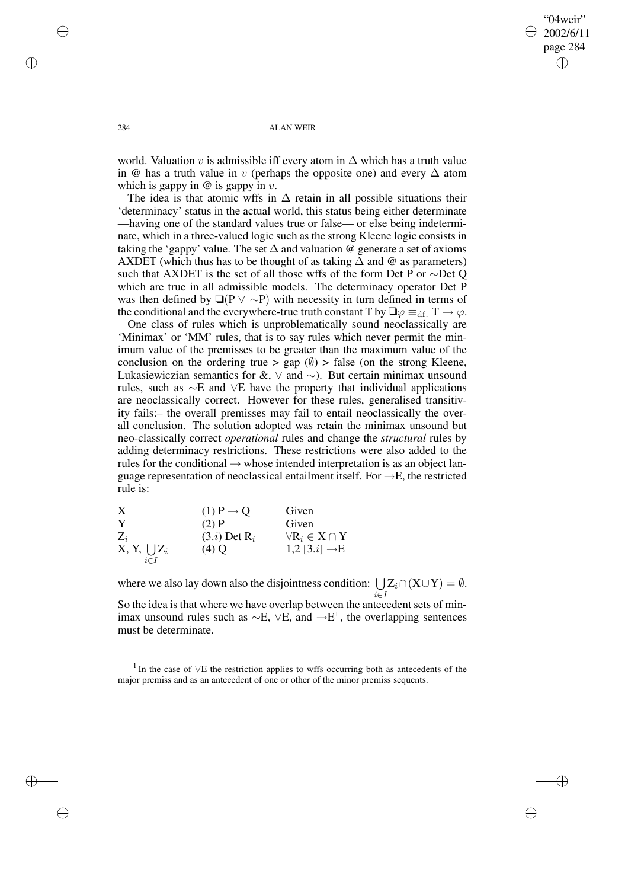$04$ weir' 2002/6/11 page 284 ✐ ✐

✐

✐

#### 284 ALAN WEIR

world. Valuation v is admissible iff every atom in  $\Delta$  which has a truth value in @ has a truth value in v (perhaps the opposite one) and every  $\Delta$  atom which is gappy in  $\omega$  is gappy in  $v$ .

The idea is that atomic wffs in  $\Delta$  retain in all possible situations their 'determinacy' status in the actual world, this status being either determinate —having one of the standard values true or false— or else being indeterminate, which in a three-valued logic such as the strong Kleene logic consists in taking the 'gappy' value. The set  $\Delta$  and valuation @ generate a set of axioms AXDET (which thus has to be thought of as taking  $\Delta$  and @ as parameters) such that AXDET is the set of all those wffs of the form Det P or ∼Det O which are true in all admissible models. The determinacy operator Det P was then defined by  $\Box (P \lor \sim P)$  with necessity in turn defined in terms of the conditional and the everywhere-true truth constant T by  $\Box \varphi \equiv_{df} T \rightarrow \varphi$ .

One class of rules which is unproblematically sound neoclassically are 'Minimax' or 'MM' rules, that is to say rules which never permit the minimum value of the premisses to be greater than the maximum value of the conclusion on the ordering true > gap  $(\emptyset)$  > false (on the strong Kleene, Lukasiewiczian semantics for  $\&$ ,  $\lor$  and  $\sim$ ). But certain minimax unsound rules, such as ∼E and ∨E have the property that individual applications are neoclassically correct. However for these rules, generalised transitivity fails:– the overall premisses may fail to entail neoclassically the overall conclusion. The solution adopted was retain the minimax unsound but neo-classically correct *operational* rules and change the *structural* rules by adding determinacy restrictions. These restrictions were also added to the rules for the conditional  $\rightarrow$  whose intended interpretation is as an object language representation of neoclassical entailment itself. For  $\rightarrow$ E, the restricted rule is:

| Х                   | $(1)$ P $\rightarrow$ Q    | Given                              |
|---------------------|----------------------------|------------------------------------|
| Y                   | $(2)$ P                    | Given                              |
| $Z_i$               | $(3.i)$ Det R <sub>i</sub> | $\forall R_i \in X \cap Y$         |
| $X, Y, \bigcup Z_i$ | $(4)$ Q                    | 1,2 [3. <i>i</i> ] $\rightarrow$ E |
| $i \in I$           |                            |                                    |

where we also lay down also the disjointness condition:  $\bigcup Z_i \cap (X \cup Y) = \emptyset$ . i∈I

So the idea is that where we have overlap between the antecedent sets of minimax unsound rules such as  $\sim$ E,  $\lor$ E, and  $\rightarrow$ E<sup>1</sup>, the overlapping sentences must be determinate.

1 In the case of ∨E the restriction applies to wffs occurring both as antecedents of the major premiss and as an antecedent of one or other of the minor premiss sequents.

✐

✐

✐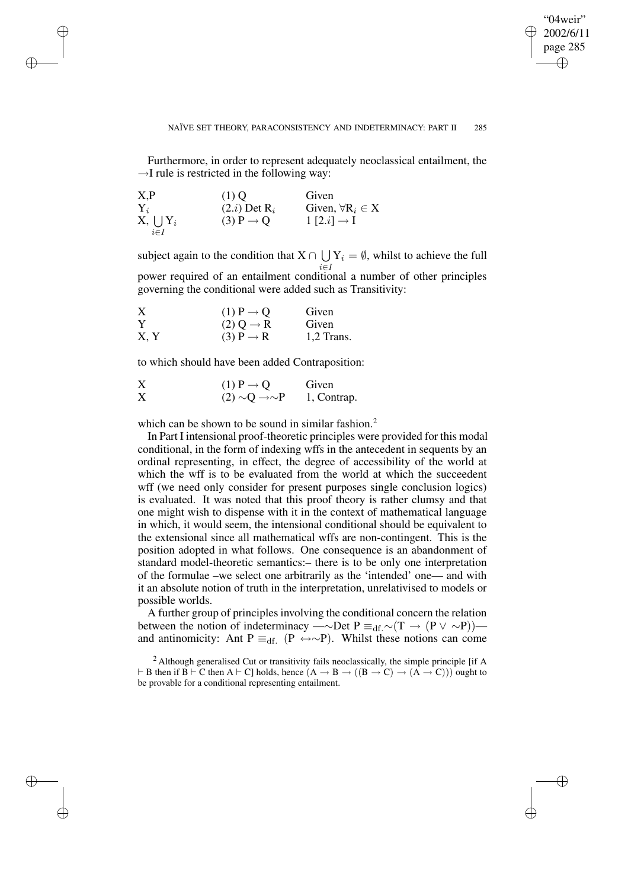✐

#### NAÏVE SET THEORY, PARACONSISTENCY AND INDETERMINACY: PART II 285

Furthermore, in order to represent adequately neoclassical entailment, the  $\rightarrow$ I rule is restricted in the following way:

| X, P             | $(1)$ O                 | Given                      |
|------------------|-------------------------|----------------------------|
| $\mathbf{Y}_i$   | $(2.i)$ Det $R_i$       | Given, $\forall R_i \in X$ |
| $X, \bigcup Y_i$ | $(3)$ P $\rightarrow$ O | $1 [2.i] \rightarrow I$    |
| $i \in I$        |                         |                            |

✐

✐

✐

✐

subject again to the condition that  $X \cap \bigcup Y_i = \emptyset$ , whilst to achieve the full i∈I power required of an entailment conditional a number of other principles governing the conditional were added such as Transitivity:

| X    | $(1)$ P $\rightarrow$ Q | Given      |
|------|-------------------------|------------|
| Y    | $(2)$ O $\rightarrow$ R | Given      |
| X, Y | $(3)$ P $\rightarrow$ R | 1,2 Trans. |

to which should have been added Contraposition:

X (1) 
$$
P \rightarrow Q
$$
 Given  
\n $(2) \sim Q \rightarrow \sim P$  1, Contrap.

which can be shown to be sound in similar fashion.<sup>2</sup>

In Part I intensional proof-theoretic principles were provided for this modal conditional, in the form of indexing wffs in the antecedent in sequents by an ordinal representing, in effect, the degree of accessibility of the world at which the wff is to be evaluated from the world at which the succeedent wff (we need only consider for present purposes single conclusion logics) is evaluated. It was noted that this proof theory is rather clumsy and that one might wish to dispense with it in the context of mathematical language in which, it would seem, the intensional conditional should be equivalent to the extensional since all mathematical wffs are non-contingent. This is the position adopted in what follows. One consequence is an abandonment of standard model-theoretic semantics:– there is to be only one interpretation of the formulae –we select one arbitrarily as the 'intended' one— and with it an absolute notion of truth in the interpretation, unrelativised to models or possible worlds.

A further group of principles involving the conditional concern the relation between the notion of indeterminacy —∼Det P  $\equiv_{df}$ .∼(T → (P  $\lor$  ~P)) and antinomicity: Ant P  $\equiv_{df} (P \leftrightarrow \sim P)$ . Whilst these notions can come

<sup>2</sup> Although generalised Cut or transitivity fails neoclassically, the simple principle [if A  $\vdash$  B then if B  $\vdash$  C then A  $\vdash$  C] holds, hence  $(A \rightarrow B \rightarrow ((B \rightarrow C) \rightarrow (A \rightarrow C)))$  ought to be provable for a conditional representing entailment.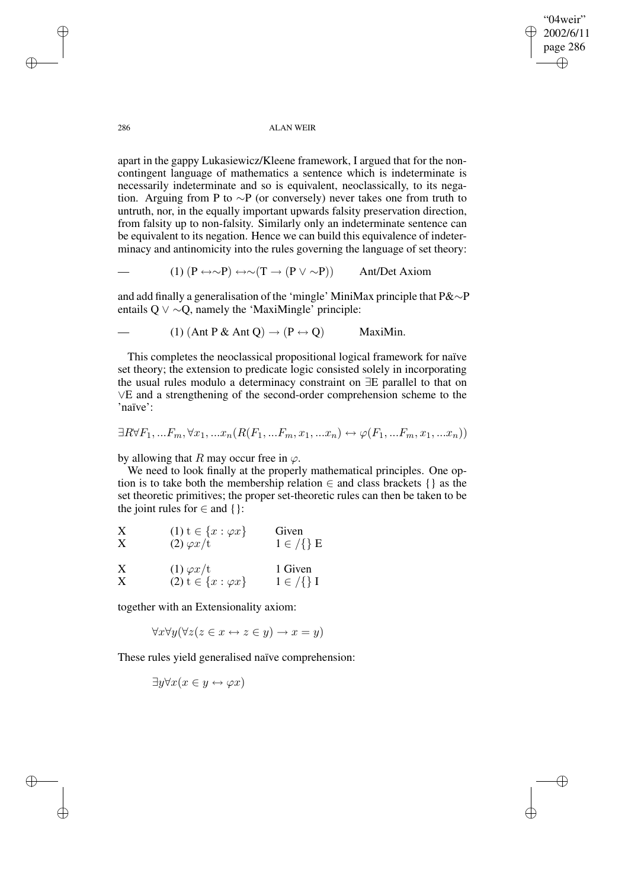✐

#### 286 ALAN WEIR

apart in the gappy Lukasiewicz/Kleene framework, I argued that for the noncontingent language of mathematics a sentence which is indeterminate is necessarily indeterminate and so is equivalent, neoclassically, to its negation. Arguing from P to ∼P (or conversely) never takes one from truth to untruth, nor, in the equally important upwards falsity preservation direction, from falsity up to non-falsity. Similarly only an indeterminate sentence can be equivalent to its negation. Hence we can build this equivalence of indeterminacy and antinomicity into the rules governing the language of set theory:

(1)  $(P \leftrightarrow \sim P) \leftrightarrow \sim (T \rightarrow (P \vee \sim P))$  Ant/Det Axiom

and add finally a generalisation of the 'mingle' MiniMax principle that P&∼P entails Q  $\vee$  ∼Q, namely the 'MaxiMingle' principle:

(1)  $(Ant P & Ant O) \rightarrow (P \leftrightarrow O)$  MaxiMin.

This completes the neoclassical propositional logical framework for naïve set theory; the extension to predicate logic consisted solely in incorporating the usual rules modulo a determinacy constraint on ∃E parallel to that on ∨E and a strengthening of the second-order comprehension scheme to the 'naïve':

$$
\exists R \forall F_1, \dots F_m, \forall x_1, \dots x_n (R(F_1, \dots F_m, x_1, \dots x_n) \leftrightarrow \varphi(F_1, \dots F_m, x_1, \dots x_n))
$$

by allowing that R may occur free in  $\varphi$ .

We need to look finally at the properly mathematical principles. One option is to take both the membership relation  $\in$  and class brackets { } as the set theoretic primitives; the proper set-theoretic rules can then be taken to be the joint rules for  $\in$  and {}:

| X | $(1)$ $t \in \{x : \varphi x\}$ | Given                 |
|---|---------------------------------|-----------------------|
| Х | $(2) \varphi x/t$               | $1 \in \mathcal{G}$ E |
|   |                                 |                       |

| X | $(1) \varphi x/t$             | 1 Given               |
|---|-------------------------------|-----------------------|
| X | $(2) t \in \{x : \varphi x\}$ | $1 \in \mathcal{G}$ I |

together with an Extensionality axiom:

 $\forall x \forall y (\forall z (z \in x \leftrightarrow z \in y) \rightarrow x = y)$ 

These rules yield generalised naïve comprehension:

$$
\exists y \forall x (x \in y \leftrightarrow \varphi x)
$$

✐

✐

✐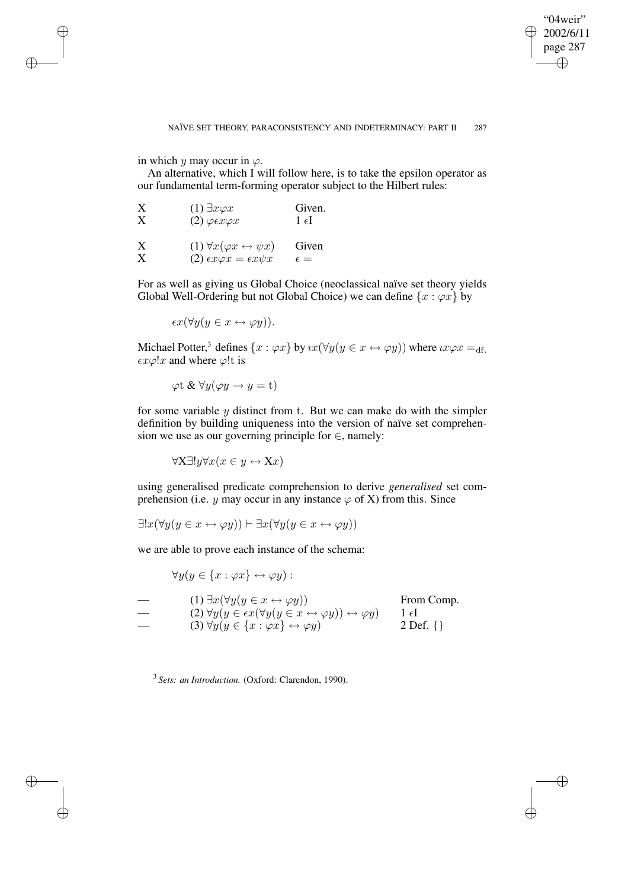✐

#### NAÏVE SET THEORY, PARACONSISTENCY AND INDETERMINACY: PART II 287

in which  $\psi$  may occur in  $\varphi$ .

✐

✐

✐

✐

An alternative, which I will follow here, is to take the epsilon operator as our fundamental term-forming operator subject to the Hilbert rules:

| X | $(1) \exists x \varphi x$                          | Given.         |
|---|----------------------------------------------------|----------------|
| X | $(2) \varphi \in \mathcal{X} \varphi \mathcal{X}$  | $1 \epsilon I$ |
| X | $(1) \forall x (\varphi x \leftrightarrow \psi x)$ | Given          |
| X | (2) $\epsilon x \varphi x = \epsilon x \psi x$     | $\epsilon =$   |

For as well as giving us Global Choice (neoclassical naïve set theory yields Global Well-Ordering but not Global Choice) we can define  $\{x : \varphi x\}$  by

 $\epsilon x(\forall y(y \in x \leftrightarrow \varphi y)).$ 

Michael Potter,<sup>3</sup> defines  $\{x:\varphi x\}$  by  $\iota x(\forall y(y\in x\leftrightarrow \varphi y))$  where  $\iota x \varphi x =_{\mathrm{df.}}$  $\epsilon x \varphi!x$  and where  $\varphi!$ t is

 $\varphi$ t &  $\forall y (\varphi y \rightarrow y = t)$ 

for some variable  $y$  distinct from t. But we can make do with the simpler definition by building uniqueness into the version of naïve set comprehension we use as our governing principle for  $\in$ , namely:

 $\forall X \exists ! y \forall x (x \in y \leftrightarrow Xx)$ 

using generalised predicate comprehension to derive *generalised* set comprehension (i.e. y may occur in any instance  $\varphi$  of X) from this. Since

$$
\exists! x (\forall y (y \in x \leftrightarrow \varphi y)) \vdash \exists x (\forall y (y \in x \leftrightarrow \varphi y))
$$

we are able to prove each instance of the schema:

 $\forall y(y \in \{x : \varphi x\} \leftrightarrow \varphi y)$ :  $\longrightarrow$  (1) ∃x( $\forall y(y \in x \leftrightarrow \varphi y)$ ) From Comp.  $\longrightarrow$  (2)  $\forall y(y \in \epsilon x (\forall y(y \in x \leftrightarrow \varphi y)) \leftrightarrow \varphi y)$  1  $\epsilon$ I — (3) ∀y(y ∈ {x :  $\varphi x$ } ↔  $\varphi y$ ) 2 Def. {}

3 *Sets: an Introduction.* (Oxford: Clarendon, 1990).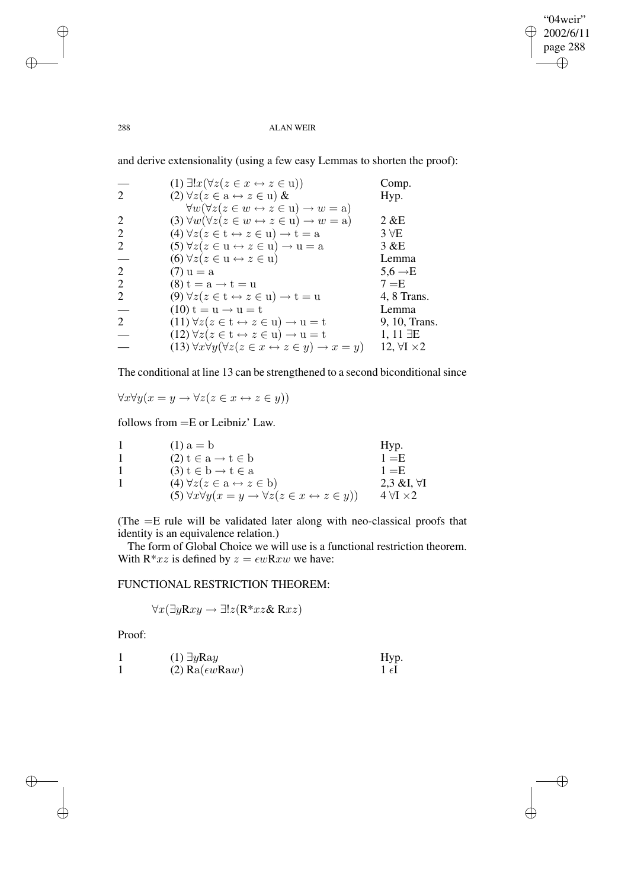✐

#### 288 ALAN WEIR

and derive extensionality (using a few easy Lemmas to shorten the proof):

|                             | $(1) \exists! x (\forall z (z \in x \leftrightarrow z \in u))$                             | Comp.                    |
|-----------------------------|--------------------------------------------------------------------------------------------|--------------------------|
| 2                           | $(2) \forall z (z \in \mathbf{a} \leftrightarrow z \in \mathbf{u}) \&$                     | Hyp.                     |
|                             | $\forall w (\forall z (z \in w \leftrightarrow z \in u) \rightarrow w = a)$                |                          |
| 2                           | (3) $\forall w (\forall z (z \in w \leftrightarrow z \in u) \rightarrow w = a)$            | $2 \& E$                 |
|                             | $(4) \forall z (z \in t \leftrightarrow z \in u) \rightarrow t = a$                        | $3 \forall E$            |
|                             | $(5) \forall z (z \in u \leftrightarrow z \in u) \rightarrow u = a$                        | 3 & E                    |
|                             | $(6) \forall z (z \in u \leftrightarrow z \in u)$                                          | Lemma                    |
| 2                           | $(7) u = a$                                                                                | $5.6 \rightarrow E$      |
| 2                           | $(8) t = a \rightarrow t = u$                                                              | $7 = E$                  |
|                             | $(9) \forall z (z \in t \leftrightarrow z \in u) \rightarrow t = u$                        | 4, 8 Trans.              |
|                             | $(10) t = u \rightarrow u = t$                                                             | Lemma                    |
| $\mathcal{D}_{\mathcal{L}}$ | $(11) \forall z (z \in t \leftrightarrow z \in u) \rightarrow u = t$                       | 9, 10, Trans.            |
|                             | $(12) \forall z (z \in t \leftrightarrow z \in u) \rightarrow u = t$                       | $1, 11 \exists E$        |
|                             | (13) $\forall x \forall y (\forall z (z \in x \leftrightarrow z \in y) \rightarrow x = y)$ | 12, $\forall I \times 2$ |

The conditional at line 13 can be strengthened to a second biconditional since

$$
\forall x \forall y (x = y \rightarrow \forall z (z \in x \leftrightarrow z \in y))
$$

follows from =E or Leibniz' Law.

| $(1) a = b$                                                                               | Hyp.                   |
|-------------------------------------------------------------------------------------------|------------------------|
| $(2) t \in a \rightarrow t \in b$                                                         | $1 = E$                |
| $(3) t \in b \rightarrow t \in a$                                                         | $1 = E$                |
| $(4) \forall z (z \in a \leftrightarrow z \in b)$                                         | 2,3 &I, $\forall$ I    |
| (5) $\forall x \forall y (x = y \rightarrow \forall z (z \in x \leftrightarrow z \in y))$ | $4 \forall I \times 2$ |

(The =E rule will be validated later along with neo-classical proofs that identity is an equivalence relation.)

The form of Global Choice we will use is a functional restriction theorem. With R\*xz is defined by  $z = \epsilon wRxw$  we have:

# FUNCTIONAL RESTRICTION THEOREM:

$$
\forall x (\exists y Rxy \rightarrow \exists! z (R^* xz \& Rxz)
$$

Proof:

✐

✐

1 (1) 
$$
\exists y \text{Ray}
$$
 Hyp.  
1 (2)  $\text{Ra}(\epsilon w \text{Raw})$  1  $\epsilon I$ 

✐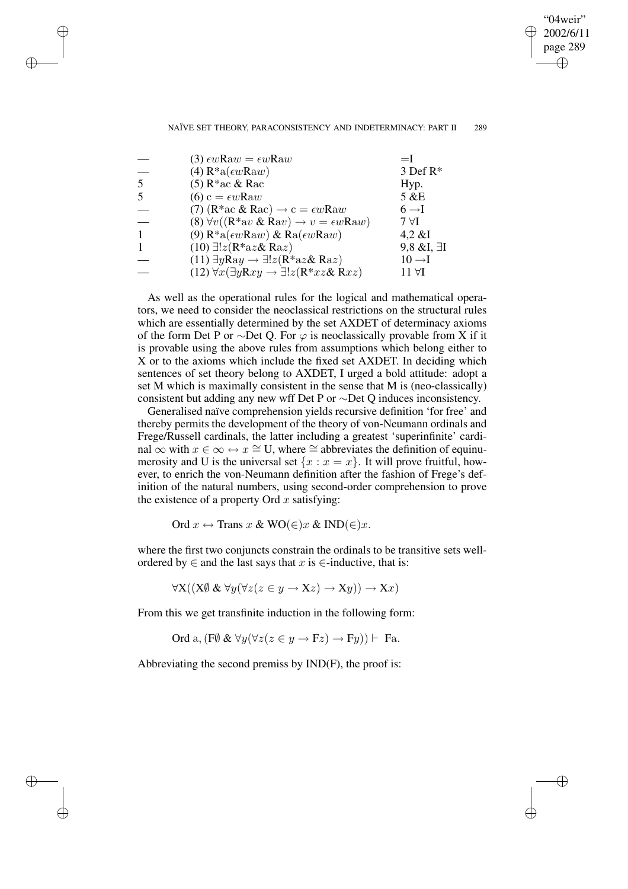"04weir" 2002/6/11 page 289 ✐ ✐

✐

#### NAÏVE SET THEORY, PARACONSISTENCY AND INDETERMINACY: PART II 289

|   | $(3) \epsilon w$ Ra $w = \epsilon w$ Raw                                                                           | $=$ $\mathsf{I}$      |
|---|--------------------------------------------------------------------------------------------------------------------|-----------------------|
|   | $(4)$ R <sup>*</sup> a $(\epsilon w$ Raw)                                                                          | 3 Def R*              |
| 5 | $(5)$ R <sup>*</sup> ac & Rac                                                                                      | Hyp.                  |
|   | $(6) c = \epsilon w$ Raw                                                                                           | 5 &E                  |
|   | (7) ( $R^*$ ac & $R$ ac) $\rightarrow$ c = $\epsilon w$ Raw                                                        | $6 \rightarrow I$     |
|   | (8) $\forall v ((\mathbb{R}^* \text{av} \& \mathbb{R} \text{av}) \rightarrow v = \epsilon w \mathbb{R} \text{aw})$ | $7 \forall I$         |
|   | (9) $R^*a(\epsilon w Raw)$ & $Ra(\epsilon w Raw)$                                                                  | $4,2 \& I$            |
|   | $(10) \exists ! z (R^*az \& Ra z)$                                                                                 | $9,8 \& I, \exists I$ |
|   | $(11) \exists y \text{Ray} \rightarrow \exists ! z (\text{R}^* a z \& \text{R} a z)$                               | $10 \rightarrow I$    |
|   | $(12) \forall x (\exists y Rxy \rightarrow \exists ! z (R^* xz \& Rxz)$                                            | $11 \forall I$        |

✐

✐

✐

✐

As well as the operational rules for the logical and mathematical operators, we need to consider the neoclassical restrictions on the structural rules which are essentially determined by the set AXDET of determinacy axioms of the form Det P or ∼Det Q. For  $\varphi$  is neoclassically provable from X if it is provable using the above rules from assumptions which belong either to X or to the axioms which include the fixed set AXDET. In deciding which sentences of set theory belong to AXDET, I urged a bold attitude: adopt a set M which is maximally consistent in the sense that M is (neo-classically) consistent but adding any new wff Det P or ∼Det Q induces inconsistency.

Generalised naïve comprehension yields recursive definition 'for free' and thereby permits the development of the theory of von-Neumann ordinals and Frege/Russell cardinals, the latter including a greatest 'superinfinite' cardinal ∞ with  $x \in \infty \leftrightarrow x \cong U$ , where  $\cong$  abbreviates the definition of equinumerosity and U is the universal set  $\{x : x = x\}$ . It will prove fruitful, however, to enrich the von-Neumann definition after the fashion of Frege's definition of the natural numbers, using second-order comprehension to prove the existence of a property Ord  $x$  satisfying:

Ord  $x \leftrightarrow$  Trans  $x \& \text{WO}(\in) x \& \text{IND}(\in) x$ .

where the first two conjuncts constrain the ordinals to be transitive sets wellordered by  $\in$  and the last says that x is  $\in$ -inductive, that is:

 $\forall X((X \emptyset \& \forall y (\forall z (z \in y \rightarrow Xz) \rightarrow Xy)) \rightarrow Xx)$ 

From this we get transfinite induction in the following form:

Ord a, 
$$
(\overline{F}\emptyset \& \forall y(\forall z(z \in y \rightarrow Fz) \rightarrow Fy)) \vdash Fa.
$$

Abbreviating the second premiss by IND(F), the proof is: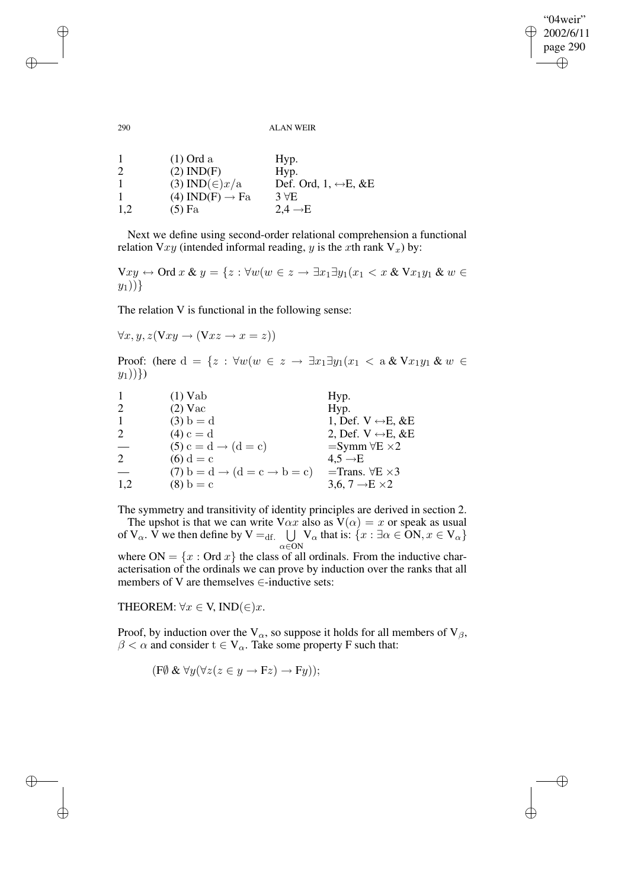"04weir" 2002/6/11 page 290 ✐ ✐

 $\oplus$ 

✐

#### 290 ALAN WEIR

| -1  | $(1)$ Ord a                 | Hyp.                                  |
|-----|-----------------------------|---------------------------------------|
| 2   | $(2)$ IND(F)                | Hyp.                                  |
|     | (3) IND( $\in$ ) $x/a$      | Def. Ord, $1, \leftrightarrow E, \&E$ |
|     | $(4) IND(F) \rightarrow Fa$ | $3 \forall E$                         |
| 1,2 | $(5)$ Fa                    | $2,4 \rightarrow E$                   |

Next we define using second-order relational comprehension a functional relation Vxy (intended informal reading, y is the xth rank  $V_x$ ) by:

 $Vxy \leftrightarrow$  Ord  $x \& y = \{z : \forall w (w \in z \rightarrow \exists x_1 \exists y_1 (x_1 < x \& Vx_1y_1 \& w \in z \rightarrow \exists x_2 \forall y_1 \forall x_2 \in z \land y_2z_1z_2 \}$  $y_1$ ))}

The relation V is functional in the following sense:

$$
\forall x, y, z(\nabla xy \to (\nabla xz \to x = z))
$$

Proof: (here  $d = \{z : \forall w (w \in z \rightarrow \exists x_1 \exists y_1 (x_1 < a \& Vx_1y_1 \& w \in z) \}$  $(y_1)\$ )

| $\mathbf{1}$ | $(1)$ Vab                                         | Hyp.                               |
|--------------|---------------------------------------------------|------------------------------------|
| 2            | $(2)$ Vac                                         | Hyp.                               |
| $\mathbf{1}$ | $(3) b = d$                                       | 1, Def. $V \leftrightarrow E$ , &E |
| 2            | $(4) c = d$                                       | 2, Def. $V \leftrightarrow E$ , &E |
|              | $(5) c = d \rightarrow (d = c)$                   | $=$ Symm $\forall E \times 2$      |
| 2            | $(6) d = c$                                       | $4.5 \rightarrow E$                |
|              | $(7) b = d \rightarrow (d = c \rightarrow b = c)$ | =Trans. $\forall E \times 3$       |
| 1,2          | $(8) b = c$                                       | 3,6, 7 $\rightarrow$ E $\times$ 2  |

The symmetry and transitivity of identity principles are derived in section 2.

The upshot is that we can write  $V\alpha x$  also as  $V(\alpha) = x$  or speak as usual of V<sub> $\alpha$ </sub>. V we then define by V =<sub>df.</sub>  $\bigcup$  $\alpha \in \overline{ON}$ V<sub> $\alpha$ </sub> that is:  $\{x : \exists \alpha \in ON, x \in V_{\alpha}\}\$ where  $ON = \{x : Ord x\}$  the class of all ordinals. From the inductive characterisation of the ordinals we can prove by induction over the ranks that all

THEOREM:  $\forall x \in V$ , IND( $\in$ )x.

Proof, by induction over the  $V_{\alpha}$ , so suppose it holds for all members of  $V_{\beta}$ ,  $\beta < \alpha$  and consider  $t \in V_\alpha$ . Take some property F such that:

$$
(\mathbf{F}\emptyset \& \forall y(\forall z(z\in y\rightarrow \mathbf{F}z)\rightarrow \mathbf{F}y));
$$

members of V are themselves  $\in$ -inductive sets:

✐

✐

✐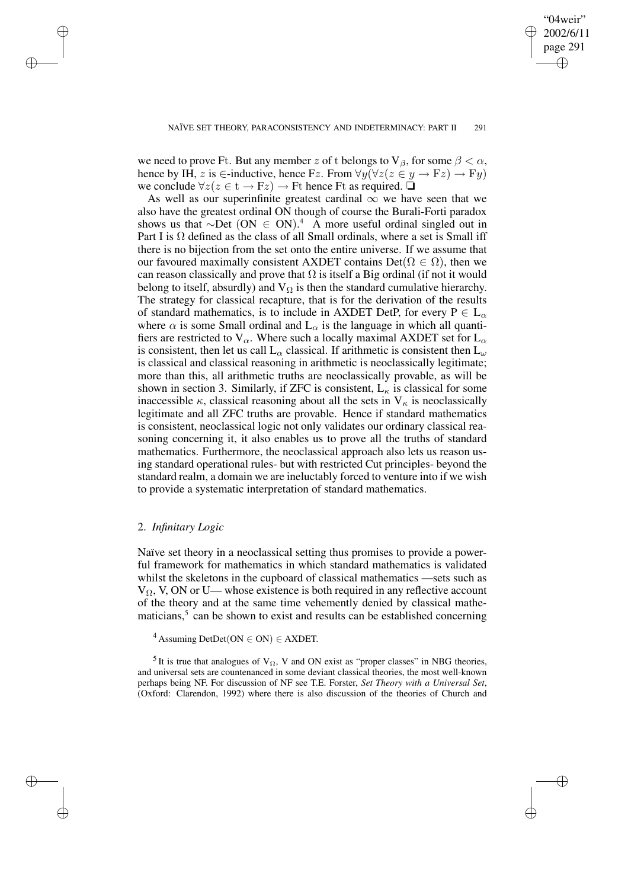✐

we need to prove Ft. But any member z of t belongs to  $V_\beta$ , for some  $\beta < \alpha$ , hence by IH, z is  $\in$ -inductive, hence Fz. From  $\forall y (\forall z (z \in y \rightarrow Fz) \rightarrow Fy)$ we conclude  $\forall z(z \in t \rightarrow Fz) \rightarrow Ft$  hence Ft as required.  $\Box$ 

As well as our superinfinite greatest cardinal  $\infty$  we have seen that we also have the greatest ordinal ON though of course the Burali-Forti paradox shows us that  $\sim$ Det (ON ∈ ON).<sup>4</sup> A more useful ordinal singled out in Part I is  $\Omega$  defined as the class of all Small ordinals, where a set is Small iff there is no bijection from the set onto the entire universe. If we assume that our favoured maximally consistent AXDET contains Det( $\Omega \in \Omega$ ), then we can reason classically and prove that  $\Omega$  is itself a Big ordinal (if not it would belong to itself, absurdly) and  $V_{\Omega}$  is then the standard cumulative hierarchy. The strategy for classical recapture, that is for the derivation of the results of standard mathematics, is to include in AXDET DetP, for every  $P \in L_{\alpha}$ where  $\alpha$  is some Small ordinal and  $L_{\alpha}$  is the language in which all quantifiers are restricted to  $V_\alpha$ . Where such a locally maximal AXDET set for  $L_\alpha$ is consistent, then let us call  $L_{\alpha}$  classical. If arithmetic is consistent then  $L_{\omega}$ is classical and classical reasoning in arithmetic is neoclassically legitimate; more than this, all arithmetic truths are neoclassically provable, as will be shown in section 3. Similarly, if ZFC is consistent,  $L_{\kappa}$  is classical for some inaccessible  $\kappa$ , classical reasoning about all the sets in  $V_{\kappa}$  is neoclassically legitimate and all ZFC truths are provable. Hence if standard mathematics is consistent, neoclassical logic not only validates our ordinary classical reasoning concerning it, it also enables us to prove all the truths of standard mathematics. Furthermore, the neoclassical approach also lets us reason using standard operational rules- but with restricted Cut principles- beyond the standard realm, a domain we are ineluctably forced to venture into if we wish to provide a systematic interpretation of standard mathematics.

### 2. *Infinitary Logic*

✐

✐

✐

✐

Naïve set theory in a neoclassical setting thus promises to provide a powerful framework for mathematics in which standard mathematics is validated whilst the skeletons in the cupboard of classical mathematics —sets such as  $V_{\Omega}$ , V, ON or U— whose existence is both required in any reflective account of the theory and at the same time vehemently denied by classical mathematicians,<sup>5</sup> can be shown to exist and results can be established concerning

 $4$  Assuming DetDet(ON  $\in$  ON)  $\in$  AXDET.

<sup>5</sup> It is true that analogues of  $V_{\Omega}$ , V and ON exist as "proper classes" in NBG theories, and universal sets are countenanced in some deviant classical theories, the most well-known perhaps being NF. For discussion of NF see T.E. Forster, *Set Theory with a Universal Set*, (Oxford: Clarendon, 1992) where there is also discussion of the theories of Church and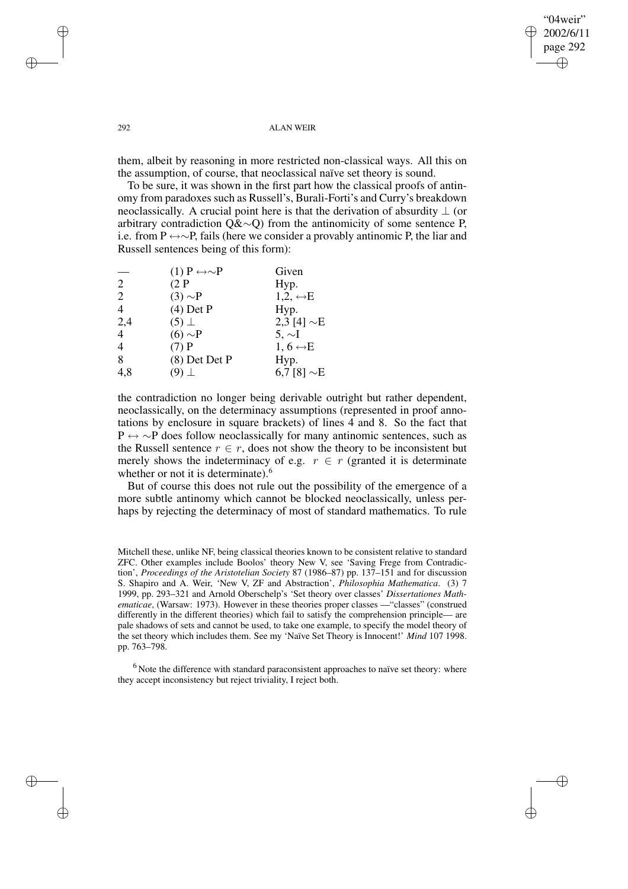$04$ weir" 2002/6/11 page 292 ✐ ✐

✐

#### 292 ALAN WEIR

them, albeit by reasoning in more restricted non-classical ways. All this on the assumption, of course, that neoclassical naïve set theory is sound.

To be sure, it was shown in the first part how the classical proofs of antinomy from paradoxes such as Russell's, Burali-Forti's and Curry's breakdown neoclassically. A crucial point here is that the derivation of absurdity  $\perp$  (or arbitrary contradiction Q&∼Q) from the antinomicity of some sentence P, i.e. from P ↔∼P, fails (here we consider a provably antinomic P, the liar and Russell sentences being of this form):

|                | $(1)$ P $\leftrightarrow \sim P$ | Given                    |
|----------------|----------------------------------|--------------------------|
| 2              | (2P)                             | Hyp.                     |
| 2              | $(3) \sim P$                     | $1,2,\leftrightarrow E$  |
| $\overline{4}$ | $(4)$ Det P                      | Hyp.                     |
| 2,4            | $(5)$ $\perp$                    | 2,3 [4] $\sim$ E         |
| $\overline{4}$ | $(6) \sim P$                     | $5, \sim$ I              |
| $\overline{4}$ | $(7)$ P                          | 1, 6 $\leftrightarrow$ E |
| 8              | (8) Det Det P                    | Hyp.                     |
| 4,8            | (9) $\perp$                      | 6,7 [8] $\sim$ E         |

the contradiction no longer being derivable outright but rather dependent, neoclassically, on the determinacy assumptions (represented in proof annotations by enclosure in square brackets) of lines 4 and 8. So the fact that P ↔ ∼P does follow neoclassically for many antinomic sentences, such as the Russell sentence  $r \in r$ , does not show the theory to be inconsistent but merely shows the indeterminacy of e.g.  $r \in r$  (granted it is determinate whether or not it is determinate).<sup>6</sup>

But of course this does not rule out the possibility of the emergence of a more subtle antinomy which cannot be blocked neoclassically, unless perhaps by rejecting the determinacy of most of standard mathematics. To rule

<sup>6</sup> Note the difference with standard paraconsistent approaches to naïve set theory: where they accept inconsistency but reject triviality, I reject both.

✐

✐

✐

Mitchell these, unlike NF, being classical theories known to be consistent relative to standard ZFC. Other examples include Boolos' theory New V, see 'Saving Frege from Contradiction', *Proceedings of the Aristotelian Society* 87 (1986–87) pp. 137–151 and for discussion S. Shapiro and A. Weir, 'New V, ZF and Abstraction', *Philosophia Mathematica*. (3) 7 1999, pp. 293–321 and Arnold Oberschelp's 'Set theory over classes' *Dissertationes Mathematicae*, (Warsaw: 1973). However in these theories proper classes —"classes" (construed differently in the different theories) which fail to satisfy the comprehension principle— are pale shadows of sets and cannot be used, to take one example, to specify the model theory of the set theory which includes them. See my 'Naïve Set Theory is Innocent!' *Mind* 107 1998. pp. 763–798.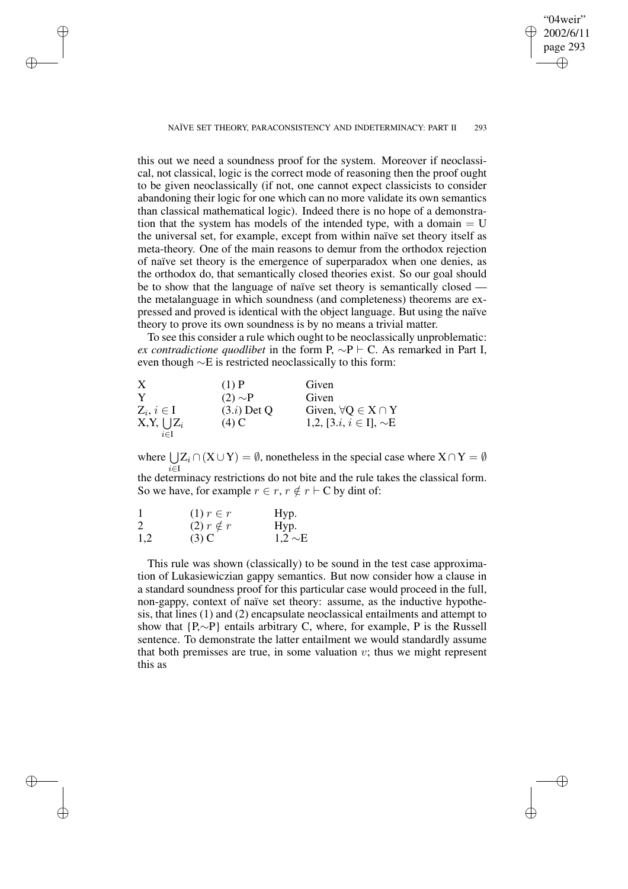NAÏVE SET THEORY, PARACONSISTENCY AND INDETERMINACY: PART II 293

 $04$ weir" 2002/6/11 page 293

✐

✐

✐

✐

this out we need a soundness proof for the system. Moreover if neoclassical, not classical, logic is the correct mode of reasoning then the proof ought to be given neoclassically (if not, one cannot expect classicists to consider abandoning their logic for one which can no more validate its own semantics than classical mathematical logic). Indeed there is no hope of a demonstration that the system has models of the intended type, with a domain  $= U$ the universal set, for example, except from within naïve set theory itself as meta-theory. One of the main reasons to demur from the orthodox rejection of naïve set theory is the emergence of superparadox when one denies, as the orthodox do, that semantically closed theories exist. So our goal should be to show that the language of naïve set theory is semantically closed the metalanguage in which soundness (and completeness) theorems are expressed and proved is identical with the object language. But using the naïve theory to prove its own soundness is by no means a trivial matter.

To see this consider a rule which ought to be neoclassically unproblematic: *ex contradictione quodlibet* in the form P,  $\sim P \vdash C$ . As remarked in Part I, even though ∼E is restricted neoclassically to this form:

| X               | $(1)$ P       | Given                                     |
|-----------------|---------------|-------------------------------------------|
| Y               | $(2) \sim P$  | Given                                     |
| $Z_i, i \in I$  | $(3.i)$ Det Q | Given, $\forall Q \in X \cap Y$           |
| $X,Y, \cup Z_i$ | $(4)$ C       | 1,2, [3. <i>i</i> , $i \in I$ ], $\sim E$ |
| $i \in I$       |               |                                           |

where  $\bigcup$ i∈I  $Z_i \cap (X \cup Y) = \emptyset$ , nonetheless in the special case where  $X \cap Y = \emptyset$ the determinacy restrictions do not bite and the rule takes the classical form. So we have, for example  $r \in r$ ,  $r \notin r \vdash C$  by dint of:

| $\mathbf{1}$ | $(1)$ $r \in r$    | Hyp.         |
|--------------|--------------------|--------------|
| 2            | $(2)$ $r \notin r$ | Hyp.         |
| 1,2          | $(3)$ C            | $1,2 \sim E$ |

✐

✐

✐

✐

This rule was shown (classically) to be sound in the test case approximation of Lukasiewiczian gappy semantics. But now consider how a clause in a standard soundness proof for this particular case would proceed in the full, non-gappy, context of naïve set theory: assume, as the inductive hypothesis, that lines (1) and (2) encapsulate neoclassical entailments and attempt to show that {P,∼P} entails arbitrary C, where, for example, P is the Russell sentence. To demonstrate the latter entailment we would standardly assume that both premisses are true, in some valuation  $v$ ; thus we might represent this as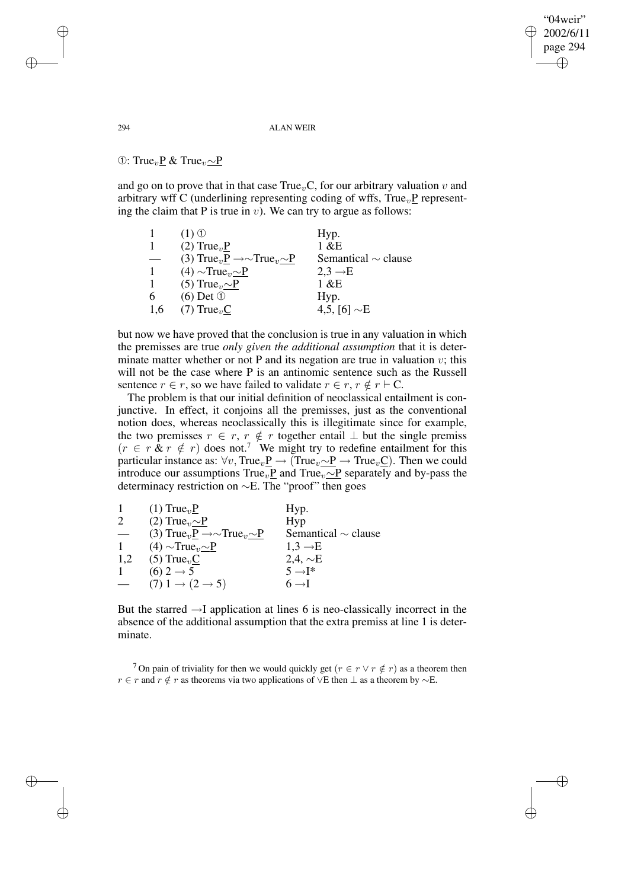"04weir" 2002/6/11 page 294 ✐ ✐

✐

✐

294 ALAN WEIR

①: True<sub>v</sub>P & True<sub>v</sub>∼P

and go on to prove that in that case  $True<sub>v</sub>C$ , for our arbitrary valuation v and arbitrary wff C (underlining representing coding of wffs,  $True<sub>v</sub>P$  representing the claim that P is true in  $v$ ). We can try to argue as follows:

|     | $(1)$ $\circled{1}$                                                   | Hyp.                     |
|-----|-----------------------------------------------------------------------|--------------------------|
|     | $(2)$ True <sub>n</sub> $P$                                           | $1 \& E$                 |
|     | (3) True <sub>v</sub> P $\rightarrow \sim$ True <sub>v</sub> $\sim$ P | Semantical $\sim$ clause |
| 1.  | $(4) \sim True_v \sim P$                                              | $2,3 \rightarrow E$      |
|     | (5) True <sub><math>v</math></sub> $\sim$ P                           | 1 &E                     |
| 6   | $(6)$ Det $\odot$                                                     | Hyp.                     |
| 1.6 | $(7)$ True <sub>v</sub> C                                             | 4,5, [6] $\sim$ E        |

but now we have proved that the conclusion is true in any valuation in which the premisses are true *only given the additional assumption* that it is determinate matter whether or not P and its negation are true in valuation  $v$ ; this will not be the case where P is an antinomic sentence such as the Russell sentence  $r \in r$ , so we have failed to validate  $r \in r$ ,  $r \notin r \vdash C$ .

The problem is that our initial definition of neoclassical entailment is conjunctive. In effect, it conjoins all the premisses, just as the conventional notion does, whereas neoclassically this is illegitimate since for example, the two premisses  $r \in r$ ,  $r \notin r$  together entail  $\perp$  but the single premiss  $(r \in r \& r \notin r)$  does not.<sup>7</sup> We might try to redefine entailment for this particular instance as:  $\forall v$ , True<sub>v</sub> $P \rightarrow (True_{v} \sim P \rightarrow True_{v} C)$ . Then we could introduce our assumptions True<sub>v</sub><sub>P</sub> and True<sub>v</sub> $~\sim$ P separately and by-pass the determinacy restriction on ∼E. The "proof" then goes

|   | $(1)$ True <sub>v</sub> $P$                                           | Hyp.                     |
|---|-----------------------------------------------------------------------|--------------------------|
| 2 | (2) True <sub>v</sub> $\sim P$                                        | Hyp                      |
|   | (3) True <sub>v</sub> P $\rightarrow \sim$ True <sub>v</sub> $\sim$ P | Semantical $\sim$ clause |
|   | $(4) \sim True_{v} \sim P$                                            | $1,3 \rightarrow E$      |
|   | 1,2 (5) True <sub>v</sub> C                                           | 2,4, $\sim$ E            |
|   | $(6)$ 2 $\rightarrow$ 5                                               | $5 \rightarrow$ T*       |
|   | $(7)$ 1 $\rightarrow$ (2 $\rightarrow$ 5)                             | $6 \rightarrow I$        |
|   |                                                                       |                          |

But the starred  $\rightarrow$ I application at lines 6 is neo-classically incorrect in the absence of the additional assumption that the extra premiss at line 1 is determinate.

<sup>7</sup> On pain of triviality for then we would quickly get  $(r \in r \lor r \notin r)$  as a theorem then  $r \in r$  and  $r \notin r$  as theorems via two applications of ∨E then  $\perp$  as a theorem by  $\sim$ E.

✐

✐

✐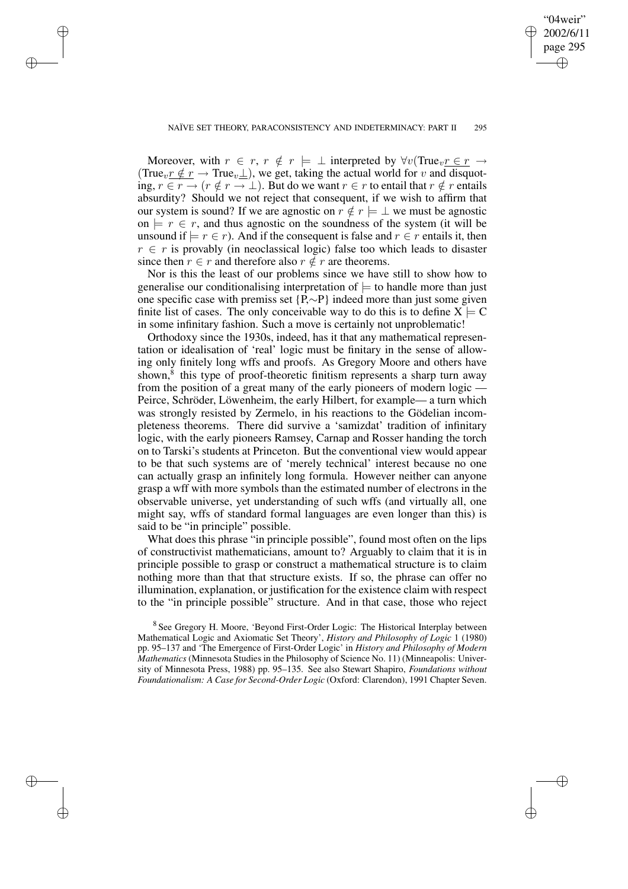✐

✐

✐

✐

✐

Moreover, with  $r \in r$ ,  $r \notin r \models \bot$  interpreted by  $\forall v$ (True<sub>v</sub> $r \in r \rightarrow$ (True<sub>v</sub> $r \notin r \to \text{True}_{v}$ ), we get, taking the actual world for v and disquoting,  $r \in r \to (r \notin r \to \perp)$ . But do we want  $r \in r$  to entail that  $r \notin r$  entails absurdity? Should we not reject that consequent, if we wish to affirm that our system is sound? If we are agnostic on  $r \notin r \models \bot$  we must be agnostic on  $\models r \in r$ , and thus agnostic on the soundness of the system (it will be unsound if  $\models r \in r$ ). And if the consequent is false and  $r \in r$  entails it, then  $r \in r$  is provably (in neoclassical logic) false too which leads to disaster since then  $r \in r$  and therefore also  $r \notin r$  are theorems.

Nor is this the least of our problems since we have still to show how to generalise our conditionalising interpretation of  $\models$  to handle more than just one specific case with premiss set {P,∼P} indeed more than just some given finite list of cases. The only conceivable way to do this is to define  $X \models C$ in some infinitary fashion. Such a move is certainly not unproblematic!

Orthodoxy since the 1930s, indeed, has it that any mathematical representation or idealisation of 'real' logic must be finitary in the sense of allowing only finitely long wffs and proofs. As Gregory Moore and others have shown,<sup>8</sup> this type of proof-theoretic finitism represents a sharp turn away from the position of a great many of the early pioneers of modern logic — Peirce, Schröder, Löwenheim, the early Hilbert, for example— a turn which was strongly resisted by Zermelo, in his reactions to the Gödelian incompleteness theorems. There did survive a 'samizdat' tradition of infinitary logic, with the early pioneers Ramsey, Carnap and Rosser handing the torch on to Tarski's students at Princeton. But the conventional view would appear to be that such systems are of 'merely technical' interest because no one can actually grasp an infinitely long formula. However neither can anyone grasp a wff with more symbols than the estimated number of electrons in the observable universe, yet understanding of such wffs (and virtually all, one might say, wffs of standard formal languages are even longer than this) is said to be "in principle" possible.

What does this phrase "in principle possible", found most often on the lips of constructivist mathematicians, amount to? Arguably to claim that it is in principle possible to grasp or construct a mathematical structure is to claim nothing more than that that structure exists. If so, the phrase can offer no illumination, explanation, or justification for the existence claim with respect to the "in principle possible" structure. And in that case, those who reject

<sup>&</sup>lt;sup>8</sup> See Gregory H. Moore, 'Beyond First-Order Logic: The Historical Interplay between Mathematical Logic and Axiomatic Set Theory', *History and Philosophy of Logic* 1 (1980) pp. 95–137 and 'The Emergence of First-Order Logic' in *History and Philosophy of Modern Mathematics* (Minnesota Studies in the Philosophy of Science No. 11) (Minneapolis: University of Minnesota Press, 1988) pp. 95–135. See also Stewart Shapiro, *Foundations without Foundationalism: A Case for Second-Order Logic* (Oxford: Clarendon), 1991 Chapter Seven.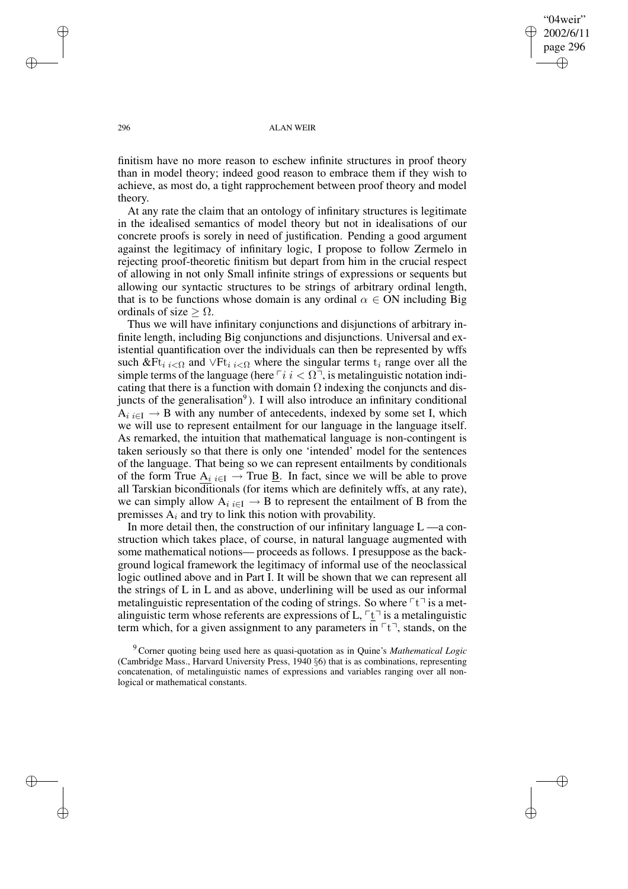"04weir" 2002/6/11 page 296 ✐ ✐

✐

✐

#### 296 ALAN WEIR

finitism have no more reason to eschew infinite structures in proof theory than in model theory; indeed good reason to embrace them if they wish to achieve, as most do, a tight rapprochement between proof theory and model theory.

At any rate the claim that an ontology of infinitary structures is legitimate in the idealised semantics of model theory but not in idealisations of our concrete proofs is sorely in need of justification. Pending a good argument against the legitimacy of infinitary logic, I propose to follow Zermelo in rejecting proof-theoretic finitism but depart from him in the crucial respect of allowing in not only Small infinite strings of expressions or sequents but allowing our syntactic structures to be strings of arbitrary ordinal length, that is to be functions whose domain is any ordinal  $\alpha \in ON$  including Big ordinals of size  $\geq \Omega$ .

Thus we will have infinitary conjunctions and disjunctions of arbitrary infinite length, including Big conjunctions and disjunctions. Universal and existential quantification over the individuals can then be represented by wffs such &Ft<sub>i i<Ω</sub> and  $\forall$ Ft<sub>i i<Ω</sub> where the singular terms t<sub>i</sub> range over all the simple terms of the language (here  $\lceil i \rceil$  is metalinguistic notation indicating that there is a function with domain  $\Omega$  indexing the conjuncts and disjuncts of the generalisation<sup>9</sup>). I will also introduce an infinitary conditional  $A_{i i \in I} \rightarrow B$  with any number of antecedents, indexed by some set I, which we will use to represent entailment for our language in the language itself. As remarked, the intuition that mathematical language is non-contingent is taken seriously so that there is only one 'intended' model for the sentences of the language. That being so we can represent entailments by conditionals of the form True  $A_i$  <sub>i∈I</sub>  $\rightarrow$  True <u>B</u>. In fact, since we will be able to prove all Tarskian biconditionals (for items which are definitely wffs, at any rate), we can simply allow  $A_i_{i \in I} \to B$  to represent the entailment of B from the premisses  $A_i$  and try to link this notion with provability.

In more detail then, the construction of our infinitary language  $L$  —a construction which takes place, of course, in natural language augmented with some mathematical notions— proceeds as follows. I presuppose as the background logical framework the legitimacy of informal use of the neoclassical logic outlined above and in Part I. It will be shown that we can represent all the strings of L in L and as above, underlining will be used as our informal metalinguistic representation of the coding of strings. So where  $\lceil \cdot \rceil$  is a metalinguistic term whose referents are expressions of L,  $\lceil \frac{t}{k} \rceil$  is a metalinguistic term which, for a given assignment to any parameters in  $\lceil t \rceil$ , stands, on the

✐

✐

✐

<sup>9</sup> Corner quoting being used here as quasi-quotation as in Quine's *Mathematical Logic* (Cambridge Mass., Harvard University Press, 1940 §6) that is as combinations, representing concatenation, of metalinguistic names of expressions and variables ranging over all nonlogical or mathematical constants.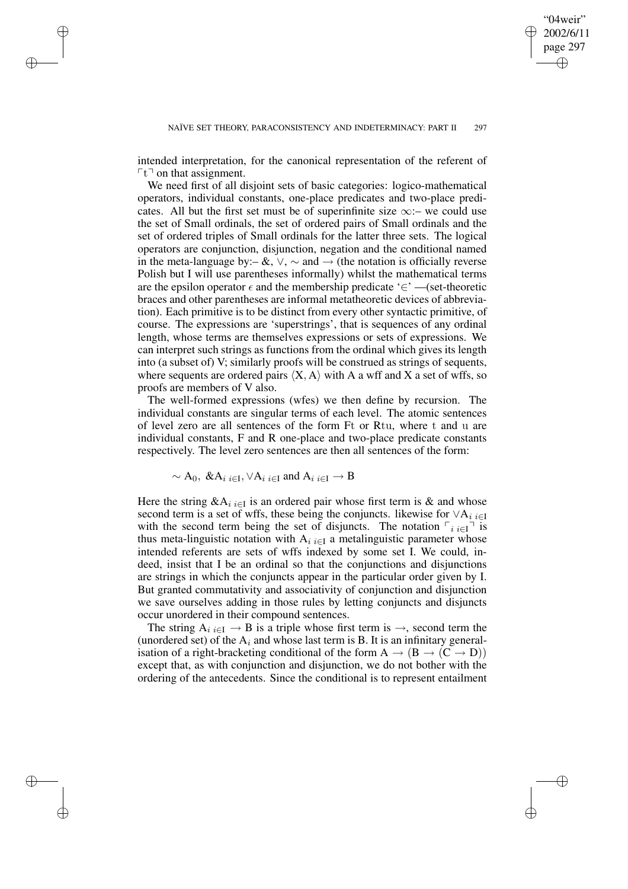✐

intended interpretation, for the canonical representation of the referent of  $\lceil t \rceil$  on that assignment.

✐

✐

✐

✐

We need first of all disjoint sets of basic categories: logico-mathematical operators, individual constants, one-place predicates and two-place predicates. All but the first set must be of superinfinite size  $\infty$ :– we could use the set of Small ordinals, the set of ordered pairs of Small ordinals and the set of ordered triples of Small ordinals for the latter three sets. The logical operators are conjunction, disjunction, negation and the conditional named in the meta-language by:– &,  $\vee$ ,  $\sim$  and  $\rightarrow$  (the notation is officially reverse Polish but I will use parentheses informally) whilst the mathematical terms are the epsilon operator  $\epsilon$  and the membership predicate '∈' —(set-theoretic braces and other parentheses are informal metatheoretic devices of abbreviation). Each primitive is to be distinct from every other syntactic primitive, of course. The expressions are 'superstrings', that is sequences of any ordinal length, whose terms are themselves expressions or sets of expressions. We can interpret such strings as functions from the ordinal which gives its length into (a subset of) V; similarly proofs will be construed as strings of sequents, where sequents are ordered pairs  $\langle X, A \rangle$  with A a wff and X a set of wffs, so proofs are members of V also.

The well-formed expressions (wfes) we then define by recursion. The individual constants are singular terms of each level. The atomic sentences of level zero are all sentences of the form Ft or Rtu, where t and u are individual constants, F and R one-place and two-place predicate constants respectively. The level zero sentences are then all sentences of the form:

$$
\sim
$$
 A<sub>0</sub>, & A<sub>i i∈I</sub>,  $\forall$ A<sub>i i∈I</sub> and A<sub>i i∈I</sub>  $\rightarrow$  B

Here the string  $\&$ A<sub>i i∈I</sub> is an ordered pair whose first term is  $&$  and whose second term is a set of wffs, these being the conjuncts. likewise for  $\vee A_i$  i∈I with the second term being the set of disjuncts. The notation  $\lceil i \cdot i \in I \rceil$  is thus meta-linguistic notation with  $A_i_{i \in I}$  a metalinguistic parameter whose intended referents are sets of wffs indexed by some set I. We could, indeed, insist that I be an ordinal so that the conjunctions and disjunctions are strings in which the conjuncts appear in the particular order given by I. But granted commutativity and associativity of conjunction and disjunction we save ourselves adding in those rules by letting conjuncts and disjuncts occur unordered in their compound sentences.

The string  $A_i_{i \in I} \to B$  is a triple whose first term is  $\to$ , second term the (unordered set) of the  $A_i$  and whose last term is B. It is an infinitary generalisation of a right-bracketing conditional of the form  $A \rightarrow (B \rightarrow (C \rightarrow D))$ except that, as with conjunction and disjunction, we do not bother with the ordering of the antecedents. Since the conditional is to represent entailment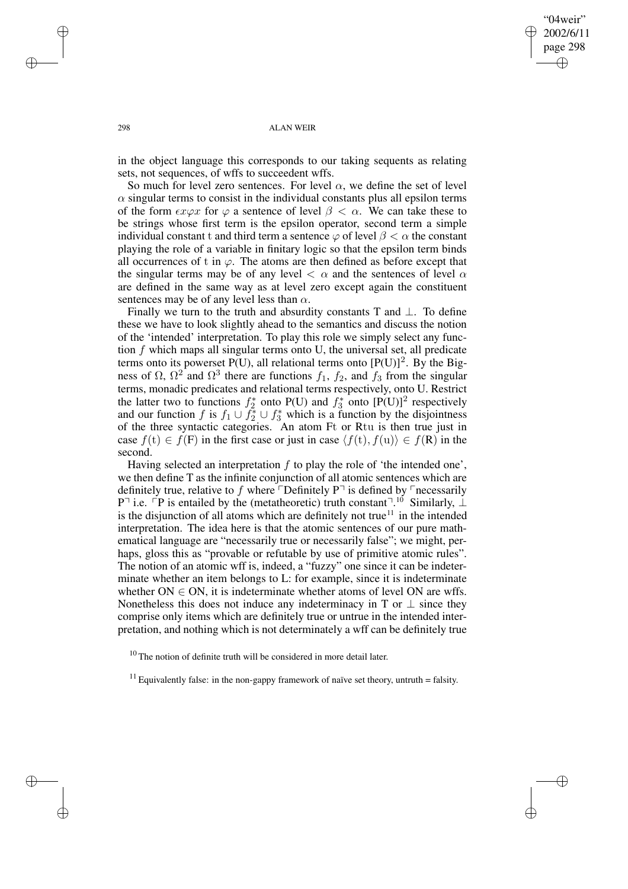✐

#### 298 ALAN WEIR

in the object language this corresponds to our taking sequents as relating sets, not sequences, of wffs to succeedent wffs.

So much for level zero sentences. For level  $\alpha$ , we define the set of level  $\alpha$  singular terms to consist in the individual constants plus all epsilon terms of the form  $\epsilon x \varphi x$  for  $\varphi$  a sentence of level  $\beta < \alpha$ . We can take these to be strings whose first term is the epsilon operator, second term a simple individual constant t and third term a sentence  $\varphi$  of level  $\beta < \alpha$  the constant playing the role of a variable in finitary logic so that the epsilon term binds all occurrences of t in  $\varphi$ . The atoms are then defined as before except that the singular terms may be of any level  $\langle \alpha \rangle$  and the sentences of level  $\alpha$ are defined in the same way as at level zero except again the constituent sentences may be of any level less than  $\alpha$ .

Finally we turn to the truth and absurdity constants T and  $\bot$ . To define these we have to look slightly ahead to the semantics and discuss the notion of the 'intended' interpretation. To play this role we simply select any function  $f$  which maps all singular terms onto U, the universal set, all predicate terms onto its powerset  $P(U)$ , all relational terms onto  $[P(U)]^2$ . By the Bigness of  $\Omega$ ,  $\Omega^2$  and  $\Omega^3$  there are functions  $f_1$ ,  $f_2$ , and  $f_3$  from the singular terms, monadic predicates and relational terms respectively, onto U. Restrict the latter two to functions  $f_2^*$  $f_2^*$  onto P(U) and  $f_3^*$  $3^*$  onto  $[P(U)]^2$  respectively and our function f is  $f_1 \cup f_2^* \cup f_3^*$  which is a function by the disjointness of the three syntactic categories. An atom Ft or Rtu is then true just in case  $f(t) \in f(F)$  in the first case or just in case  $\langle f(t), f(u) \rangle \in f(R)$  in the second.

Having selected an interpretation  $f$  to play the role of 'the intended one', we then define T as the infinite conjunction of all atomic sentences which are definitely true, relative to f where  $\ulcorner$  Definitely P $\urcorner$  is defined by  $\ulcorner$  necessarily P<sup> $\exists$ </sup> i.e.  $\overline{P}$  is entailed by the (metatheoretic) truth constant $\overline{\neg}$ .<sup>10</sup> Similarly, ⊥ is the disjunction of all atoms which are definitely not true<sup>11</sup> in the intended interpretation. The idea here is that the atomic sentences of our pure mathematical language are "necessarily true or necessarily false"; we might, perhaps, gloss this as "provable or refutable by use of primitive atomic rules". The notion of an atomic wff is, indeed, a "fuzzy" one since it can be indeterminate whether an item belongs to L: for example, since it is indeterminate whether  $ON \in ON$ , it is indeterminate whether atoms of level ON are wffs. Nonetheless this does not induce any indeterminacy in T or  $\perp$  since they comprise only items which are definitely true or untrue in the intended interpretation, and nothing which is not determinately a wff can be definitely true

✐

✐

✐

 $10$  The notion of definite truth will be considered in more detail later.

<sup>&</sup>lt;sup>11</sup> Equivalently false: in the non-gappy framework of naïve set theory, untruth = falsity.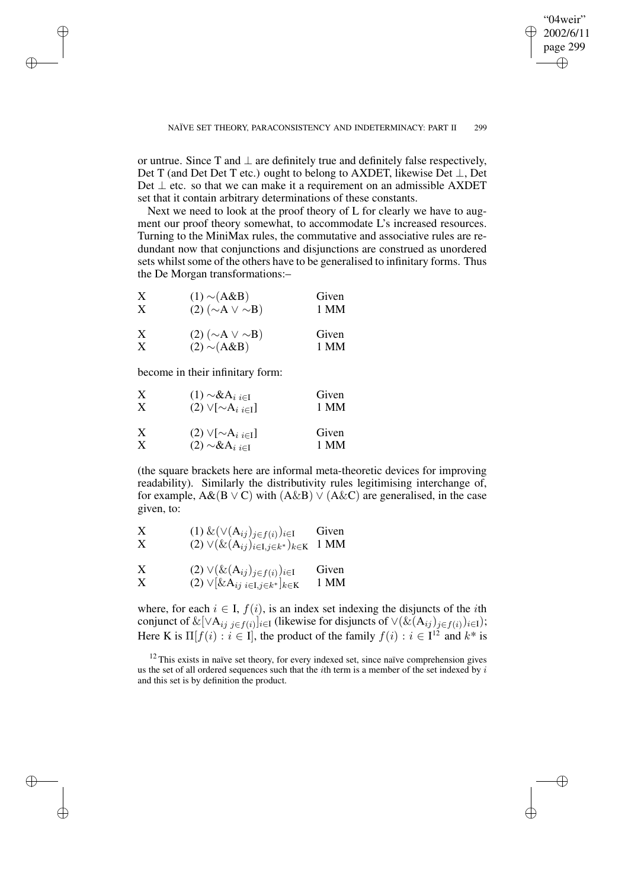✐

or untrue. Since T and  $\perp$  are definitely true and definitely false respectively. Det T (and Det Det T etc.) ought to belong to AXDET, likewise Det ⊥, Det Det  $\perp$  etc. so that we can make it a requirement on an admissible AXDET set that it contain arbitrary determinations of these constants.

Next we need to look at the proof theory of L for clearly we have to augment our proof theory somewhat, to accommodate L's increased resources. Turning to the MiniMax rules, the commutative and associative rules are redundant now that conjunctions and disjunctions are construed as unordered sets whilst some of the others have to be generalised to infinitary forms. Thus the De Morgan transformations:–

| X                         | $(1) \sim (A \& B)$        | Given |
|---------------------------|----------------------------|-------|
| X                         | $(2) (\sim A \vee \sim B)$ | 1 MM  |
| $\boldsymbol{\mathrm{X}}$ | $(2) (\sim A \vee \sim B)$ | Given |

$$
X \t(2) \sim (A \& B) \t1 MM
$$

become in their infinitary form:

✐

✐

✐

✐

| X | $(1) \sim & A_{i}{}_{i \in I}$  | Given |
|---|---------------------------------|-------|
| X | $(2) \vee [\sim A_{i} \neq 1]$  | 1 MM  |
| X | $(2) \vee [\sim A_i]_{i \in I}$ | Given |
| X | $(2) \sim & A_{i i \in I}$      | 1 MM  |

(the square brackets here are informal meta-theoretic devices for improving readability). Similarly the distributivity rules legitimising interchange of, for example,  $A\&(B \vee C)$  with  $(A\&B) \vee (A\&C)$  are generalised, in the case given, to:

X (1) 
$$
\& (\vee(\mathbf{A}_{ij})_{j \in f(i)})_{i \in I}
$$
 Given  
\nX (2)  $\vee (\& (\mathbf{A}_{ij})_{i \in I, j \in k^*})_{k \in K}$  1 MM

X (2) 
$$
\vee (\& (A_{ij})_{j \in f(i)})_{i \in I}
$$
 Given  
\nX (2)  $\vee [\& A_{ij} \& I_{j \in I}, j \in k^*]_{k \in K}$  1 MM

where, for each  $i \in I$ ,  $f(i)$ , is an index set indexing the disjuncts of the *i*th conjunct of  $\&[\vee A_{ij}]_{i\in I}$  (likewise for disjuncts of  $\vee (\&(A_{ij})_{j\in I(i)})_{i\in I});$ Here K is  $\Pi[f(i) : i \in I]$ , the product of the family  $f(i) : i \in I^{12}$  and  $k^*$  is

<sup>12</sup> This exists in naïve set theory, for every indexed set, since naïve comprehension gives us the set of all ordered sequences such that the *i*th term is a member of the set indexed by  $i$ and this set is by definition the product.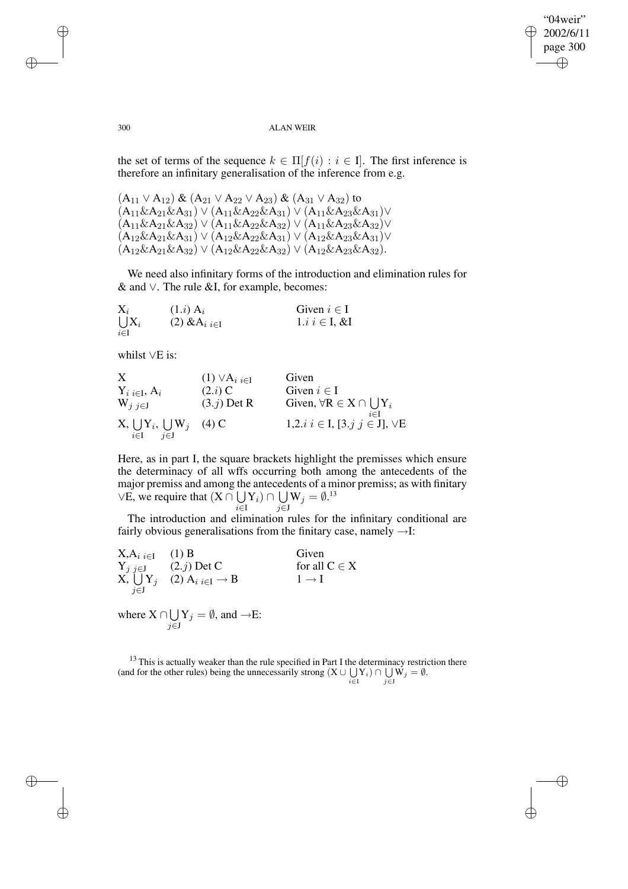"04weir" 2002/6/11 page 300 ✐ ✐

✐

✐

#### 300 ALAN WEIR

the set of terms of the sequence  $k \in \Pi[f(i) : i \in I]$ . The first inference is therefore an infinitary generalisation of the inference from e.g.

 $(A_{11} \vee A_{12}) \& (A_{21} \vee A_{22} \vee A_{23}) \& (A_{31} \vee A_{32})$  to  $(A_{11}\&A_{21}\&A_{31}) \vee (A_{11}\&A_{22}\&A_{31}) \vee (A_{11}\&A_{23}\&A_{31}) \vee$  $(A_{11}\&A_{21}\&A_{32}) \vee (A_{11}\&A_{22}\&A_{32}) \vee (A_{11}\&A_{23}\&A_{32}) \vee$  $(A_{12}\&A_{21}\&A_{31}) \vee (A_{12}\&A_{22}\&A_{31}) \vee (A_{12}\&A_{23}\&A_{31}) \vee$  $(A_{12}\&A_{21}\&A_{32}) \vee (A_{12}\&A_{22}\&A_{32}) \vee (A_{12}\&A_{23}\&A_{32}).$ 

We need also infinitary forms of the introduction and elimination rules for & and ∨. The rule &I, for example, becomes:

| $\mathrm{X}_i$ | $(1.i)$ A <sub>i</sub> | Given $i \in I$   |
|----------------|------------------------|-------------------|
| $\bigcup X_i$  | (2) $&A_{i,i\in I}$    | $1.i \in I, \& I$ |
| $i \in I$      |                        |                   |

whilst ∨E is:

| X                                                 | (1) $\vee A_i$ $i \in I$ | Given                                           |
|---------------------------------------------------|--------------------------|-------------------------------------------------|
| $Y_i$ $i \in I$ , $A_i$                           | (2.i) C                  | Given $i \in I$                                 |
| $W_j$ $j \in J$                                   | (3.j) Det R              | Given, $\forall R \in X \cap \bigcup_{i \in I}$ |
| $X, \bigcup_{i \in I} Y_i, \bigcup_{j \in J} W_j$ | (4) C                    | 1, 2. i $i \in I$ , [3. j $j \in J$ ], $\vee E$ |

Here, as in part I, the square brackets highlight the premisses which ensure the determinacy of all wffs occurring both among the antecedents of the major premiss and among the antecedents of a minor premiss; as with finitary  $\vee$ E, we require that  $(X \cap \bigcup$  $\mathrm{Y}_i)\cap\bigcup$  $\mathrm{W}_j=\emptyset.^{13}$ 

i∈I j∈J

The introduction and elimination rules for the infinitary conditional are fairly obvious generalisations from the finitary case, namely  $\rightarrow$ I:

$$
X, A_{i} \underset{j \in J}{i \in I} \quad (1) B
$$
 Given  
\n
$$
Y_{j} \underset{j \in J}{j \in J} \quad (2.j) Det C
$$
 for all  $C \in X$   
\n
$$
X, \bigcup_{j \in J} Y_{j} \quad (2) A_{i} \underset{i \in I}{i \in I} \rightarrow B
$$
 
$$
1 \rightarrow I
$$
  
\nwhere  $X \cap \bigcup Y_{j} = \emptyset$ , and  $\rightarrow E$ :

j∈J

 $13$  This is actually weaker than the rule specified in Part I the determinacy restriction there (and for the other rules) being the unnecessarily strong  $(X \cup \bigcup_{i \in I} Y_i) \cap \bigcup_{j \in J} W_j = \emptyset$ .

✐

✐

✐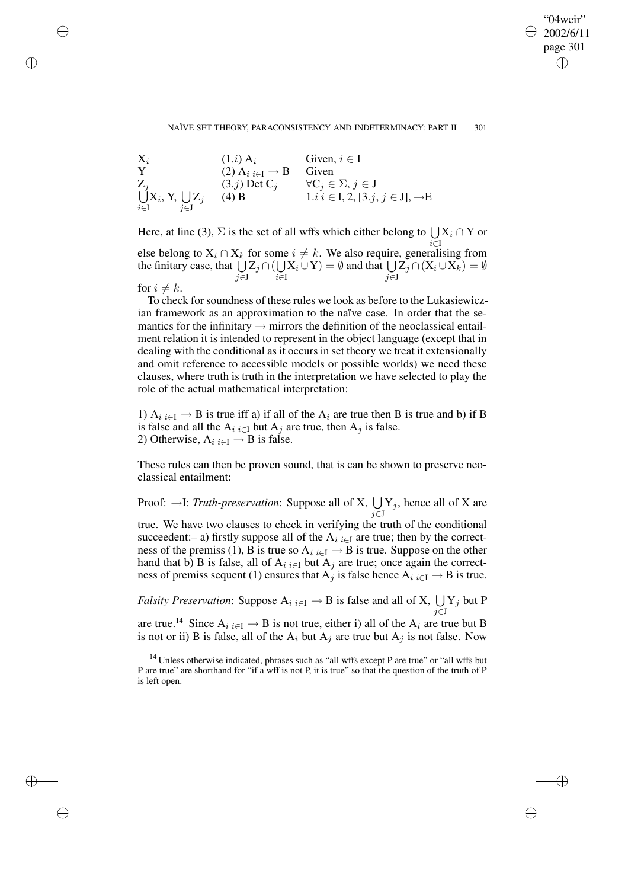### "04weir" 2002/6/11 page 301 ✐ ✐

✐

✐

#### NAÏVE SET THEORY, PARACONSISTENCY AND INDETERMINACY: PART II 301

 $X_i$  (1.*i*)  $A_i$  Given,  $i \in I$ Y (2)  $A_i$ <sub>i∈I</sub>  $\rightarrow$  B Given Z U  $j$  (3.j) Det C<sub>j</sub>  $\forall C_j \in \Sigma, j \in J$ i∈I  $\mathrm{X}_i,$  Y,  $\bigcup$ j∈J  $Z_j$  (4) B 1.i i ∈ I, 2, [3.j, j ∈ J], →E

Here, at line (3),  $\Sigma$  is the set of all wffs which either belong to  $\bigcup X_i \cap Y$  or i∈I else belong to  $X_i \cap X_k$  for some  $i \neq k$ . We also require, generalising from the finitary case, that  $\bigcup Z_j \cap (\bigcup$ j∈J i∈I  $X_i \cup Y$ ) =  $\emptyset$  and that  $\bigcup$ j∈J  $\mathrm{Z}_j \cap (\mathrm{X}_i \cup \mathrm{X}_k) = \emptyset$ 

for  $i \neq k$ .

✐

✐

✐

✐

To check for soundness of these rules we look as before to the Lukasiewiczian framework as an approximation to the naïve case. In order that the semantics for the infinitary  $\rightarrow$  mirrors the definition of the neoclassical entailment relation it is intended to represent in the object language (except that in dealing with the conditional as it occurs in set theory we treat it extensionally and omit reference to accessible models or possible worlds) we need these clauses, where truth is truth in the interpretation we have selected to play the role of the actual mathematical interpretation:

1)  $A_i$  i∈I  $\rightarrow$  B is true iff a) if all of the  $A_i$  are true then B is true and b) if B is false and all the  $A_i$  i∈I but  $A_j$  are true, then  $A_j$  is false. 2) Otherwise,  $A_i_{i \in I} \rightarrow B$  is false.

These rules can then be proven sound, that is can be shown to preserve neoclassical entailment:

Proof:  $\rightarrow$ I: *Truth-preservation*: Suppose all of X,  $\bigcup$ j∈J  $Y_j$ , hence all of X are true. We have two clauses to check in verifying the truth of the conditional succeedent:– a) firstly suppose all of the  $A_i$  i∈I are true; then by the correctness of the premiss (1), B is true so  $A_i$   $_{i \in I} \rightarrow B$  is true. Suppose on the other hand that b) B is false, all of  $A_i$ <sub>i</sub> $\in I$  but  $A_j$  are true; once again the correctness of premiss sequent (1) ensures that  $A_i$  is false hence  $A_i$  i $\in I \to B$  is true.

*Falsity Preservation*: Suppose  $A_i$ <sub>*i*∈I</sub>  $\rightarrow$  B is false and all of X,  $\bigcup$ j∈J  $Y_j$  but P

are true.<sup>14</sup> Since  $A_i$ <sub>i</sub> $\in I \to B$  is not true, either i) all of the  $A_i$  are true but B is not or ii) B is false, all of the  $A_i$  but  $A_j$  are true but  $A_j$  is not false. Now

 $14$  Unless otherwise indicated, phrases such as "all wffs except P are true" or "all wffs but P are true" are shorthand for "if a wff is not P, it is true" so that the question of the truth of P is left open.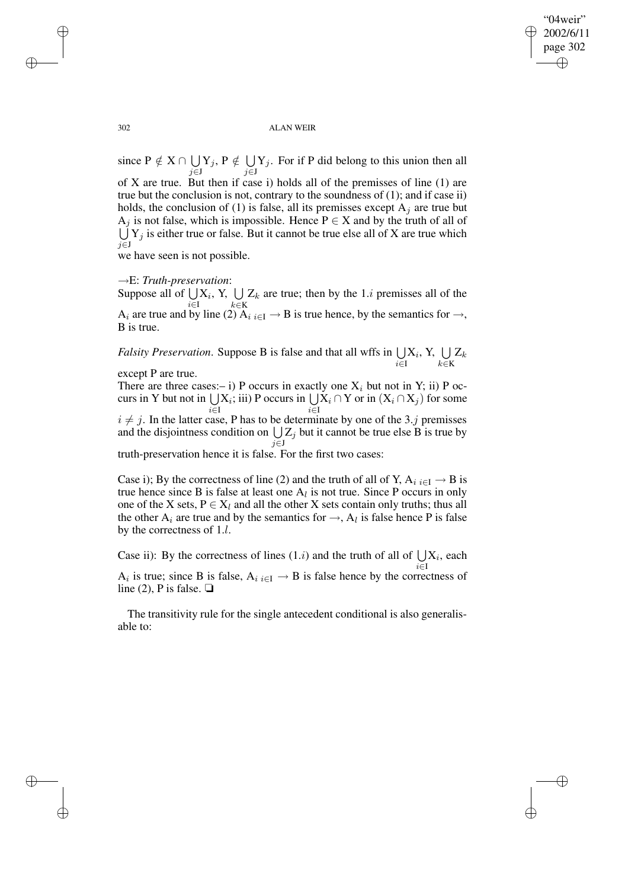✐

#### 302 ALAN WEIR

since  $P \notin X \cap \bigcup$ j∈J  $\mathrm{Y}_j,\,mathrm{P}\notin\,\bigcup\,$ j∈J  $Y_j$ . For if P did belong to this union then all of X are true. But then if case i) holds all of the premisses of line (1) are true but the conclusion is not, contrary to the soundness of (1); and if case ii) holds, the conclusion of (1) is false, all its premisses except  $A_i$  are true but  $A_j$  is not false, which is impossible. Hence  $P \in X$  and by the truth of all of  $\bigcup Y_j$  is either true or false. But it cannot be true else all of X are true which j∈J

we have seen is not possible.

### →E: *Truth-preservation*:

Suppose all of  $\bigcup X_i$ , Y,  $\bigcup Z_k$  are true; then by the 1.*i* premisses all of the i∈I  $k \in K$ A<sub>i</sub> are true and by line (2) A<sub>i i∈I</sub>  $\rightarrow$  B is true hence, by the semantics for  $\rightarrow$ , B is true.

*Falsity Preservation.* Suppose B is false and that all wffs in  $\bigcup$ i∈I  $\mathrm{X}_i, \, \mathrm{Y}, \, \, \bigcup$ k∈K  $\mathrm{Z}_k$ except P are true.

There are three cases:– i) P occurs in exactly one  $X_i$  but not in Y; ii) P occurs in Y but not in  $\bigcup X_i$ ; iii) P occurs in  $\bigcup X_i \cap Y$  or in  $(X_i \cap X_j)$  for some  $i∈I$   $i∈I$ 

 $i \neq j$ . In the latter case, P has to be determinate by one of the 3.j premisses and the disjointness condition on  $\bigcup Z_j$  but it cannot be true else B is true by j∈J truth-preservation hence it is false. For the first two cases:

Case i); By the correctness of line (2) and the truth of all of Y,  $A_i_{i \in I} \rightarrow B$  is true hence since B is false at least one  $A_l$  is not true. Since P occurs in only one of the X sets,  $P \in X_l$  and all the other X sets contain only truths; thus all the other  $A_i$  are true and by the semantics for  $\rightarrow$ ,  $A_l$  is false hence P is false by the correctness of 1.l.

Case ii): By the correctness of lines  $(1.i)$  and the truth of all of  $\bigcup X_i$ , each i∈I  $A_i$  is true; since B is false,  $A_i$ <sub>i $\in I \rightarrow B$ </sub> is false hence by the correctness of line (2), P is false.  $\Box$ 

The transitivity rule for the single antecedent conditional is also generalisable to:

✐

✐

✐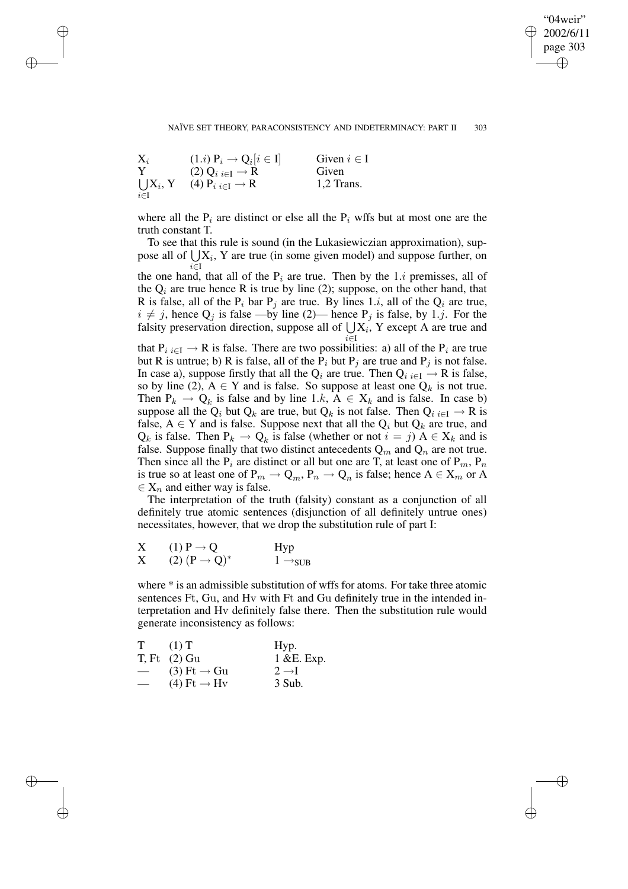✐

#### NAÏVE SET THEORY, PARACONSISTENCY AND INDETERMINACY: PART II 303



✐

✐

✐

✐

where all the  $P_i$  are distinct or else all the  $P_i$  wffs but at most one are the truth constant T.

To see that this rule is sound (in the Lukasiewiczian approximation), suppose all of  $\bigcup X_i$ , Y are true (in some given model) and suppose further, on i∈I

the one hand, that all of the  $P_i$  are true. Then by the 1.*i* premisses, all of the  $Q_i$  are true hence R is true by line (2); suppose, on the other hand, that R is false, all of the  $P_i$  bar  $P_j$  are true. By lines 1.*i*, all of the  $Q_i$  are true,  $i \neq j$ , hence  $Q_j$  is false —by line (2)— hence  $P_j$  is false, by 1.j. For the falsity preservation direction, suppose all of  $\bigcup X_i$ , Y except A are true and i∈I

that  $P_{i} \nightharpoonup R$  is false. There are two possibilities: a) all of the  $P_i$  are true but R is untrue; b) R is false, all of the  $P_i$  but  $P_j$  are true and  $P_j$  is not false. In case a), suppose firstly that all the  $Q_i$  are true. Then  $Q_i$   $_{i \in I} \rightarrow R$  is false, so by line (2),  $A \in Y$  and is false. So suppose at least one  $Q_k$  is not true. Then  $P_k \to Q_k$  is false and by line 1.k,  $A \in X_k$  and is false. In case b) suppose all the Q<sub>i</sub> but Q<sub>k</sub> are true, but Q<sub>k</sub> is not false. Then Q<sub>i i∈I</sub>  $\rightarrow$  R is false,  $A \in Y$  and is false. Suppose next that all the  $Q_i$  but  $Q_k$  are true, and  $Q_k$  is false. Then  $P_k \to Q_k$  is false (whether or not  $i = j$ )  $A \in X_k$  and is false. Suppose finally that two distinct antecedents  $Q_m$  and  $Q_n$  are not true. Then since all the  $P_i$  are distinct or all but one are T, at least one of  $P_m$ ,  $P_n$ is true so at least one of  $P_m \to Q_m$ ,  $P_n \to Q_n$  is false; hence  $A \in X_m$  or A  $\in$  X<sub>n</sub> and either way is false.

The interpretation of the truth (falsity) constant as a conjunction of all definitely true atomic sentences (disjunction of all definitely untrue ones) necessitates, however, that we drop the substitution rule of part I:

$$
\begin{array}{ll}\nX & (1) P \rightarrow Q & \text{Hyp} \\
X & (2) (P \rightarrow Q)^* & 1 \rightarrow_{SUB}\n\end{array}
$$

where \* is an admissible substitution of wffs for atoms. For take three atomic sentences Ft, Gu, and Hv with Ft and Gu definitely true in the intended interpretation and Hv definitely false there. Then the substitution rule would generate inconsistency as follows:

| T                        | $(1)$ T                   | Hyp.              |
|--------------------------|---------------------------|-------------------|
|                          | $T$ , Ft $(2)$ Gu         | 1 &E. Exp.        |
| $\overline{\phantom{0}}$ | $(3) \tFt \rightarrow Gu$ | $2 \rightarrow I$ |
|                          | $(4) \tFt \rightarrow Hv$ | 3 Sub.            |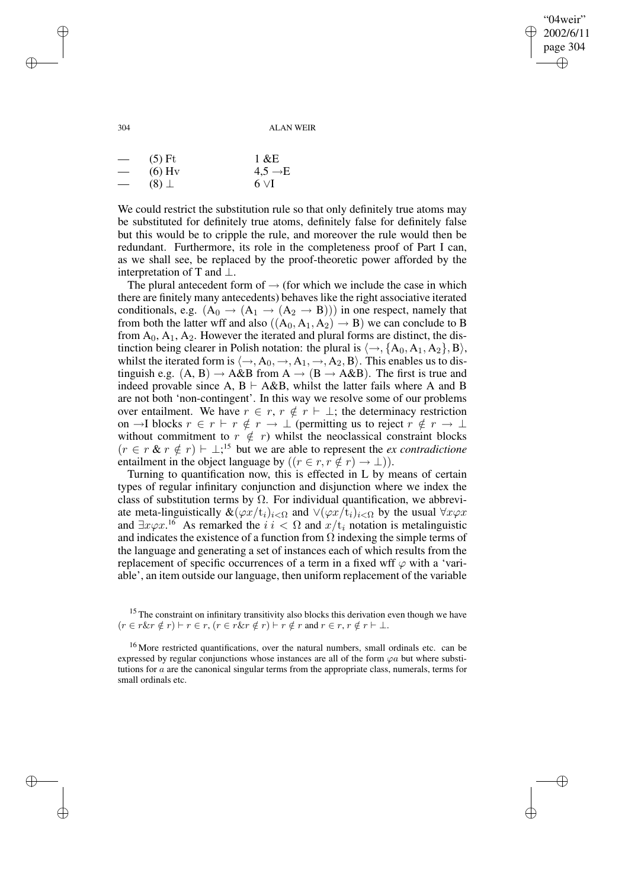$04$ weir" 2002/6/11 page 304 ✐ ✐

✐

✐

304 ALAN WEIR

| $\overbrace{\phantom{123221111}}$ | $(5)$ Ft      | $1 \& E$            |
|-----------------------------------|---------------|---------------------|
| $\overline{\phantom{m}}$          | $(6)$ Hy      | $4,5 \rightarrow E$ |
|                                   | $(8)$ $\perp$ | $6 \vee I$          |

We could restrict the substitution rule so that only definitely true atoms may be substituted for definitely true atoms, definitely false for definitely false but this would be to cripple the rule, and moreover the rule would then be redundant. Furthermore, its role in the completeness proof of Part I can, as we shall see, be replaced by the proof-theoretic power afforded by the interpretation of T and  $\perp$ .

The plural antecedent form of  $\rightarrow$  (for which we include the case in which there are finitely many antecedents) behaves like the right associative iterated conditionals, e.g.  $(A_0 \rightarrow (A_1 \rightarrow (A_2 \rightarrow B)))$  in one respect, namely that from both the latter wff and also  $((A_0, A_1, A_2) \rightarrow B)$  we can conclude to B from  $A_0$ ,  $A_1$ ,  $A_2$ . However the iterated and plural forms are distinct, the distinction being clearer in Polish notation: the plural is  $\langle \rightarrow, \{A_0, A_1, A_2\}, B \rangle$ , whilst the iterated form is  $\langle \rightarrow, A_0, \rightarrow, A_1, \rightarrow, A_2, B \rangle$ . This enables us to distinguish e.g.  $(A, B) \rightarrow A \& B$  from  $A \rightarrow (B \rightarrow A \& B)$ . The first is true and indeed provable since A,  $B \vdash A \& B$ , whilst the latter fails where A and B are not both 'non-contingent'. In this way we resolve some of our problems over entailment. We have  $r \in r$ ,  $r \notin r \vdash \bot$ ; the determinacy restriction on →I blocks  $r \in r \vdash r \notin r \rightarrow \bot$  (permitting us to reject  $r \notin r \rightarrow \bot$ without commitment to  $r \notin r$ ) whilst the neoclassical constraint blocks  $(r \in r \& r \notin r) \vdash \perp;^{15}$  but we are able to represent the *ex contradictione* entailment in the object language by  $((r \in r, r \notin r) \to \bot)$ ).

Turning to quantification now, this is effected in L by means of certain types of regular infinitary conjunction and disjunction where we index the class of substitution terms by  $\Omega$ . For individual quantification, we abbreviate meta-linguistically  $\&(\varphi x/t_i)_{i\leq \Omega}$  and  $\forall (\varphi x/t_i)_{i\leq \Omega}$  by the usual  $\forall x \varphi x$ and  $\exists x \varphi x$ .<sup>16</sup> As remarked the  $i \in \Omega$  and  $x/t_i$  notation is metalinguistic and indicates the existence of a function from  $\Omega$  indexing the simple terms of the language and generating a set of instances each of which results from the replacement of specific occurrences of a term in a fixed wff  $\varphi$  with a 'variable', an item outside our language, then uniform replacement of the variable

✐

✐

✐

<sup>&</sup>lt;sup>15</sup> The constraint on infinitary transitivity also blocks this derivation even though we have  $(r \in r \& r \notin r) \vdash r \in r, (r \in r \& r \notin r) \vdash r \notin r \text{ and } r \in r, r \notin r \vdash \bot.$ 

<sup>&</sup>lt;sup>16</sup> More restricted quantifications, over the natural numbers, small ordinals etc. can be expressed by regular conjunctions whose instances are all of the form  $\varphi a$  but where substitutions for  $a$  are the canonical singular terms from the appropriate class, numerals, terms for small ordinals etc.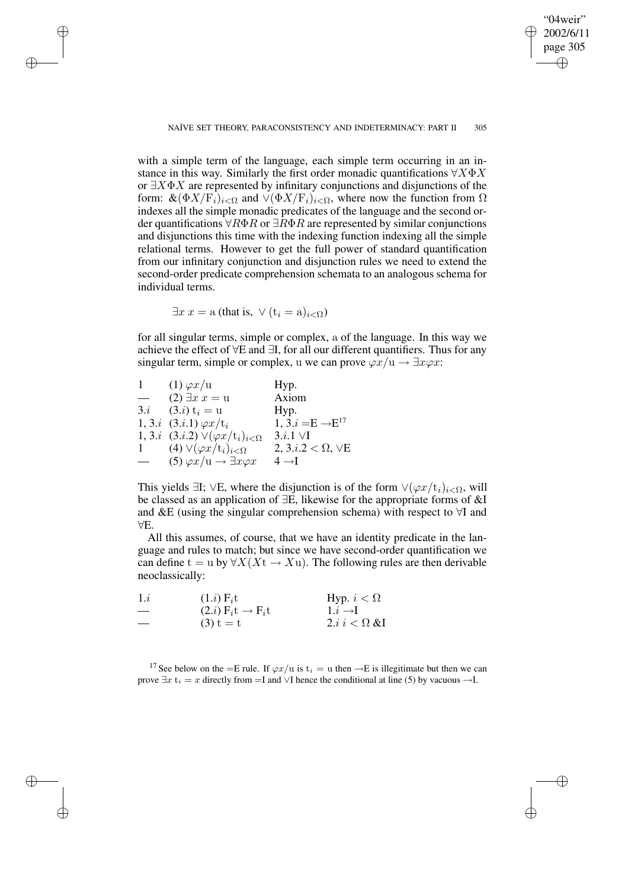"04weir"

✐

✐

#### NAÏVE SET THEORY, PARACONSISTENCY AND INDETERMINACY: PART II 305

with a simple term of the language, each simple term occurring in an instance in this way. Similarly the first order monadic quantifications  $\forall X \Phi X$ or  $\exists X \Phi X$  are represented by infinitary conjunctions and disjunctions of the form:  $\&(\Phi X/\mathcal{F}_i)_{i\leq \Omega}$  and  $\vee (\Phi X/\mathcal{F}_i)_{i\leq \Omega}$ , where now the function from  $\Omega$ indexes all the simple monadic predicates of the language and the second order quantifications  $\forall R\Phi R$  or  $\exists R\Phi R$  are represented by similar conjunctions and disjunctions this time with the indexing function indexing all the simple relational terms. However to get the full power of standard quantification from our infinitary conjunction and disjunction rules we need to extend the second-order predicate comprehension schemata to an analogous schema for individual terms.

 $\exists x \ x = a$  (that is,  $\vee$   $(t_i = a)_{i < \Omega}$ )

✐

✐

✐

✐

for all singular terms, simple or complex, a of the language. In this way we achieve the effect of ∀E and ∃I, for all our different quantifiers. Thus for any singular term, simple or complex, u we can prove  $\varphi x/u \to \exists x \varphi x$ :

| 1             | $(1) \varphi x/u$                                             | Hyp.                            |
|---------------|---------------------------------------------------------------|---------------------------------|
| $\frac{1}{2}$ | $(2) \exists x \ x = u$                                       | Axiom                           |
|               | 3. <i>i</i> $(3.i) t_i = u$                                   | Hyp.                            |
|               | 1, 3. <i>i</i> $(3.i.1) \varphi x/t_i$                        | 1, $3.i = E \rightarrow E^{17}$ |
|               | 1, 3. <i>i</i> $(3.i.2) \vee (\varphi x/t_i)_{i \leq \Omega}$ | $3.i.1 \vee I$                  |
|               | 1 (4) $\vee (\varphi x/t_i)_{i\leq \Omega}$                   | 2, $3.i.2 < \Omega$ , $\vee$ E  |
|               | (5) $\varphi x/u \rightarrow \exists x \varphi x$             | $4 \rightarrow I$               |

This yields  $\exists I$ ;  $\forall E$ , where the disjunction is of the form  $\forall (\varphi x/t_i)_{i\leq \Omega}$ , will be classed as an application of ∃E, likewise for the appropriate forms of &I and &E (using the singular comprehension schema) with respect to ∀I and ∀E.

All this assumes, of course, that we have an identity predicate in the language and rules to match; but since we have second-order quantification we can define t = u by  $\forall X (X_t \rightarrow X_u)$ . The following rules are then derivable neoclassically:

| 1.i                           | $(1.i)$ $F_i$ t                   | Hyp. $i < \Omega$                     |
|-------------------------------|-----------------------------------|---------------------------------------|
| $\hspace{0.05cm}$             | $(2.i)$ $F_i t \rightarrow F_i t$ | $1.i \rightarrow I$                   |
| $\overbrace{\phantom{12333}}$ | $(3) t = t$                       | 2.i i $\langle \Omega \& \Pi \rangle$ |

<sup>17</sup> See below on the =E rule. If  $\varphi x/u$  is  $t_i = u$  then  $\rightarrow$ E is illegitimate but then we can prove  $\exists x \, t_i = x$  directly from  $=$ I and  $\sqrt{1}$  hence the conditional at line (5) by vacuous  $\rightarrow$ I.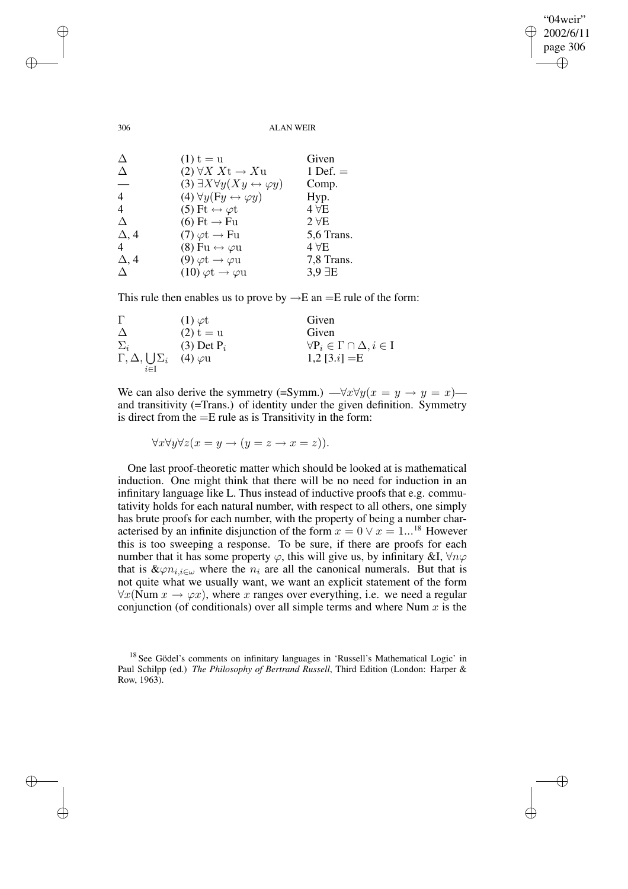✐

306 ALAN WEIR

| Δ              | $(1) t = u$                                              | Given           |
|----------------|----------------------------------------------------------|-----------------|
| Δ              | $(2) \forall X \ Xt \rightarrow Xu$                      | 1 Def. $=$      |
| —              | (3) $\exists X \forall y (Xy \leftrightarrow \varphi y)$ | Comp.           |
| 4              | (4) $\forall y (Fy \leftrightarrow \varphi y)$           | Hyp.            |
| $\overline{4}$ | (5) Ft $\leftrightarrow \varphi t$                       | $4 \forall E$   |
| Δ              | $(6) \tFt \rightarrow Fu$                                | $2 \forall E$   |
| $\Delta$ , 4   | $(7) \varphi t \rightarrow Fu$                           | 5,6 Trans.      |
| 4              | $(8) \mathrm{Fu} \leftrightarrow \varphi \mathrm{u}$     | $4\,\forall E$  |
| $\Delta$ , 4   | $(9) \varphi t \rightarrow \varphi u$                    | 7,8 Trans.      |
| Л              | $(10) \varphi t \rightarrow \varphi u$                   | $3.9 \exists E$ |

This rule then enables us to prove by  $\rightarrow$ E an =E rule of the form:

| Г                                  | $(1) \varphi t$          | Given                                         |
|------------------------------------|--------------------------|-----------------------------------------------|
| Δ                                  | $(2) t = u$              | Given                                         |
| $\Sigma_i$                         | $(3)$ Det P <sub>i</sub> | $\forall P_i \in \Gamma \cap \Delta, i \in I$ |
| $\Gamma, \Delta, \bigcup \Sigma_i$ | $(4)$ $\varphi$ u        | 1,2 [3. <i>i</i> ] = E                        |
| $i \in I$                          |                          |                                               |

We can also derive the symmetry (=Symm.) — $\forall x \forall y (x = y \rightarrow y = x)$  and transitivity (=Trans.) of identity under the given definition. Symmetry is direct from the  $=E$  rule as is Transitivity in the form:

 $\forall x \forall y \forall z (x = y \rightarrow (y = z \rightarrow x = z)).$ 

One last proof-theoretic matter which should be looked at is mathematical induction. One might think that there will be no need for induction in an infinitary language like L. Thus instead of inductive proofs that e.g. commutativity holds for each natural number, with respect to all others, one simply has brute proofs for each number, with the property of being a number characterised by an infinite disjunction of the form  $x = 0 \vee x = 1...^{18}$  However this is too sweeping a response. To be sure, if there are proofs for each number that it has some property  $\varphi$ , this will give us, by infinitary &I,  $\forall n\varphi$ that is  $\&\varphi n_{i,i\in\omega}$  where the  $n_i$  are all the canonical numerals. But that is not quite what we usually want, we want an explicit statement of the form  $\forall x$ (Num  $x \rightarrow \varphi x$ ), where x ranges over everything, i.e. we need a regular conjunction (of conditionals) over all simple terms and where Num  $x$  is the

✐

✐

✐

<sup>&</sup>lt;sup>18</sup> See Gödel's comments on infinitary languages in 'Russell's Mathematical Logic' in Paul Schilpp (ed.) *The Philosophy of Bertrand Russell*, Third Edition (London: Harper & Row, 1963).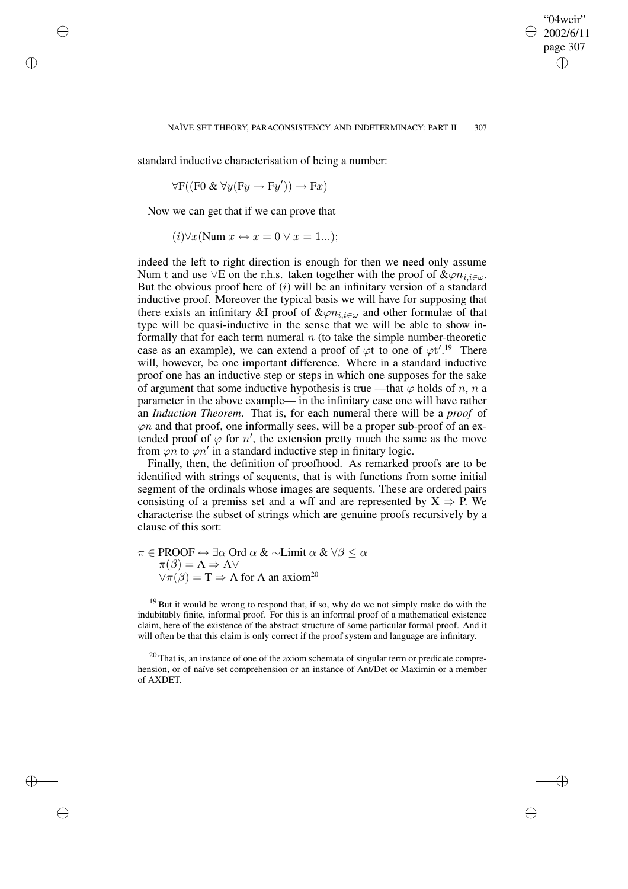✐

standard inductive characterisation of being a number:

 $\forall F((F0 \& \forall y (Fy \rightarrow Fy')) \rightarrow Fx)$ 

Now we can get that if we can prove that

✐

✐

✐

✐

 $(i)\forall x$ (Num  $x \leftrightarrow x = 0 \lor x = 1...$ );

indeed the left to right direction is enough for then we need only assume Num t and use ∨E on the r.h.s. taken together with the proof of  $\&\varphi n_{i,j\in\omega}$ . But the obvious proof here of  $(i)$  will be an infinitary version of a standard inductive proof. Moreover the typical basis we will have for supposing that there exists an infinitary &I proof of  $\&\varphi n_{i,i\in\omega}$  and other formulae of that type will be quasi-inductive in the sense that we will be able to show informally that for each term numeral  $n$  (to take the simple number-theoretic case as an example), we can extend a proof of  $\varphi t$  to one of  $\varphi t'$ .<sup>19</sup> There will, however, be one important difference. Where in a standard inductive proof one has an inductive step or steps in which one supposes for the sake of argument that some inductive hypothesis is true —that  $\varphi$  holds of n, n a parameter in the above example— in the infinitary case one will have rather an *Induction Theorem*. That is, for each numeral there will be a *proof* of  $\varphi$ n and that proof, one informally sees, will be a proper sub-proof of an extended proof of  $\varphi$  for n', the extension pretty much the same as the move from  $\varphi \hat{n}$  to  $\varphi n'$  in a standard inductive step in finitary logic.

Finally, then, the definition of proofhood. As remarked proofs are to be identified with strings of sequents, that is with functions from some initial segment of the ordinals whose images are sequents. These are ordered pairs consisting of a premiss set and a wff and are represented by  $X \Rightarrow P$ . We characterise the subset of strings which are genuine proofs recursively by a clause of this sort:

 $\pi \in \text{PROOF} \leftrightarrow \exists \alpha \text{ Ord } \alpha \& \sim \text{Limit } \alpha \& \forall \beta \leq \alpha$  $\pi(\beta) = A \Rightarrow A \vee$  $\vee \pi(\beta) = T \Rightarrow A$  for A an axiom<sup>20</sup>

 $19$  But it would be wrong to respond that, if so, why do we not simply make do with the indubitably finite, informal proof. For this is an informal proof of a mathematical existence claim, here of the existence of the abstract structure of some particular formal proof. And it will often be that this claim is only correct if the proof system and language are infinitary.

 $20$  That is, an instance of one of the axiom schemata of singular term or predicate comprehension, or of naïve set comprehension or an instance of Ant/Det or Maximin or a member of AXDET.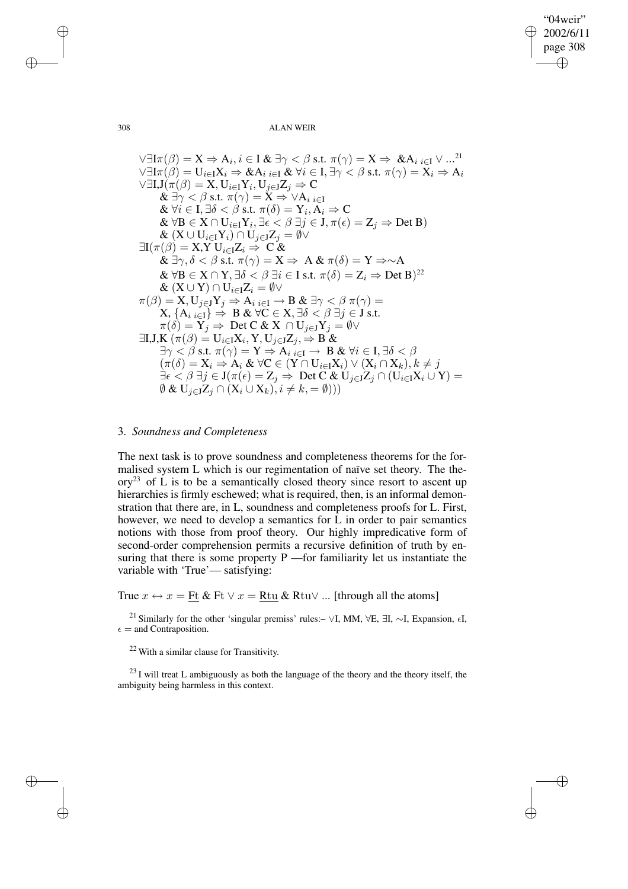✐

308 ALAN WEIR

$$
∀∃Iπ(β) = X ⇒ Ai, i ∈ I & ∃γ < β s.t. π(γ) = X ⇒ & Ai i ∈ I ∨ …21 \n∀∃Iπ(β) = Ui∈IXi ⇒ & Ai i ∈I & ∀i ∈ I, ∃γ < β s.t. π(γ) = Xi ⇒ Ai \n∀∃I, J(π(β) = X, Ui∈IYi, Uj∈JZj ⇒ C \n& ∃γ < β s.t. π(γ) = X ⇒ ∨Ai i ∈I \n& ∀i ∈ I, ∃δ < β s.t. π(δ) = Yi, Ai ⇒ C \n& ∀B ∈ X ∩ Ui∈IYi, ∃ε < β ∃j ∈ J, π(ε) = Zj ⇒ Det B) \n& (X ∪ Ui∈IYi) ∩ Uj∈JZj = ∅√ \n∃I(π(β) = X, Y Ui∈IZi ⇒ C & \n& ∃γ, δ < β s.t. π(γ) = X ⇒ A & π(δ) = Y ⇒ ∼A \n& ∀B ∈ X ∩ Y, ∃δ < β ∃i ∈ I s.t. π(δ) = Zi ⇒ Det B)22 \n& (X ∪ Y) ∩ Ui∈IZi = ∅√ \nπ(β) = X, Uj∈JYj ⇒ Ai i ∈ I → B & ∃γ < β π(γ) = \nX, {Ai i ∈ I} ⇒ B & ∀C ∈ X, ∃δ ≤ β ∃j ∈ J s.t. \nπ(δ) = Yj ⇒ Det C & X ∩ Uj∈JYj = ∅√ \n∃I, J, K(π(β) = Ui∈IXi, Y, Uj∈JZj, ⇒ B & \n∃γ < β s.t. π(γ) = Y ⇒ Ai
$$

### 3. *Soundness and Completeness*

The next task is to prove soundness and completeness theorems for the formalised system L which is our regimentation of naïve set theory. The the- $\text{ory}^{23}$  of L is to be a semantically closed theory since resort to ascent up hierarchies is firmly eschewed; what is required, then, is an informal demonstration that there are, in L, soundness and completeness proofs for L. First, however, we need to develop a semantics for L in order to pair semantics notions with those from proof theory. Our highly impredicative form of second-order comprehension permits a recursive definition of truth by ensuring that there is some property P —for familiarity let us instantiate the variable with 'True'— satisfying:

True  $x \leftrightarrow x = \underline{Ft} \& \underline{Ft} \lor x = \underline{Rtu} \& \underline{Rtu} \lor ...$  [through all the atoms]

<sup>21</sup> Similarly for the other 'singular premiss' rules:– ∨I, MM, ∀E, ∃I, ∼I, Expansion,  $\epsilon I$ ,  $\epsilon =$  and Contraposition.

<sup>22</sup> With a similar clause for Transitivity.

 $23$  I will treat L ambiguously as both the language of the theory and the theory itself, the ambiguity being harmless in this context.

✐

✐

✐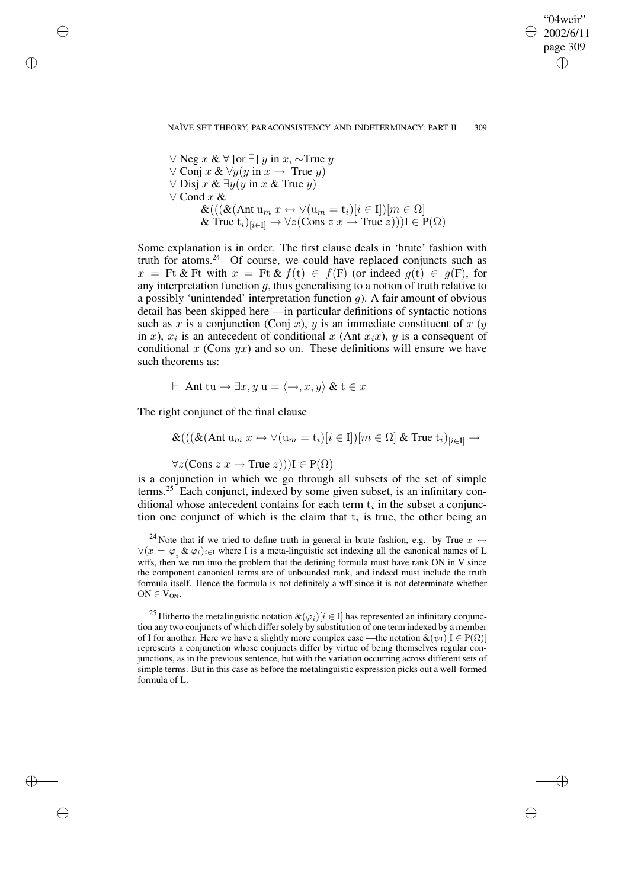✐

∨ Neg  $x \& \forall$  [or ∃]  $y$  in  $x, \sim$ True  $y$  $\vee$  Conj x &  $\forall y(y \text{ in } x \rightarrow \text{True } y)$  $∨$  Disj  $x$  &  $\exists y(y \text{ in } x \& \text{True } y)$ ∨ Cond x &  $\&(((\&(\text{Ant } u_m x \leftrightarrow \vee(u_m = t_i)[i \in I])[m \in \Omega])$ & True  $t_i)_{[i \in I]} \rightarrow \forall z (Cons\ z \ x \rightarrow True\ z))$ )  $I \in P(\Omega)$ 

Some explanation is in order. The first clause deals in 'brute' fashion with truth for atoms. $24$  Of course, we could have replaced conjuncts such as  $x = \underline{F}t \& Ft$  with  $x = \underline{F}t \& f(t) \in f(F)$  (or indeed  $g(t) \in g(F)$ , for any interpretation function  $g$ , thus generalising to a notion of truth relative to a possibly 'unintended' interpretation function q). A fair amount of obvious detail has been skipped here —in particular definitions of syntactic notions such as x is a conjunction (Conj x), y is an immediate constituent of x (y in x),  $x_i$  is an antecedent of conditional x (Ant  $x_ix$ ), y is a consequent of conditional x (Cons  $yx$ ) and so on. These definitions will ensure we have such theorems as:

$$
\vdash \text{ Ant tu} \rightarrow \exists x, y \text{ u} = \langle \rightarrow, x, y \rangle \& t \in x
$$

The right conjunct of the final clause

✐

✐

✐

✐

 $\&((\&(\text{Ant } u_m x \leftrightarrow \vee(u_m = t_i)[i \in I])[m \in \Omega] \& \text{ True } t_i)_{[i \in I]} \rightarrow$ 

 $\forall z (Cons z x \rightarrow True z))$ ]  $\in P(\Omega)$ 

is a conjunction in which we go through all subsets of the set of simple terms.<sup>25</sup> Each conjunct, indexed by some given subset, is an infinitary conditional whose antecedent contains for each term  $t_i$  in the subset a conjunction one conjunct of which is the claim that  $t_i$  is true, the other being an

<sup>24</sup> Note that if we tried to define truth in general in brute fashion, e.g. by True  $x \leftrightarrow$  $\vee$ ( $x = \varphi_i \& \varphi_i$ )<sub>i∈I</sub> where I is a meta-linguistic set indexing all the canonical names of L wffs, then we run into the problem that the defining formula must have rank ON in V since the component canonical terms are of unbounded rank, and indeed must include the truth formula itself. Hence the formula is not definitely a wff since it is not determinate whether  $ON \in V_{ON}.$ 

<sup>25</sup> Hitherto the metalinguistic notation  $\&(\varphi_i)[i \in I]$  has represented an infinitary conjunction any two conjuncts of which differ solely by substitution of one term indexed by a member of I for another. Here we have a slightly more complex case —the notation  $\&(\psi_I)[I \in P(\Omega)]$ represents a conjunction whose conjuncts differ by virtue of being themselves regular conjunctions, as in the previous sentence, but with the variation occurring across different sets of simple terms. But in this case as before the metalinguistic expression picks out a well-formed formula of L.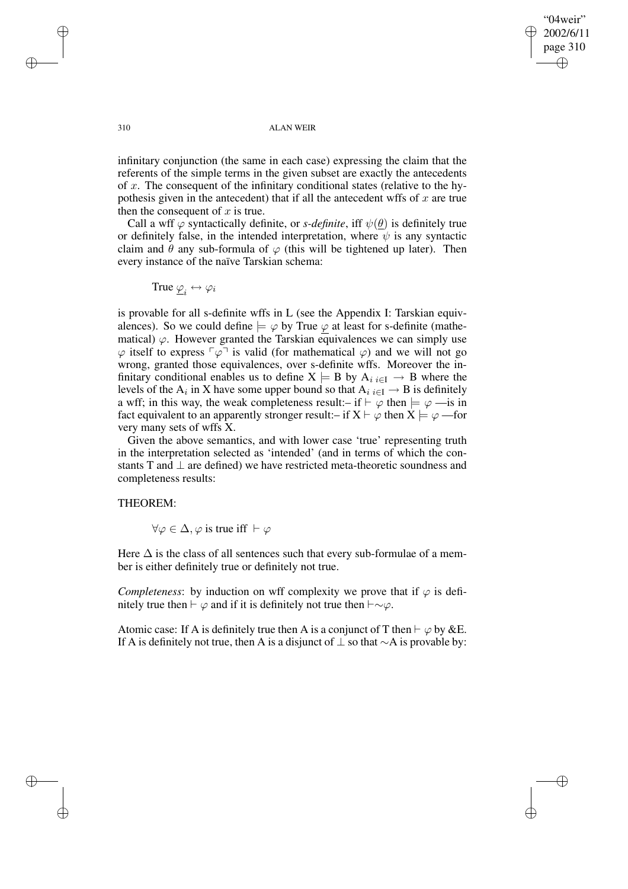"04weir" 2002/6/11 page 310 ✐ ✐

✐

✐

#### 310 ALAN WEIR

infinitary conjunction (the same in each case) expressing the claim that the referents of the simple terms in the given subset are exactly the antecedents of x. The consequent of the infinitary conditional states (relative to the hypothesis given in the antecedent) that if all the antecedent wffs of  $x$  are true then the consequent of  $x$  is true.

Call a wff  $\varphi$  syntactically definite, or *s-definite*, iff  $\psi(\theta)$  is definitely true or definitely false, in the intended interpretation, where  $\psi$  is any syntactic claim and  $\theta$  any sub-formula of  $\varphi$  (this will be tightened up later). Then every instance of the naïve Tarskian schema:

$$
\text{True} \; \underline{\varphi}_i \leftrightarrow \varphi_i
$$

is provable for all s-definite wffs in L (see the Appendix I: Tarskian equivalences). So we could define  $\models \varphi$  by True  $\varphi$  at least for s-definite (mathematical)  $\varphi$ . However granted the Tarskian equivalences we can simply use  $\varphi$  itself to express  $\lceil \varphi \rceil$  is valid (for mathematical  $\varphi$ ) and we will not go wrong, granted those equivalences, over s-definite wffs. Moreover the infinitary conditional enables us to define  $X \models B$  by  $A_{i,i\in I} \rightarrow B$  where the levels of the  $A_i$  in X have some upper bound so that  $A_i|_{i\in I} \to B$  is definitely a wff; in this way, the weak completeness result:– if  $\vdash \varphi$  then  $\models \varphi$  —is in fact equivalent to an apparently stronger result:– if  $X \vdash \varphi$  then  $X \models \varphi$  —for very many sets of wffs X.

Given the above semantics, and with lower case 'true' representing truth in the interpretation selected as 'intended' (and in terms of which the constants T and  $\perp$  are defined) we have restricted meta-theoretic soundness and completeness results:

# THEOREM:

 $\forall \varphi \in \Delta$ ,  $\varphi$  is true iff  $\vdash \varphi$ 

Here  $\Delta$  is the class of all sentences such that every sub-formulae of a member is either definitely true or definitely not true.

*Completeness*: by induction on wff complexity we prove that if  $\varphi$  is definitely true then  $\vdash \varphi$  and if it is definitely not true then  $\vdash \sim \varphi$ .

Atomic case: If A is definitely true then A is a conjunct of T then  $\vdash \varphi$  by &E. If A is definitely not true, then A is a disjunct of  $\perp$  so that ∼A is provable by:

✐

✐

✐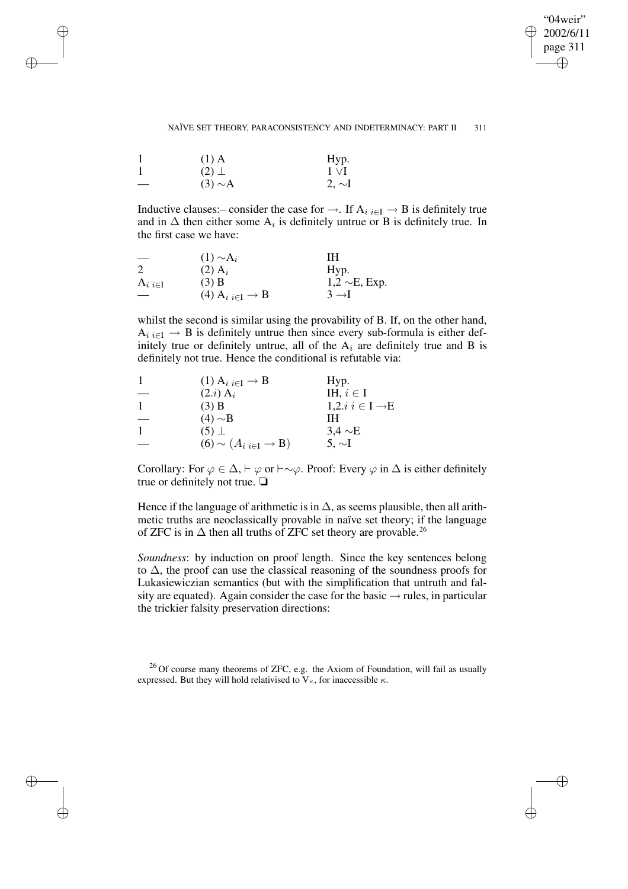"04weir" 2002/6/11 page 311 ✐ ✐

✐

#### NAÏVE SET THEORY, PARACONSISTENCY AND INDETERMINACY: PART II 311

| $(1)$ A       | Hyp.        |
|---------------|-------------|
| $(2)$ $\perp$ | $1 \vee I$  |
| $(3) \sim A$  | $2, \sim I$ |

✐

✐

✐

✐

Inductive clauses:– consider the case for  $\rightarrow$ . If  $A_i \nleftrightarrow B$  is definitely true and in  $\Delta$  then either some  $A_i$  is definitely untrue or B is definitely true. In the first case we have:

|                 | $(1) \sim A_i$                                                     | IН                  |
|-----------------|--------------------------------------------------------------------|---------------------|
| 2               | $(2)$ A <sub>i</sub>                                               | Hyp.                |
| $A_{i i \in I}$ | $(3)$ B                                                            | $1,2 \sim E$ , Exp. |
|                 | $(4)$ A <sub>i</sub> <sub>i<math>\in</math>I</sub> $\rightarrow$ B | $3 \rightarrow l$   |

whilst the second is similar using the provability of B. If, on the other hand,  $A_{i,i\in I} \rightarrow B$  is definitely untrue then since every sub-formula is either definitely true or definitely untrue, all of the  $A_i$  are definitely true and B is definitely not true. Hence the conditional is refutable via:

| $(1)$ A <sub>i</sub> $_{i\in I}$ $\rightarrow$ B | Hyp.                                  |
|--------------------------------------------------|---------------------------------------|
| $(2.i)$ A <sub>i</sub>                           | IH, $i \in I$                         |
| $(3)$ B                                          | 1,2. <i>i</i> $i \in I \rightarrow E$ |
| $(4) \sim B$                                     | IН                                    |
| $(5)$ $\perp$                                    | $3.4 \sim E$                          |
| $(6) \sim (A_{i i \in I} \rightarrow B)$         | 5. $\sim$ I                           |

Corollary: For  $\varphi \in \Delta$ ,  $\vdash \varphi$  or  $\vdash \sim \varphi$ . Proof: Every  $\varphi$  in  $\Delta$  is either definitely true or definitely not true. ❏

Hence if the language of arithmetic is in  $\Delta$ , as seems plausible, then all arithmetic truths are neoclassically provable in naïve set theory; if the language of ZFC is in  $\Delta$  then all truths of ZFC set theory are provable.<sup>26</sup>

*Soundness*: by induction on proof length. Since the key sentences belong to ∆, the proof can use the classical reasoning of the soundness proofs for Lukasiewiczian semantics (but with the simplification that untruth and falsity are equated). Again consider the case for the basic  $\rightarrow$  rules, in particular the trickier falsity preservation directions:

<sup>&</sup>lt;sup>26</sup> Of course many theorems of ZFC, e.g. the Axiom of Foundation, will fail as usually expressed. But they will hold relativised to  $V_{\kappa}$ , for inaccessible  $\kappa$ .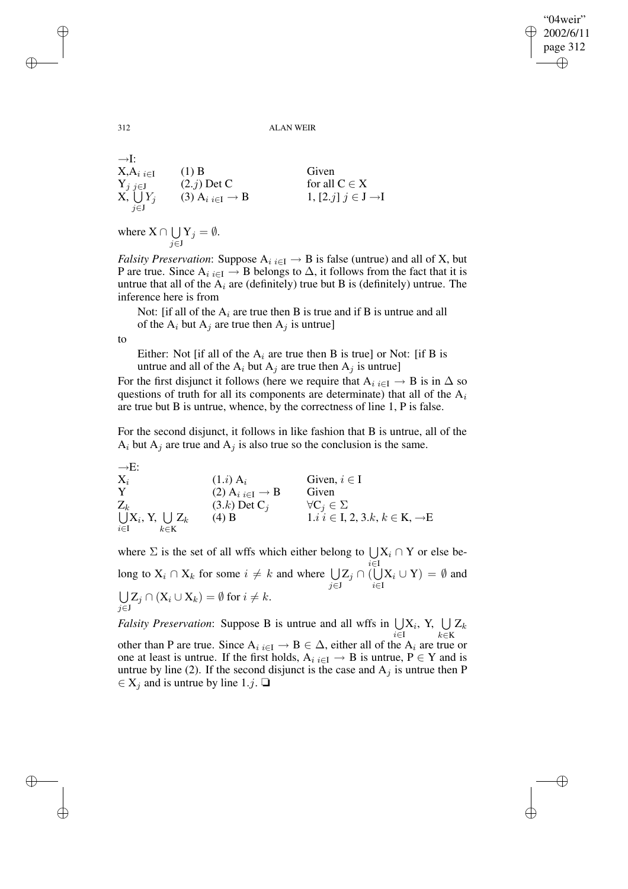"04weir" 2002/6/11 page 312 ✐ ✐

✐

✐

#### 312 ALAN WEIR

 $\rightarrow$ I:  $X, A_{i}{}_{i\in I}$  (1) B Given  $Y_{j\,j\in J}$  (2.j) Det C for all C  $\in X$  $X, \bigcup$ j∈J  $Y_j$  (3)  $A_i$ <sub>i∈I</sub>  $\rightarrow$  B 1, [2.*j*]  $j \in J \rightarrow I$ 

where  $X \cap \bigcup$ j∈J  $\mathrm{Y}_j = \emptyset.$ 

*Falsity Preservation*: Suppose  $A_i_{i \in I} \rightarrow B$  is false (untrue) and all of X, but P are true. Since  $A_i$  i∈I  $\rightarrow$  B belongs to  $\Delta$ , it follows from the fact that it is untrue that all of the  $A_i$  are (definitely) true but B is (definitely) untrue. The inference here is from

Not: [if all of the  $A_i$  are true then B is true and if B is untrue and all of the  $A_i$  but  $A_j$  are true then  $A_j$  is untrue]

to

Either: Not [if all of the  $A_i$  are true then B is true] or Not: [if B is untrue and all of the  $A_i$  but  $A_j$  are true then  $A_j$  is untrue]

For the first disjunct it follows (here we require that  $A_i$ <sub>i∈I</sub>  $\rightarrow$  B is in  $\Delta$  so questions of truth for all its components are determinate) that all of the  $A_i$ are true but B is untrue, whence, by the correctness of line 1, P is false.

For the second disjunct, it follows in like fashion that B is untrue, all of the  $A_i$  but  $A_j$  are true and  $A_j$  is also true so the conclusion is the same.

→E:  $X_i$  (1.*i*)  $A_i$  Given,  $i \in I$ Y (2)  $A_i$ <sub>i∈I</sub>  $\rightarrow$  B Given Z U k (3.k) Det C<sub>j</sub>  $\forall C_j \in \Sigma$ i∈I  $\mathrm{X}_i, \mathrm{Y}, \ \bigcup$ k∈K  $Z_k$  (4) B 1.i i ∈ I, 2, 3.k, k ∈ K, →E

where  $\Sigma$  is the set of all wffs which either belong to  $\bigcup X_i \cap Y$  or else bei∈I long to  $X_i \cap X_k$  for some  $i \neq k$  and where  $\bigcup$ j∈J  $\mathrm{Z}_j\cap(\bigcup$ i∈I  $X_i \cup Y) = \emptyset$  and U j∈J  $Z_j \cap (X_i \cup X_k) = \emptyset$  for  $i \neq k$ .

*Falsity Preservation*: Suppose B is untrue and all wffs in  $\bigcup$ i∈I  $\mathrm{X}_i,$  Y,  $\bigcup$ k∈K  $\mathrm{Z}_k$ other than P are true. Since  $A_i_{i \in I} \to B \in \Delta$ , either all of the  $A_i$  are true or one at least is untrue. If the first holds,  $A_{i i \in I} \rightarrow B$  is untrue,  $P \in Y$  and is untrue by line (2). If the second disjunct is the case and  $A_i$  is untrue then P

 $\in$  X<sub>j</sub> and is untrue by line 1.j.  $\Box$ 

✐

✐

✐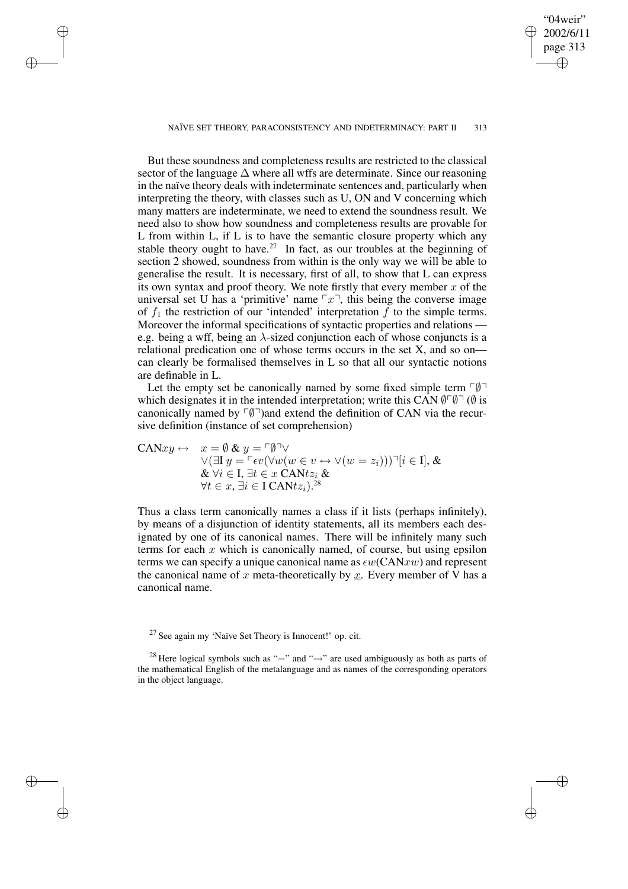NAÏVE SET THEORY, PARACONSISTENCY AND INDETERMINACY: PART II 313

✐

✐

✐

✐

04weir" 2002/6/11 page 313

✐

✐

✐

✐

But these soundness and completeness results are restricted to the classical sector of the language  $\Delta$  where all wffs are determinate. Since our reasoning in the naïve theory deals with indeterminate sentences and, particularly when interpreting the theory, with classes such as U, ON and V concerning which many matters are indeterminate, we need to extend the soundness result. We need also to show how soundness and completeness results are provable for L from within L, if L is to have the semantic closure property which any stable theory ought to have.<sup>27</sup> In fact, as our troubles at the beginning of section 2 showed, soundness from within is the only way we will be able to generalise the result. It is necessary, first of all, to show that L can express its own syntax and proof theory. We note firstly that every member  $x$  of the universal set U has a 'primitive' name  $\lceil x \rceil$ , this being the converse image of  $f_1$  the restriction of our 'intended' interpretation  $f$  to the simple terms. Moreover the informal specifications of syntactic properties and relations e.g. being a wff, being an  $\lambda$ -sized conjunction each of whose conjuncts is a relational predication one of whose terms occurs in the set X, and so on can clearly be formalised themselves in L so that all our syntactic notions are definable in L.

Let the empty set be canonically named by some fixed simple term  $\nabla \varnothing$ which designates it in the intended interpretation; write this CAN  $\mathcal{O}^{\neg} \mathcal{O}$  is canonically named by  $\lceil \emptyset \rceil$ )and extend the definition of CAN via the recursive definition (instance of set comprehension)

$$
\begin{array}{ll}\n\text{CAN}xy \leftrightarrow & x = \emptyset \& y = \ulcorner \emptyset \urcorner \lor \\
& \lor (\exists I \ y = \ulcorner \epsilon v (\forall w (w \in v \leftrightarrow \lor (w = z_i))) \urcorner [i \in I], \& \\
& \& \forall i \in I, \exists t \in x \ \text{CAN} t z_i \& \\
& \forall t \in x, \exists i \in I \ \text{CAN} t z_i \& \n\end{array}
$$

Thus a class term canonically names a class if it lists (perhaps infinitely), by means of a disjunction of identity statements, all its members each designated by one of its canonical names. There will be infinitely many such terms for each  $x$  which is canonically named, of course, but using epsilon terms we can specify a unique canonical name as  $\epsilon w(CANxw)$  and represent the canonical name of x meta-theoretically by  $\underline{x}$ . Every member of V has a canonical name.

<sup>27</sup> See again my 'Naïve Set Theory is Innocent!' op. cit.

<sup>28</sup> Here logical symbols such as "=" and " $\rightarrow$ " are used ambiguously as both as parts of the mathematical English of the metalanguage and as names of the corresponding operators in the object language.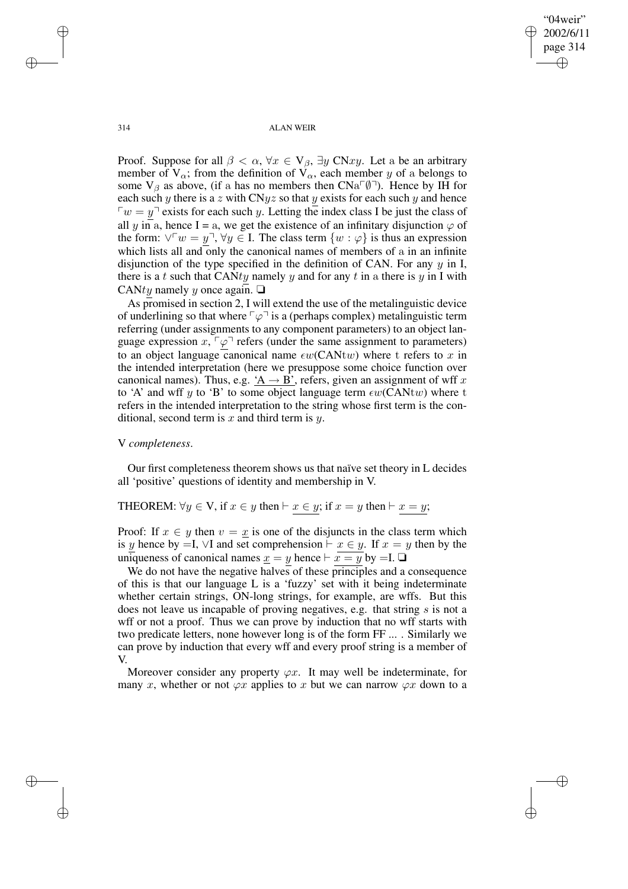✐

314 ALAN WEIR

Proof. Suppose for all  $\beta < \alpha$ ,  $\forall x \in V_{\beta}$ ,  $\exists y \in Nxy$ . Let a be an arbitrary member of  $V_\alpha$ ; from the definition of  $V_\alpha$ , each member y of a belongs to some  $V_\beta$  as above, (if a has no members then  $CNa^{\square}(\emptyset)$ ). Hence by IH for each such y there is a z with CNyz so that y exists for each such y and hence  $\sqrt{v} = y^{\dagger}$  exists for each such y. Letting the index class I be just the class of all y in a, hence I = a, we get the existence of an infinitary disjunction  $\varphi$  of the form:  $\forall \forall w = y^{\top}, \forall y \in I$ . The class term  $\{w : \varphi\}$  is thus an expression which lists all and only the canonical names of members of a in an infinite disjunction of the type specified in the definition of CAN. For any  $y$  in I, there is a t such that CANty namely y and for any t in a there is y in I with CANty namely y once again.  $\Box$ 

As promised in section 2, I will extend the use of the metalinguistic device of underlining so that where  $\lceil \varphi \rceil$  is a (perhaps complex) metalinguistic term referring (under assignments to any component parameters) to an object language expression  $x, \lceil \varphi \rceil$  refers (under the same assignment to parameters) to an object language canonical name  $\epsilon w$ (CANtw) where t refers to x in the intended interpretation (here we presuppose some choice function over canonical names). Thus, e.g.  $A \rightarrow B'$ , refers, given an assignment of wff x to 'A' and wff y to 'B' to some object language term  $\epsilon w(CANtw)$  where t refers in the intended interpretation to the string whose first term is the conditional, second term is  $x$  and third term is  $y$ .

### V *completeness*.

Our first completeness theorem shows us that naïve set theory in L decides all 'positive' questions of identity and membership in V.

# THEOREM:  $\forall y \in V$ , if  $x \in y$  then  $\vdash x \in y$ ; if  $x = y$  then  $\vdash x = y$ ;

Proof: If  $x \in y$  then  $v = x$  is one of the disjuncts in the class term which is y hence by =I,  $\vee$ I and set comprehension  $\vdash x \in y$ . If  $x = y$  then by the uniqueness of canonical names  $\underline{x} = y$  hence  $\vdash x = y$  by  $=I$ .  $\Box$ 

We do not have the negative halves of these principles and a consequence of this is that our language L is a 'fuzzy' set with it being indeterminate whether certain strings, ON-long strings, for example, are wffs. But this does not leave us incapable of proving negatives, e.g. that string s is not a wff or not a proof. Thus we can prove by induction that no wff starts with two predicate letters, none however long is of the form FF ... . Similarly we can prove by induction that every wff and every proof string is a member of V.

Moreover consider any property  $\varphi x$ . It may well be indeterminate, for many x, whether or not  $\varphi x$  applies to x but we can narrow  $\varphi x$  down to a

✐

✐

✐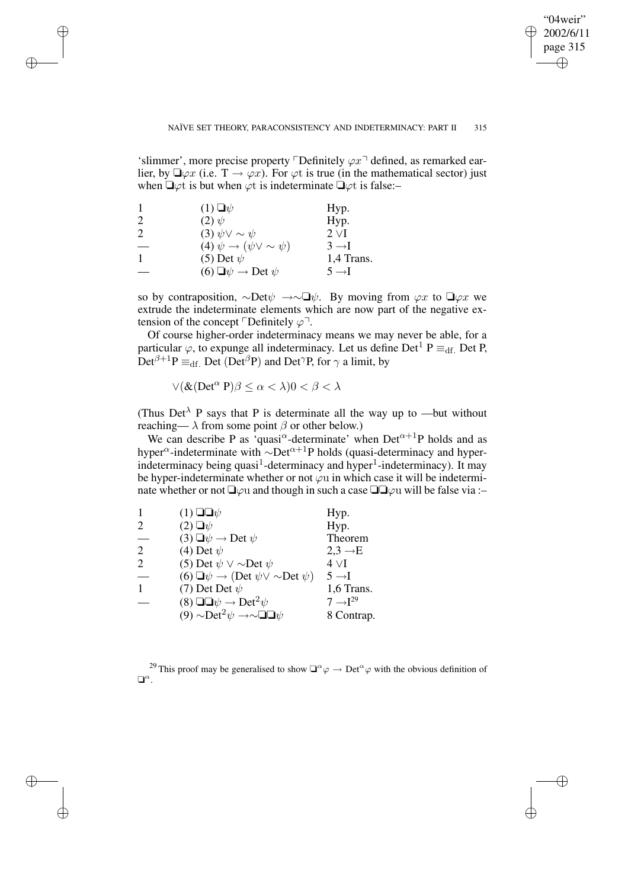✐

#### NAÏVE SET THEORY, PARACONSISTENCY AND INDETERMINACY: PART II 315

'slimmer', more precise property  $\Box$ Definitely  $\varphi x \Box$  defined, as remarked earlier, by  $\Box \varphi x$  (i.e.  $T \to \varphi x$ ). For  $\varphi t$  is true (in the mathematical sector) just when  $\Box \varphi t$  is but when  $\varphi t$  is indeterminate  $\Box \varphi t$  is false:-

|   | $(1) \Box \psi$                              | Hyp.              |
|---|----------------------------------------------|-------------------|
| 2 | $(2) \psi$                                   | Hyp.              |
| 2 | (3) $\psi \vee \sim \psi$                    | $2 \vee I$        |
|   | (4) $\psi \rightarrow (\psi \vee \sim \psi)$ | $3 \rightarrow I$ |
|   | (5) Det $\psi$                               | 1,4 Trans.        |
|   | (6) $\Box \psi \rightarrow$ Det $\psi$       | $5 \rightarrow I$ |

✐

✐

✐

✐

so by contraposition,  $\sim$ Det $\psi \rightarrow \sim \Box \psi$ . By moving from  $\varphi x$  to  $\Box \varphi x$  we extrude the indeterminate elements which are now part of the negative extension of the concept  $\ulcorner$ Definitely  $\varphi \urcorner$ .

Of course higher-order indeterminacy means we may never be able, for a particular  $\varphi$ , to expunge all indeterminacy. Let us define Det<sup>1</sup> P  $\equiv_{df}$  Det P,  $Det^{\beta+1}P \equiv_{df} Det (Det^{\beta}P)$  and Det<sup> $\gamma$ </sup>P, for  $\gamma$  a limit, by

$$
\vee (\&(\text{Det}^{\alpha} P)\beta \leq \alpha < \lambda)0 < \beta < \lambda
$$

(Thus Det<sup> $\lambda$ </sup> P says that P is determinate all the way up to —but without reaching—  $\lambda$  from some point  $\beta$  or other below.)

We can describe P as  $\cdot$ quasi $\alpha$ -determinate' when Det $\alpha$ <sup>+1</sup>P holds and as hyper<sup>α</sup>-indeterminate with ~Det<sup>α+1</sup>P holds (quasi-determinacy and hyperindeterminacy being quasi<sup>1</sup>-determinacy and hyper<sup>1</sup>-indeterminacy). It may be hyper-indeterminate whether or not  $\varphi u$  in which case it will be indeterminate whether or not  $\Box \varphi u$  and though in such a case  $\Box \Box \varphi u$  will be false via :-

|                | $(1)$ $\square \neg \psi$                                                 | Hyp.                   |
|----------------|---------------------------------------------------------------------------|------------------------|
| 2              | $(2)$ $\Box \psi$                                                         | Hyp.                   |
|                | (3) $\Box \psi \rightarrow$ Det $\psi$                                    | Theorem                |
| 2              | (4) Det $\psi$                                                            | $2,3 \rightarrow E$    |
| $\overline{2}$ | (5) Det $\psi \vee \sim$ Det $\psi$                                       | $4\,\mathrm{VI}$       |
|                | (6) $\Box \psi \rightarrow (\text{Det } \psi \lor \sim \text{Det } \psi)$ | $5 \rightarrow I$      |
|                | (7) Det Det $\psi$                                                        | 1,6 Trans.             |
|                | (8) $\Box \Box \psi \rightarrow$ Det <sup>2</sup> $\psi$                  | $7 \rightarrow I^{29}$ |
|                | (9) $\sim$ Det <sup>2</sup> $\psi \rightarrow \sim \Box \Box \psi$        | 8 Contrap.             |

<sup>29</sup> This proof may be generalised to show  $\Box^{\alpha}\varphi \to \mathrm{Det}^{\alpha}\varphi$  with the obvious definition of  $\Box^{\alpha}$ .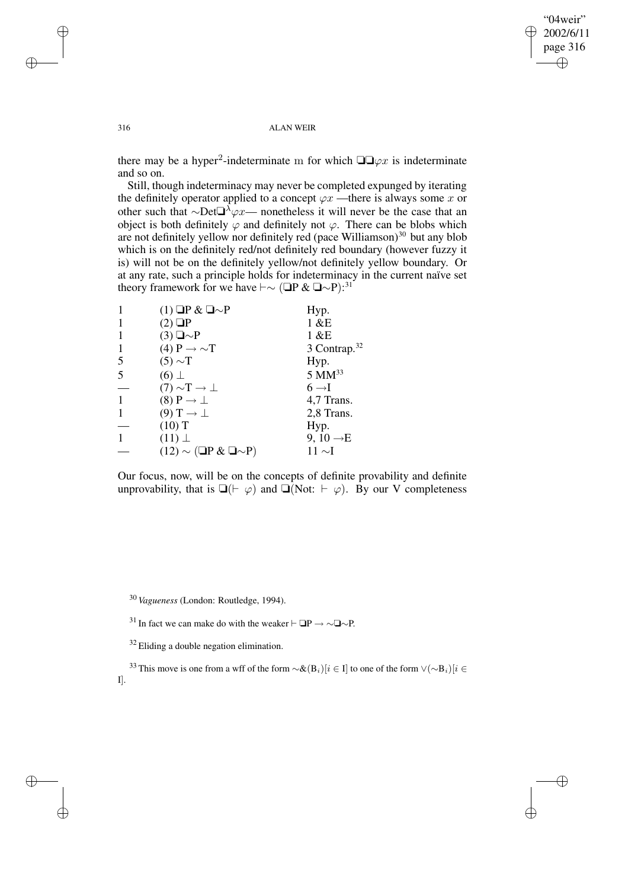$\oplus$ 

✐

#### 316 ALAN WEIR

there may be a hyper<sup>2</sup>-indeterminate m for which  $\square \square \varphi x$  is indeterminate and so on.

Still, though indeterminacy may never be completed expunged by iterating the definitely operator applied to a concept  $\varphi x$  —there is always some x or other such that ∼Det $\Box^{\lambda}\varphi x$ — nonetheless it will never be the case that an object is both definitely  $\varphi$  and definitely not  $\varphi$ . There can be blobs which are not definitely yellow nor definitely red (pace Williamson)<sup>30</sup> but any blob which is on the definitely red/not definitely red boundary (however fuzzy it is) will not be on the definitely yellow/not definitely yellow boundary. Or at any rate, such a principle holds for indeterminacy in the current naïve set theory framework for we have  $\vdash \sim (\Box P \& \Box \sim P)$ :<sup>31</sup>

|   | $(1)$ $\Box P \& \Box \sim P$             | Hyp.                     |
|---|-------------------------------------------|--------------------------|
|   | $(2)$ $\Box P$                            | 1 & E                    |
|   | $(3) \square \sim P$                      | 1 & E                    |
| 1 | (4) $P \rightarrow \sim T$                | 3 Contrap. <sup>32</sup> |
| 5 | $(5) \sim T$                              | Hyp.                     |
| 5 | $(6)$ $\perp$                             | $5 \text{ MM}^{33}$      |
|   | $(7) \sim T \rightarrow \perp$            | $6 \rightarrow I$        |
| 1 | $(8)$ P $\rightarrow \perp$               | 4,7 Trans.               |
|   | $(9) T \rightarrow \perp$                 | 2,8 Trans.               |
|   | $(10)$ T                                  | Hyp.                     |
|   | $(11)$ $\perp$                            | 9, 10 $\rightarrow$ E    |
|   | $(12) \sim (\square P \& \square \sim P)$ | $11 \sim I$              |

Our focus, now, will be on the concepts of definite provability and definite unprovability, that is  $\Box(\vdash \varphi)$  and  $\Box(\text{Not: } \vdash \varphi)$ . By our V completeness

<sup>30</sup> *Vagueness* (London: Routledge, 1994).

<sup>31</sup> In fact we can make do with the weaker  $\vdash$  **</u>**  $\Box$ P → ∼ $\Box$ 

 $32$  Eliding a double negation elimination.

<sup>33</sup> This move is one from a wff of the form  $\sim \& (B_i)[i \in I]$  to one of the form  $\vee (\sim B_i)[i \in I]$ I].

✐

✐

✐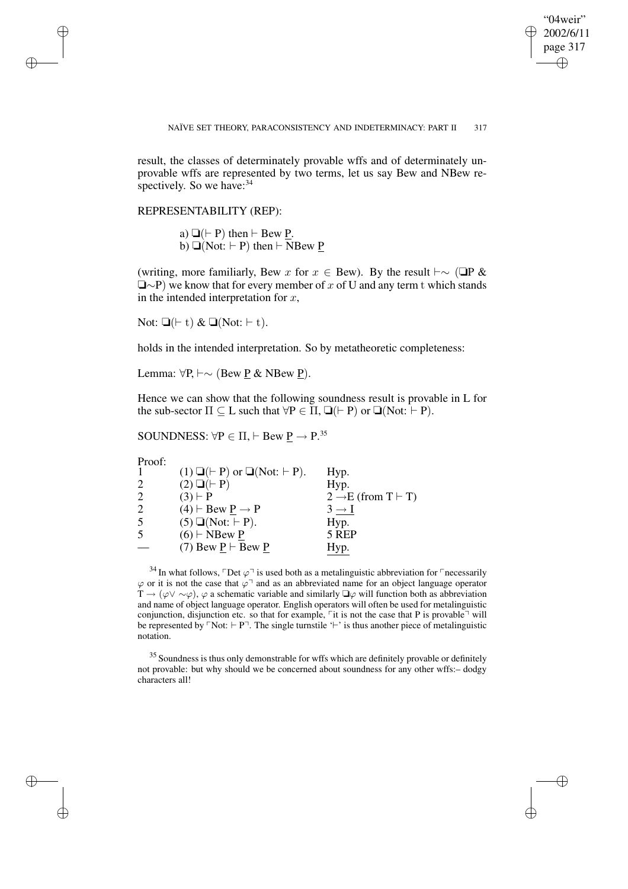✐

#### NAÏVE SET THEORY, PARACONSISTENCY AND INDETERMINACY: PART II 317

result, the classes of determinately provable wffs and of determinately unprovable wffs are represented by two terms, let us say Bew and NBew respectively. So we have: $34$ 

REPRESENTABILITY (REP):

a)  $\Box$ ( $\vdash$  P) then  $\vdash$  Bew P. b)  $\Box$ (Not:  $\vdash$  P) then  $\vdash$  NBew P

(writing, more familiarly, Bew x for  $x \in$  Bew). By the result  $\vdash \sim (\Box P \& )$  $\Box \sim P$ ) we know that for every member of x of U and any term t which stands in the intended interpretation for  $x$ ,

Not:  $\Box(\vdash t) \& \Box(\text{Not:} \vdash t).$ 

holds in the intended interpretation. So by metatheoretic completeness:

Lemma: ∀P,  $\vdash \sim$  (Bew P & NBew P).

Hence we can show that the following soundness result is provable in L for the sub-sector  $\Pi \subseteq L$  such that  $\forall P \in \Pi$ ,  $\Box(\vdash P)$  or  $\Box(\text{Not:} \vdash P)$ .

SOUNDNESS:  $\forall P \in \Pi, \vdash \text{Bew } \underline{P} \rightarrow P$ .<sup>35</sup>

Proof:

✐

✐

✐

✐

| .<br>1         | $(1) \square (+ P)$ or $\square (Not: \vdash P)$ . | Hyp.                                  |
|----------------|----------------------------------------------------|---------------------------------------|
| 2              | $(2) \square (+ P)$                                | Hyp.                                  |
| $\overline{2}$ | $(3) \vdash P$                                     | $2 \rightarrow E$ (from T $\vdash$ T) |
| $\overline{2}$ | $(4) \vdash$ Bew P $\rightarrow$ P                 | $3 \rightarrow I$                     |
| 5              | $(5) \square(Not: \vdash P).$                      | Hyp.                                  |
| 5              | $(6)$ $\vdash$ NBew P                              | 5 REP                                 |
|                | (7) Bew $P \vdash$ Bew P                           | Hyp.                                  |
|                |                                                    |                                       |

 $^{34}$  In what follows,  $\ulcorner$  Det  $\varphi \urcorner$  is used both as a metalinguistic abbreviation for  $\ulcorner$  necessarily  $\varphi$  or it is not the case that  $\varphi$ <sup>-1</sup> and as an abbreviated name for an object language operator  $T \to (\varphi \lor \sim \varphi)$ ,  $\varphi$  a schematic variable and similarly  $\Box \varphi$  will function both as abbreviation and name of object language operator. English operators will often be used for metalinguistic conjunction, disjunction etc. so that for example,  $\ulcorner$  it is not the case that P is provable $\urcorner$  will be represented by  $\ulcorner$  Not:  $\vdash$  P $\urcorner$ . The single turnstile ' $\vdash$ ' is thus another piece of metalinguistic notation.

<sup>35</sup> Soundness is thus only demonstrable for wffs which are definitely provable or definitely not provable: but why should we be concerned about soundness for any other wffs:– dodgy characters all!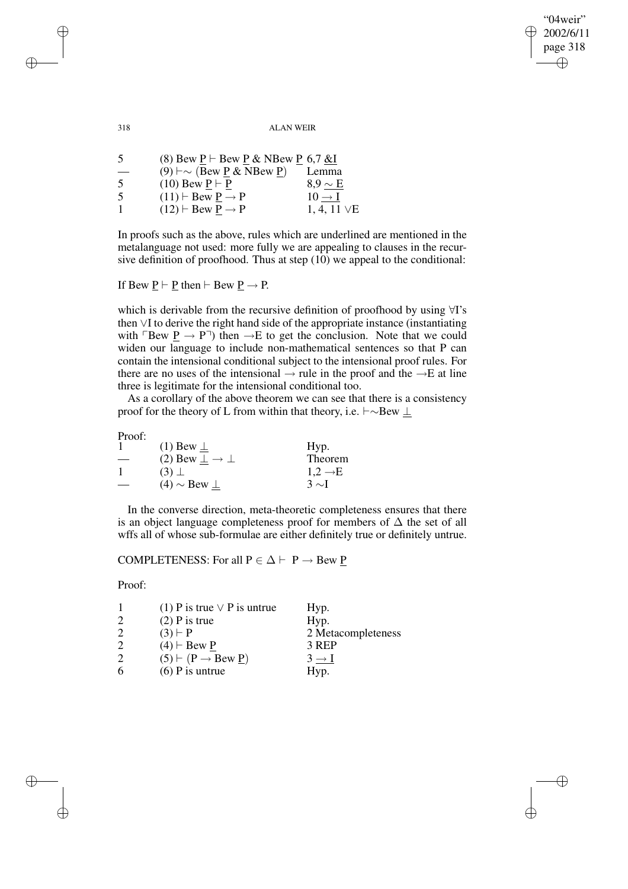"04weir" 2002/6/11 page 318 ✐ ✐

✐

✐

318 ALAN WEIR

| -5                       | (8) Bew P $\vdash$ Bew P & NBew P 6,7 &I            |                    |
|--------------------------|-----------------------------------------------------|--------------------|
| $\overline{\phantom{0}}$ | $(9)$ $\vdash \sim$ (Bew <u>P</u> & NBew <u>P</u> ) | Lemma              |
| -5                       | $(10)$ Bew $P \vdash P$                             | $8.9 \sim E$       |
| -5                       | $(11) \vdash$ Bew P $\rightarrow$ P                 | $10 \rightarrow I$ |
|                          | $(12)$ $\vdash$ Bew P $\rightarrow$ P               | 1, 4, 11 $\vee$ E  |

In proofs such as the above, rules which are underlined are mentioned in the metalanguage not used: more fully we are appealing to clauses in the recursive definition of proofhood. Thus at step (10) we appeal to the conditional:

If Bew  $\underline{P} \vdash \underline{P}$  then  $\vdash$  Bew  $\underline{P} \rightarrow P$ .

which is derivable from the recursive definition of proofhood by using ∀I's then ∨I to derive the right hand side of the appropriate instance (instantiating with  $\ulcorner$ Bew  $\underline{P} \rightarrow P\urcorner$ ) then  $\rightarrow$ E to get the conclusion. Note that we could widen our language to include non-mathematical sentences so that P can contain the intensional conditional subject to the intensional proof rules. For there are no uses of the intensional  $\rightarrow$  rule in the proof and the  $\rightarrow$ E at line three is legitimate for the intensional conditional too.

As a corollary of the above theorem we can see that there is a consistency proof for the theory of L from within that theory, i.e.  $\vdash \sim$ Bew ⊥

Proof:

| .                        |                                       |                     |
|--------------------------|---------------------------------------|---------------------|
|                          | $(1)$ Bew $\perp$                     | Hyp.                |
| $\overline{\phantom{a}}$ | (2) Bew $\perp$ $\rightarrow$ $\perp$ | Theorem             |
|                          | $(3)$ $\perp$                         | $1.2 \rightarrow E$ |
|                          | $(4) \sim$ Bew $\perp$                | $3 \sim I$          |

In the converse direction, meta-theoretic completeness ensures that there is an object language completeness proof for members of  $\Delta$  the set of all wffs all of whose sub-formulae are either definitely true or definitely untrue.

# COMPLETENESS: For all  $P \in \Delta \vdash P \rightarrow$  Bew P

Proof:

✐

✐

|   | (1) P is true $\vee$ P is untrue   | Hyp.               |
|---|------------------------------------|--------------------|
| 2 | $(2)$ P is true                    | Hyp.               |
| 2 | $(3) \vdash P$                     | 2 Metacompleteness |
| 2 | $(4)$ $\vdash$ Bew P               | 3 REP              |
| 2 | $(5) \vdash (P \rightarrow Bew P)$ | $3 \rightarrow I$  |
| 6 | $(6)$ P is untrue                  | Hyp.               |

✐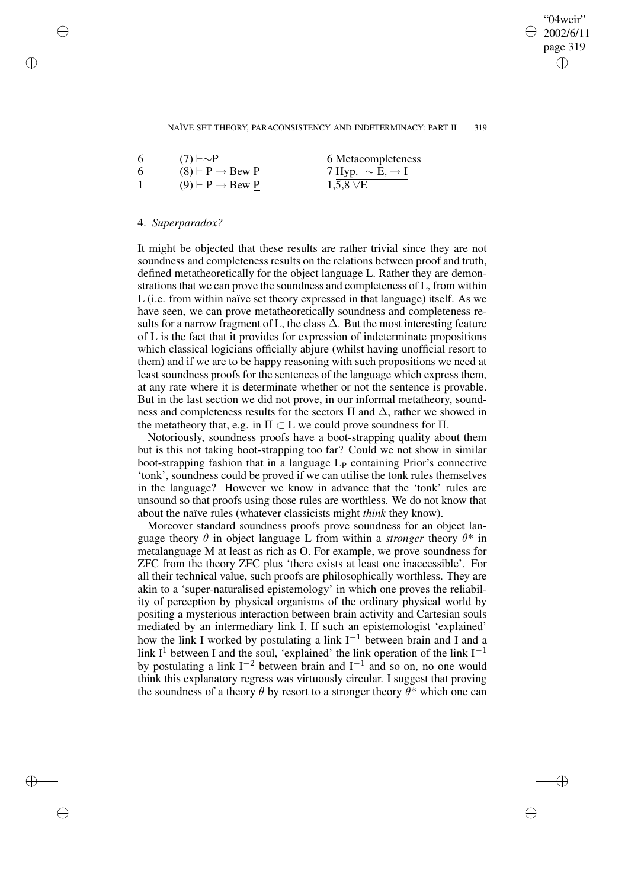### $04$ weir" 2002/6/11 page 319 ✐ ✐

✐

✐

#### NAÏVE SET THEORY, PARACONSISTENCY AND INDETERMINACY: PART II 319

| 6 | $(7) \vdash \sim P$              | 6 Metacompleteness               |
|---|----------------------------------|----------------------------------|
| 6 | $(8) \vdash P \rightarrow$ Bew P | 7 Hyp. $\sim$ E, $\rightarrow$ I |
|   | $(9) \vdash P \rightarrow$ Bew P | $1,5,8 \vee E$                   |

### 4. *Superparadox?*

✐

✐

✐

✐

It might be objected that these results are rather trivial since they are not soundness and completeness results on the relations between proof and truth, defined metatheoretically for the object language L. Rather they are demonstrations that we can prove the soundness and completeness of L, from within L (i.e. from within naïve set theory expressed in that language) itself. As we have seen, we can prove metatheoretically soundness and completeness results for a narrow fragment of L, the class  $\Delta$ . But the most interesting feature of L is the fact that it provides for expression of indeterminate propositions which classical logicians officially abjure (whilst having unofficial resort to them) and if we are to be happy reasoning with such propositions we need at least soundness proofs for the sentences of the language which express them, at any rate where it is determinate whether or not the sentence is provable. But in the last section we did not prove, in our informal metatheory, soundness and completeness results for the sectors  $\Pi$  and  $\Delta$ , rather we showed in the metatheory that, e.g. in  $\Pi \subset L$  we could prove soundness for  $\Pi$ .

Notoriously, soundness proofs have a boot-strapping quality about them but is this not taking boot-strapping too far? Could we not show in similar boot-strapping fashion that in a language  $L<sub>P</sub>$  containing Prior's connective 'tonk', soundness could be proved if we can utilise the tonk rules themselves in the language? However we know in advance that the 'tonk' rules are unsound so that proofs using those rules are worthless. We do not know that about the naïve rules (whatever classicists might *think* they know).

Moreover standard soundness proofs prove soundness for an object language theory  $\theta$  in object language L from within a *stronger* theory  $\theta^*$  in metalanguage M at least as rich as O. For example, we prove soundness for ZFC from the theory ZFC plus 'there exists at least one inaccessible'. For all their technical value, such proofs are philosophically worthless. They are akin to a 'super-naturalised epistemology' in which one proves the reliability of perception by physical organisms of the ordinary physical world by positing a mysterious interaction between brain activity and Cartesian souls mediated by an intermediary link I. If such an epistemologist 'explained' how the link I worked by postulating a link  $I^{-1}$  between brain and I and a link  $I<sup>1</sup>$  between I and the soul, 'explained' the link operation of the link  $I<sup>-1</sup>$ by postulating a link  $I^{-2}$  between brain and  $I^{-1}$  and so on, no one would think this explanatory regress was virtuously circular. I suggest that proving the soundness of a theory  $\theta$  by resort to a stronger theory  $\theta^*$  which one can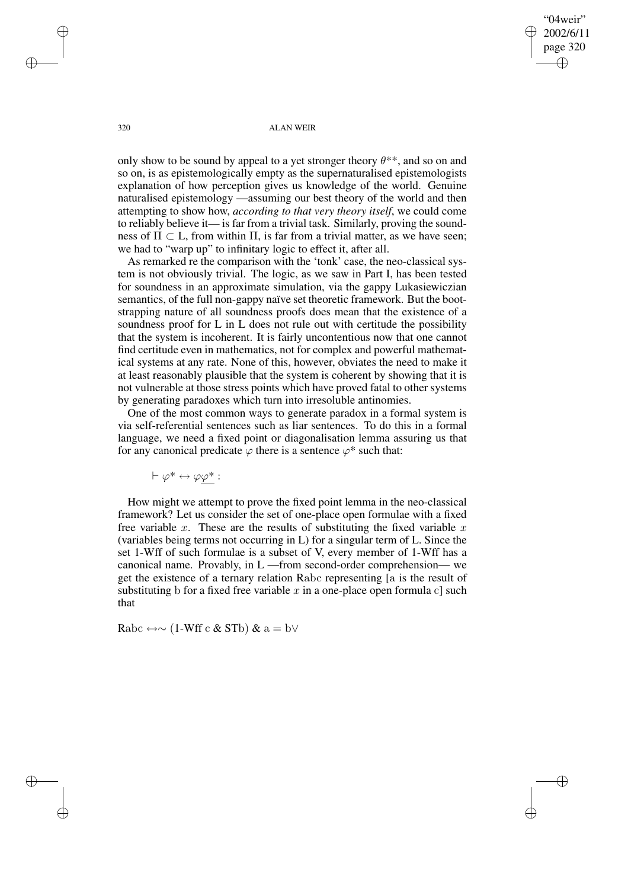$04$ weir" 2002/6/11 page 320 ✐ ✐

✐

✐

320 ALAN WEIR

only show to be sound by appeal to a yet stronger theory  $\theta^{**}$ , and so on and so on, is as epistemologically empty as the supernaturalised epistemologists explanation of how perception gives us knowledge of the world. Genuine naturalised epistemology —assuming our best theory of the world and then attempting to show how, *according to that very theory itself*, we could come to reliably believe it— is far from a trivial task. Similarly, proving the soundness of  $\Pi \subset L$ , from within  $\Pi$ , is far from a trivial matter, as we have seen; we had to "warp up" to infinitary logic to effect it, after all.

As remarked re the comparison with the 'tonk' case, the neo-classical system is not obviously trivial. The logic, as we saw in Part I, has been tested for soundness in an approximate simulation, via the gappy Lukasiewiczian semantics, of the full non-gappy naïve set theoretic framework. But the bootstrapping nature of all soundness proofs does mean that the existence of a soundness proof for L in L does not rule out with certitude the possibility that the system is incoherent. It is fairly uncontentious now that one cannot find certitude even in mathematics, not for complex and powerful mathematical systems at any rate. None of this, however, obviates the need to make it at least reasonably plausible that the system is coherent by showing that it is not vulnerable at those stress points which have proved fatal to other systems by generating paradoxes which turn into irresoluble antinomies.

One of the most common ways to generate paradox in a formal system is via self-referential sentences such as liar sentences. To do this in a formal language, we need a fixed point or diagonalisation lemma assuring us that for any canonical predicate  $\varphi$  there is a sentence  $\varphi^*$  such that:

 $\vdash \varphi^* \leftrightarrow \varphi \varphi^*$  :

How might we attempt to prove the fixed point lemma in the neo-classical framework? Let us consider the set of one-place open formulae with a fixed free variable x. These are the results of substituting the fixed variable  $x$ (variables being terms not occurring in L) for a singular term of L. Since the set 1-Wff of such formulae is a subset of V, every member of 1-Wff has a canonical name. Provably, in L —from second-order comprehension— we get the existence of a ternary relation Rabc representing [a is the result of substituting b for a fixed free variable  $x$  in a one-place open formula c] such that

Rabc  $\leftrightarrow \sim (1\text{-Wff}\ c\ \&\ \text{STb})\ \&\ a = b\lor$ 

✐

✐

✐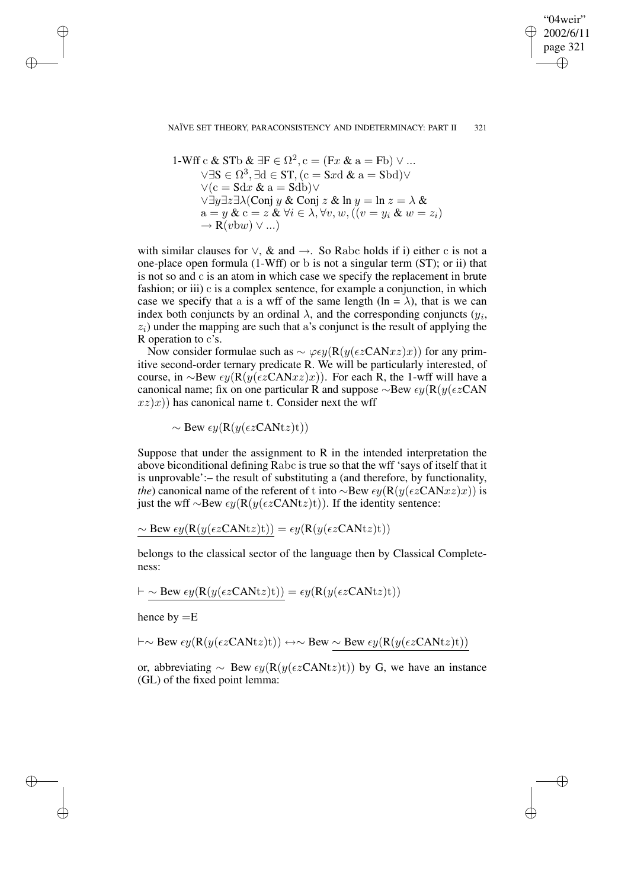"04weir" 2002/6/11 page 321 ✐ ✐

✐

✐

#### NAÏVE SET THEORY, PARACONSISTENCY AND INDETERMINACY: PART II 321

1-Wff c & STb & IF 
$$
\in \Omega^2
$$
, c = (Fx & a = Fb)  $\vee$  ...  
\n $\vee \exists S \in \Omega^3, \exists d \in ST, (c = Sxd \& a = Sbd)$  $\vee$   
\n $\vee (c = Sdx \& a = Sdb)$  $\vee$   
\n $\vee \exists y \exists z \exists \lambda (Conj y \& Conj z \& In y = In z = \lambda \& a = y \& c = z \& \forall i \in \lambda, \forall v, w, ((v = y_i \& w = z_i)$   
\n $\rightarrow R(vbw) \vee ...)$ 

with similar clauses for  $\vee$ , & and  $\rightarrow$ . So Rabc holds if i) either c is not a one-place open formula (1-Wff) or b is not a singular term (ST); or ii) that is not so and c is an atom in which case we specify the replacement in brute fashion; or iii) c is a complex sentence, for example a conjunction, in which case we specify that a is a wff of the same length  $(\ln = \lambda)$ , that is we can index both conjuncts by an ordinal  $\lambda$ , and the corresponding conjuncts  $(y_i,$  $z<sub>i</sub>$ ) under the mapping are such that a's conjunct is the result of applying the R operation to c's.

Now consider formulae such as  $\sim \varphi \epsilon y (\mathbf{R}(y(\epsilon z \mathbf{CAN} xz)x))$  for any primitive second-order ternary predicate R. We will be particularly interested, of course, in ∼Bew  $\epsilon y(R(y(\epsilon z CANxz)x))$ . For each R, the 1-wff will have a canonical name; fix on one particular R and suppose  $\sim$ Bew  $\epsilon y(R(y(\epsilon z CAN$  $(xz)x$ ) has canonical name t. Consider next the wff

 $\sim$  Bew  $\epsilon y(R(y(\epsilon z CANtz)t))$ 

Suppose that under the assignment to R in the intended interpretation the above biconditional defining Rabc is true so that the wff 'says of itself that it is unprovable':– the result of substituting a (and therefore, by functionality, *the*) canonical name of the referent of t into ∼Bew  $\epsilon y(R(y(\epsilon z CANxz)x))$  is just the wff ∼Bew  $\epsilon y(R(y(\epsilon z CANtz)t))$ . If the identity sentence:

$$
\sim
$$
Bew  $\epsilon y(R(y(\epsilon z \text{CAN} t z)t)) = \epsilon y(R(y(\epsilon z \text{CAN} t z)t))$ 

belongs to the classical sector of the language then by Classical Completeness:

$$
\vdash \sim \text{Bew } \epsilon y(\mathbf{R}(y(\epsilon z \mathbf{CAN} t z)t)) = \epsilon y(\mathbf{R}(y(\epsilon z \mathbf{CAN} t z)t))
$$

hence by  $=E$ 

✐

✐

✐

✐

$$
\vdash \sim \text{Bew } \epsilon y(R(y(\epsilon z \text{CAN} t z)t)) \leftrightarrow \sim \text{Bew } \sim \text{Bew } \epsilon y(R(y(\epsilon z \text{CAN} t z)t))
$$

or, abbreviating  $\sim$  Bew  $\epsilon y(R(y(\epsilon z CANtz)t))$  by G, we have an instance (GL) of the fixed point lemma: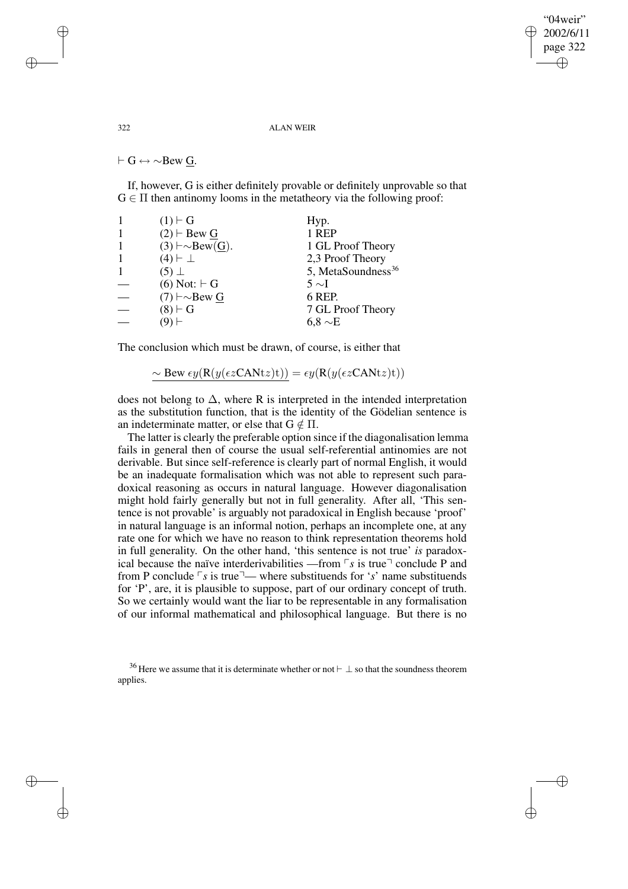"04weir" 2002/6/11 page 322 ✐ ✐

✐

✐

#### 322 ALAN WEIR

 $\vdash$  G  $\leftrightarrow \sim$ Bew G.

If, however, G is either definitely provable or definitely unprovable so that  $G \in \Pi$  then antinomy looms in the metatheory via the following proof:

| $(1) \vdash G$                | Hyp.                           |
|-------------------------------|--------------------------------|
| $(2)$ $\vdash$ Bew G          | 1 REP                          |
| $(3) \vdash \sim$ Bew $(G)$ . | 1 GL Proof Theory              |
| $(4) \vdash \perp$            | 2,3 Proof Theory               |
| $(5)$ $\perp$                 | 5, MetaSoundness <sup>36</sup> |
| $(6)$ Not: $\vdash$ G         | $5 \sim I$                     |
| $(7)$ $\vdash \sim$ Bew G     | 6 REP.                         |
| $(8) \vdash G$                | 7 GL Proof Theory              |
|                               | 6.8 $\sim$ E                   |

The conclusion which must be drawn, of course, is either that

$$
\sim
$$
 Bew  $\epsilon y(R(y(\epsilon z \text{CAN} t z)t)) = \epsilon y(R(y(\epsilon z \text{CAN} t z)t))$ 

does not belong to  $\Delta$ , where R is interpreted in the intended interpretation as the substitution function, that is the identity of the Gödelian sentence is an indeterminate matter, or else that  $G \notin \Pi$ .

The latter is clearly the preferable option since if the diagonalisation lemma fails in general then of course the usual self-referential antinomies are not derivable. But since self-reference is clearly part of normal English, it would be an inadequate formalisation which was not able to represent such paradoxical reasoning as occurs in natural language. However diagonalisation might hold fairly generally but not in full generality. After all, 'This sentence is not provable' is arguably not paradoxical in English because 'proof' in natural language is an informal notion, perhaps an incomplete one, at any rate one for which we have no reason to think representation theorems hold in full generality. On the other hand, 'this sentence is not true' *is* paradoxical because the naïve interderivabilities —from  $\lceil s \rceil$  is true  $\lceil$  conclude P and from P conclude  $\lceil s \rceil$  is true<sup> $\lceil s \rceil$ </sup> where substituends for '*s*' name substituends for 'P', are, it is plausible to suppose, part of our ordinary concept of truth. So we certainly would want the liar to be representable in any formalisation of our informal mathematical and philosophical language. But there is no

✐

✐

✐

<sup>&</sup>lt;sup>36</sup> Here we assume that it is determinate whether or not  $\vdash \bot$  so that the soundness theorem applies.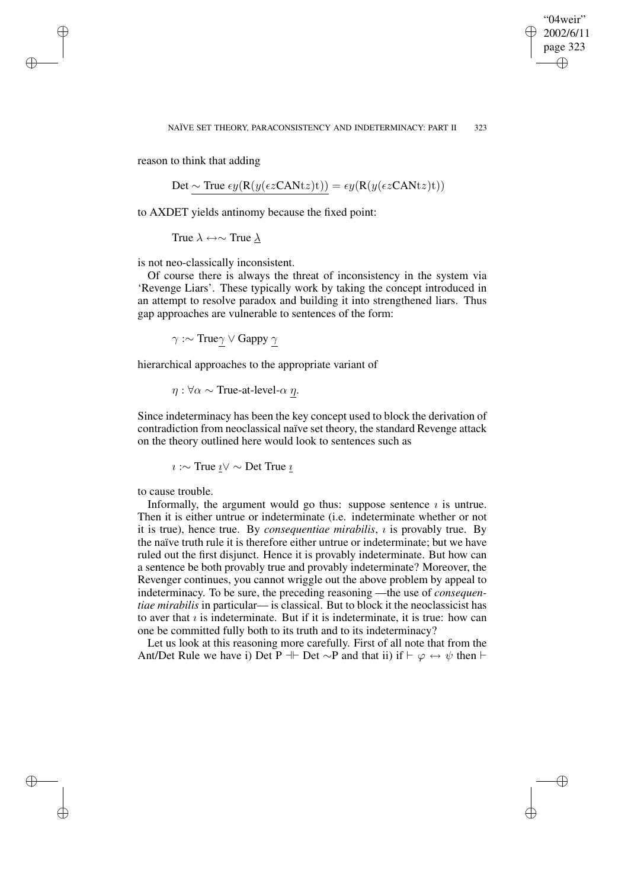✐

reason to think that adding

✐

✐

✐

✐

Det ∼ True  $\epsilon y(R(y(\epsilon z CANtz)t)) = \epsilon y(R(y(\epsilon z CANtz)t))$ 

to AXDET yields antinomy because the fixed point:

True  $\lambda \leftrightarrow \sim$  True  $\lambda$ 

is not neo-classically inconsistent.

Of course there is always the threat of inconsistency in the system via 'Revenge Liars'. These typically work by taking the concept introduced in an attempt to resolve paradox and building it into strengthened liars. Thus gap approaches are vulnerable to sentences of the form:

 $γ$  :~ Trueγ  $∨$  Gappy  $γ$ 

hierarchical approaches to the appropriate variant of

 $\eta$  :  $\forall \alpha \sim$  True-at-level- $\alpha \eta$ .

Since indeterminacy has been the key concept used to block the derivation of contradiction from neoclassical naïve set theory, the standard Revenge attack on the theory outlined here would look to sentences such as

 $i \sim$  True  $i$  ∨  $\sim$  Det True  $i$ 

to cause trouble.

Informally, the argument would go thus: suppose sentence  $i$  is untrue. Then it is either untrue or indeterminate (i.e. indeterminate whether or not it is true), hence true. By *consequentiae mirabilis*, *i* is provably true. By the naïve truth rule it is therefore either untrue or indeterminate; but we have ruled out the first disjunct. Hence it is provably indeterminate. But how can a sentence be both provably true and provably indeterminate? Moreover, the Revenger continues, you cannot wriggle out the above problem by appeal to indeterminacy. To be sure, the preceding reasoning —the use of *consequentiae mirabilis* in particular— is classical. But to block it the neoclassicist has to aver that  $i$  is indeterminate. But if it is indeterminate, it is true: how can one be committed fully both to its truth and to its indeterminacy?

Let us look at this reasoning more carefully. First of all note that from the Ant/Det Rule we have i) Det P  $\mathbb{H}$  Det  $\sim$ P and that ii) if  $\vdash \varphi \leftrightarrow \psi$  then  $\vdash$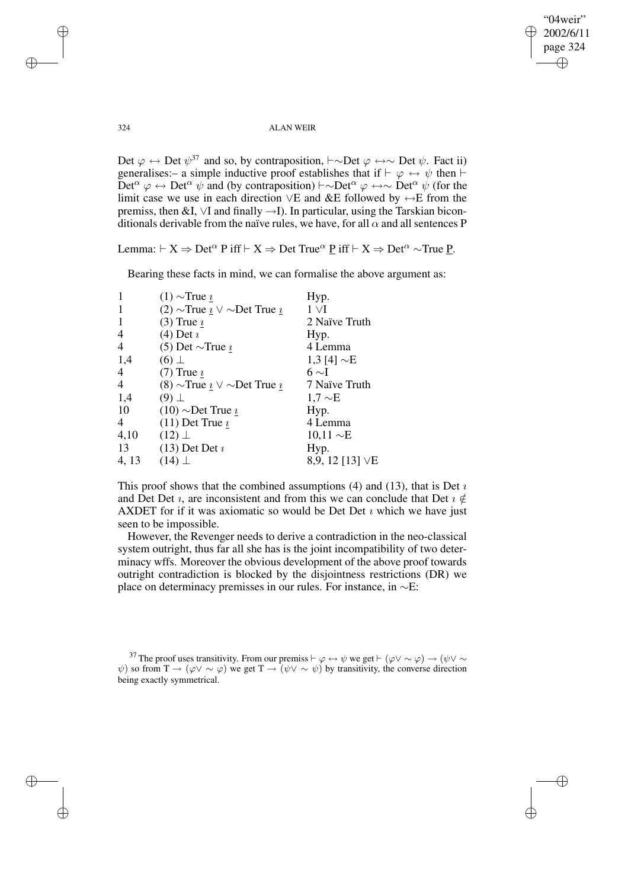"04weir" 2002/6/11 page 324 ✐ ✐

✐

✐

324 ALAN WEIR

Det  $\varphi \leftrightarrow$  Det  $\psi^{37}$  and so, by contraposition,  $\vdash \sim$ Det  $\varphi \leftrightarrow \sim$  Det  $\psi$ . Fact ii) generalises:– a simple inductive proof establishes that if  $\vdash \varphi \leftrightarrow \psi$  then  $\vdash$ Det<sup>α</sup>  $\varphi \leftrightarrow$  Det<sup>α</sup>  $\psi$  and (by contraposition)  $\vdash \sim$ Det<sup>α</sup>  $\varphi \leftrightarrow$  Det<sup>α</sup>  $\psi$  (for the limit case we use in each direction ∨E and &E followed by ↔E from the premiss, then &I, ∨I and finally →I). In particular, using the Tarskian biconditionals derivable from the naïve rules, we have, for all  $\alpha$  and all sentences P

Lemma:  $\vdash X \Rightarrow$  Det<sup> $\alpha$ </sup> P iff  $\vdash X \Rightarrow$  Det True<sup> $\alpha$ </sup> P iff  $\vdash X \Rightarrow$  Det<sup> $\alpha$ </sup> ∼True P.

Bearing these facts in mind, we can formalise the above argument as:

| $\mathbf{1}$   | $(1)$ ~True $\imath$                   | Hyp.             |
|----------------|----------------------------------------|------------------|
| $\mathbf{1}$   | $(2)$ ~True $i \vee \sim$ Det True $i$ | $1 \vee I$       |
| 1              | $(3)$ True $\imath$                    | 2 Naïve Truth    |
| 4              | $(4)$ Det $i$                          | Hyp.             |
| $\overline{4}$ | (5) Det $\sim$ True $\imath$           | 4 Lemma          |
| 1,4            | $(6)$ $\perp$                          | 1,3 [4] $\sim$ E |
| $\overline{4}$ | (7) True $\underline{\imath}$          | $6 \sim I$       |
| $\overline{4}$ | $(8)$ ~True $i \vee \sim$ Det True $i$ | 7 Naïve Truth    |
| 1,4            | $(9)$ $\perp$                          | $1.7 \sim E$     |
| 10             | $(10)$ ~Det True $\iota$               | Hyp.             |
| 4              | (11) Det True $\underline{\imath}$     | 4 Lemma          |
| 4,10           | $(12)$ $\perp$                         | $10,11 \sim E$   |
| 13             | $(13)$ Det Det $i$                     | Hyp.             |
| 4, 13          | $(14)$ $\perp$                         | 8,9, 12 [13] VE  |

This proof shows that the combined assumptions  $(4)$  and  $(13)$ , that is Det  $\nu$ and Det Det  $\imath$ , are inconsistent and from this we can conclude that Det  $\imath \notin$ AXDET for if it was axiomatic so would be Det Det  $\imath$  which we have just seen to be impossible.

However, the Revenger needs to derive a contradiction in the neo-classical system outright, thus far all she has is the joint incompatibility of two determinacy wffs. Moreover the obvious development of the above proof towards outright contradiction is blocked by the disjointness restrictions (DR) we place on determinacy premisses in our rules. For instance, in ∼E:

<sup>37</sup> The proof uses transitivity. From our premiss  $\vdash \varphi \leftrightarrow \psi$  we get  $\vdash (\varphi \vee \sim \varphi) \rightarrow (\psi \vee \sim$  $\psi$ ) so from  $T \to (\varphi \vee \sim \varphi)$  we get  $T \to (\psi \vee \sim \psi)$  by transitivity, the converse direction being exactly symmetrical.

✐

✐

✐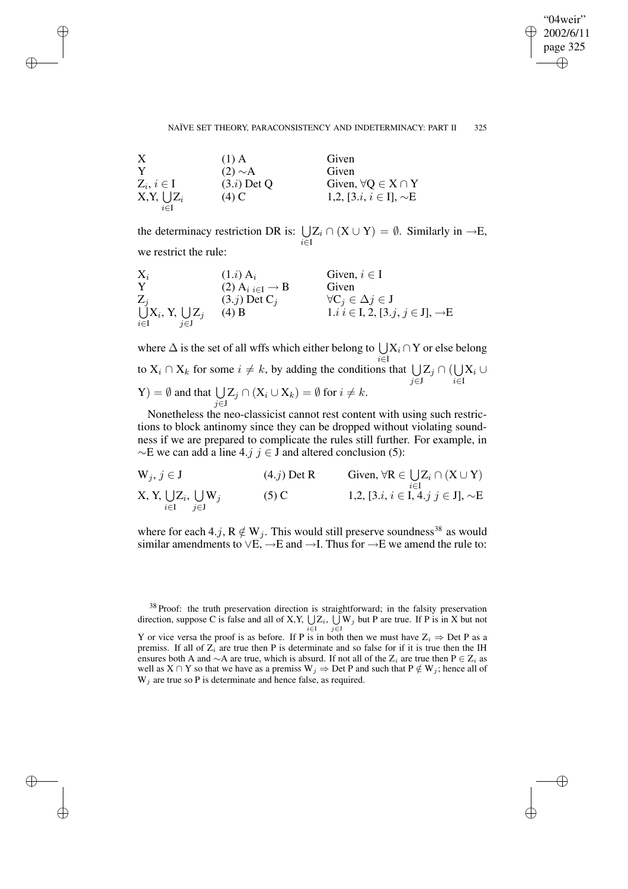✐

#### NAÏVE SET THEORY, PARACONSISTENCY AND INDETERMINACY: PART II 325

| X               | $(1)$ A       | Given                                     |
|-----------------|---------------|-------------------------------------------|
| Y               | $(2) \sim A$  | Given                                     |
| $Z_i, i \in I$  | $(3.i)$ Det Q | Given, $\forall Q \in X \cap Y$           |
| $X,Y, \cup Z_i$ | $(4)$ C       | 1,2, [3. <i>i</i> , $i \in I$ ], $\sim E$ |
| $i \in I$       |               |                                           |

✐

✐

✐

✐

the determinacy restriction DR is:  $\bigcup$ i∈I  $Z_i \cap (X \cup Y) = \emptyset$ . Similarly in  $\neg E$ , we restrict the rule:

| $X_i$                            | $(1.i)$ A <sub>i</sub>                           | Given, $i \in I$                                  |
|----------------------------------|--------------------------------------------------|---------------------------------------------------|
| Y                                | $(2)$ A <sub>i</sub> $_{i\in I}$ $\rightarrow$ B | Given                                             |
| $Z_i$                            | $(3.j)$ Det C <sub>i</sub>                       | $\forall C_j \in \Delta j \in J$                  |
| $\bigcup X_i$ , Y, $\bigcup Z_j$ | $(4)$ B                                          | $1.i \ i \in I, 2, [3.j, j \in J], \rightarrow E$ |
| $i \in I$<br>$i \in J$           |                                                  |                                                   |

where  $\Delta$  is the set of all wffs which either belong to  $\bigcup$ i∈I  $X_i \cap Y$  or else belong to  $X_i \cap X_k$  for some  $i \neq k$ , by adding the conditions that  $\bigcup$ j∈J  $\mathrm{Z}_j\cap(\bigcup$ i∈I  $\mathrm{X}_i\cup$  $(Y) = \emptyset$  and that  $\bigcup$ j∈J  $Z_j \cap (X_i \cup X_k) = \emptyset$  for  $i \neq k$ .

Nonetheless the neo-classicist cannot rest content with using such restrictions to block antinomy since they can be dropped without violating soundness if we are prepared to complicate the rules still further. For example, in  $\sim$ E we can add a line 4.j j ∈ J and altered conclusion (5):

$$
W_j, j \in J
$$
\n
$$
X, Y, \bigcup_{i \in I} Z_i, \bigcup_{j \in J} W_j
$$
\n
$$
(4. j) Det R
$$
\n
$$
W_j, j \in J
$$
\n
$$
1, 2, [3. i, i \in I, 4. j j \in J], \sim E
$$

where for each 4.j,  $R \notin W_j$ . This would still preserve soundness<sup>38</sup> as would similar amendments to  $\vee E$ ,  $\rightarrow E$  and  $\rightarrow I$ . Thus for  $\rightarrow E$  we amend the rule to:

<sup>38</sup> Proof: the truth preservation direction is straightforward; in the falsity preservation direction, suppose C is false and all of X, Y,  $\bigcup_{i \in I} Z_i$ ,  $\bigcup_{j \in J} W_j$  but P are true. If P is in X but not Y or vice versa the proof is as before. If P is in both then we must have  $Z_i \Rightarrow$  Det P as a premiss. If all of  $Z_i$  are true then P is determinate and so false for if it is true then the IH ensures both A and ∼A are true, which is absurd. If not all of the  $Z_i$  are true then  $P \in Z_i$  as

well as  $X \cap Y$  so that we have as a premiss  $W_j \Rightarrow$  Det P and such that  $P \notin W_j$ ; hence all of  $W_j$  are true so P is determinate and hence false, as required.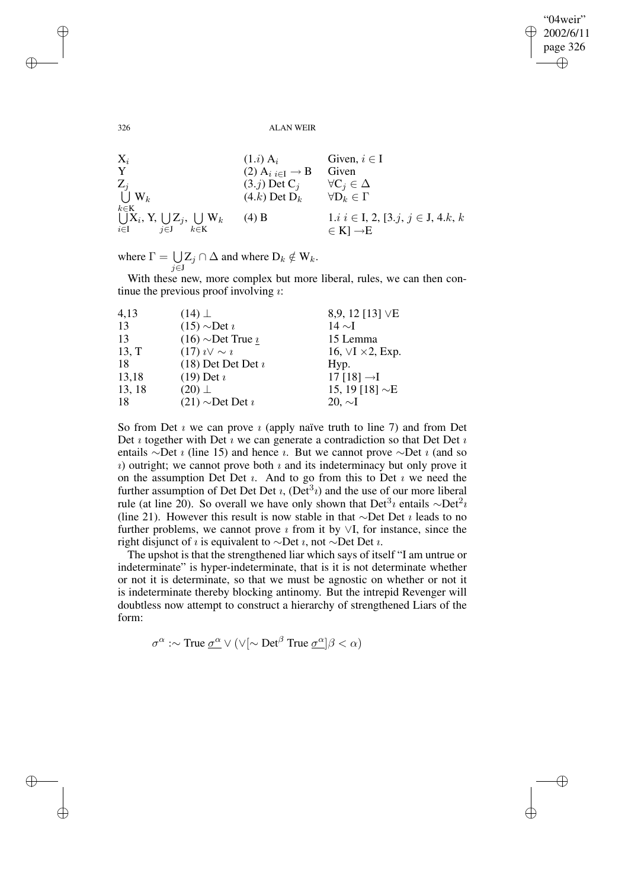"04weir" 2002/6/11 page 326 ✐ ✐

✐

✐

326 ALAN WEIR

 $X_i$  (1.*i*)  $A_i$  Given,  $i \in I$ <br>  $Y$  (2)  $A_{i,i \in I} \rightarrow B$  Given (2)  $A_i_{i \in I} \rightarrow B$  Given<br>(3.*j*) Det C<sub>*i*</sub>  $\forall C_i \in \Delta$ Z U (3.j) Det C<sub>j</sub>  $\forall C_j \in \Delta$ <br>(4.k) Det D<sub>k</sub>  $\forall D_k \in \Gamma$  $k \in K$  $(4.k)$  Det  $D_k$ U i∈I  $\mathrm{X}_i,$  Y,  $\bigcup$ j∈J  $\mathrm{Z}_{j},\ \bigcup% \mathbb{Z}_{j}$  , k∈K (4) B 1.*i*  $i \in I$ , 2, [3.*j*,  $j \in J$ , 4.*k*, *k*  $\in$  K]  $\rightarrow$  E

where  $\Gamma = \bigcup$ j∈J  $Z_j \cap \Delta$  and where  $D_k \notin W_k$ .

With these new, more complex but more liberal, rules, we can then continue the previous proof involving  $\imath$ :

| 4,13   | $(14)$ $\perp$            | 8,9, 12 [13] VE               |
|--------|---------------------------|-------------------------------|
| 13     | $(15)$ ~Det $\imath$      | $14 \sim I$                   |
| 13     | $(16)$ ~Det True $\imath$ | 15 Lemma                      |
| 13, T  | $(17)$ $i \vee \sim i$    | 16, $\vee$ I $\times$ 2, Exp. |
| 18     | $(18)$ Det Det Det $i$    | Hyp.                          |
| 13,18  | $(19)$ Det $i$            | 17 $[18] \rightarrow I$       |
| 13, 18 | $(20)$ $\perp$            | 15, 19 [18] $\sim$ E          |
| 18     | $(21)$ ~Det Det $i$       | $20, \sim I$                  |

So from Det  $\imath$  we can prove  $\imath$  (apply naïve truth to line 7) and from Det Det  $\imath$  together with Det  $\imath$  we can generate a contradiction so that Det Det  $\imath$ entails ∼Det *i* (line 15) and hence *i*. But we cannot prove ∼Det *i* (and so  $\alpha$ ) outright; we cannot prove both  $\alpha$  and its indeterminacy but only prove it on the assumption Det Det  $i$ . And to go from this to Det  $i$  we need the further assumption of Det Det Det  $i$ ,  $(\text{Det}^3 i)$  and the use of our more liberal rule (at line 20). So overall we have only shown that Det<sup>3</sup>*i* entails  $\sim$ Det<sup>2</sup>*i* (line 21). However this result is now stable in that ∼Det Det  $\imath$  leads to no further problems, we cannot prove  $\imath$  from it by  $\vee I$ , for instance, since the right disjunct of *i* is equivalent to ∼Det *i*, not ∼Det Det *i*.

The upshot is that the strengthened liar which says of itself "I am untrue or indeterminate" is hyper-indeterminate, that is it is not determinate whether or not it is determinate, so that we must be agnostic on whether or not it is indeterminate thereby blocking antinomy. But the intrepid Revenger will doubtless now attempt to construct a hierarchy of strengthened Liars of the form:

 $\sigma^{\alpha}$  :~ True  $\underline{\sigma^{\alpha}} \vee (\vee[\sim \text{Det}^{\beta}$  True  $\underline{\sigma^{\alpha}}]\beta < \alpha)$ 

✐

✐

✐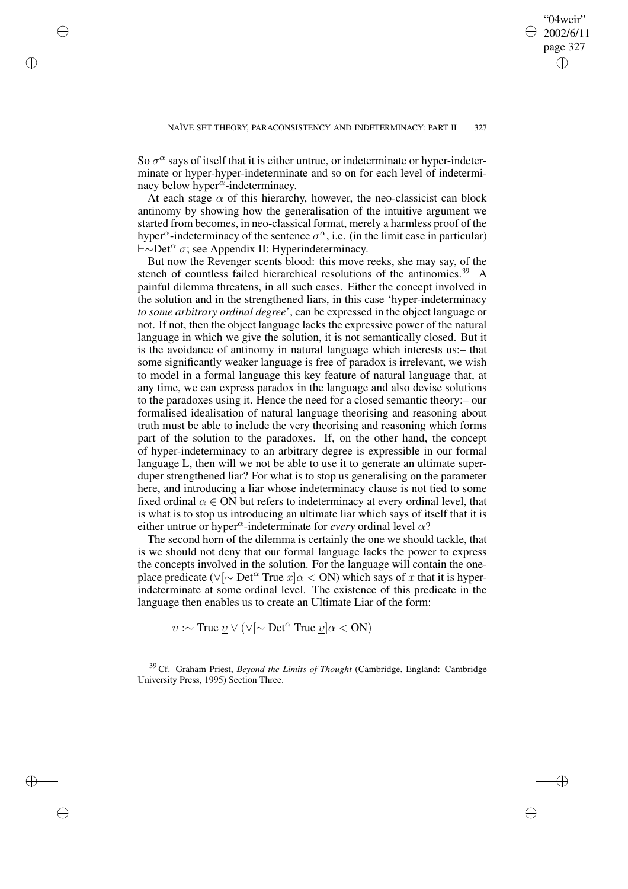✐

So  $\sigma^{\alpha}$  says of itself that it is either untrue, or indeterminate or hyper-indeterminate or hyper-hyper-indeterminate and so on for each level of indeterminacy below hyper $\alpha$ -indeterminacy.

✐

✐

✐

✐

At each stage  $\alpha$  of this hierarchy, however, the neo-classicist can block antinomy by showing how the generalisation of the intuitive argument we started from becomes, in neo-classical format, merely a harmless proof of the hyper<sup> $\alpha$ </sup>-indeterminacy of the sentence  $\sigma^{\alpha}$ , i.e. (in the limit case in particular)  $\vdash \sim$ Det<sup> $\alpha$ </sup> σ; see Appendix II: Hyperindeterminacy.

But now the Revenger scents blood: this move reeks, she may say, of the stench of countless failed hierarchical resolutions of the antinomies.<sup>39</sup> A painful dilemma threatens, in all such cases. Either the concept involved in the solution and in the strengthened liars, in this case 'hyper-indeterminacy *to some arbitrary ordinal degree*', can be expressed in the object language or not. If not, then the object language lacks the expressive power of the natural language in which we give the solution, it is not semantically closed. But it is the avoidance of antinomy in natural language which interests us:– that some significantly weaker language is free of paradox is irrelevant, we wish to model in a formal language this key feature of natural language that, at any time, we can express paradox in the language and also devise solutions to the paradoxes using it. Hence the need for a closed semantic theory:– our formalised idealisation of natural language theorising and reasoning about truth must be able to include the very theorising and reasoning which forms part of the solution to the paradoxes. If, on the other hand, the concept of hyper-indeterminacy to an arbitrary degree is expressible in our formal language L, then will we not be able to use it to generate an ultimate superduper strengthened liar? For what is to stop us generalising on the parameter here, and introducing a liar whose indeterminacy clause is not tied to some fixed ordinal  $\alpha \in ON$  but refers to indeterminacy at every ordinal level, that is what is to stop us introducing an ultimate liar which says of itself that it is either untrue or hyper<sup> $\alpha$ </sup>-indeterminate for *every* ordinal level  $\alpha$ ?

The second horn of the dilemma is certainly the one we should tackle, that is we should not deny that our formal language lacks the power to express the concepts involved in the solution. For the language will contain the oneplace predicate ( $\sqrt{\sim}$  Det<sup> $\alpha$ </sup> True  $x|\alpha <$  ON) which says of x that it is hyperindeterminate at some ordinal level. The existence of this predicate in the language then enables us to create an Ultimate Liar of the form:

 $v : \sim$  True  $\underline{v}$  ∨ (∨[∼ Det<sup>α</sup> True  $\underline{v}$ ]α < ON)

<sup>39</sup> Cf. Graham Priest, *Beyond the Limits of Thought* (Cambridge, England: Cambridge University Press, 1995) Section Three.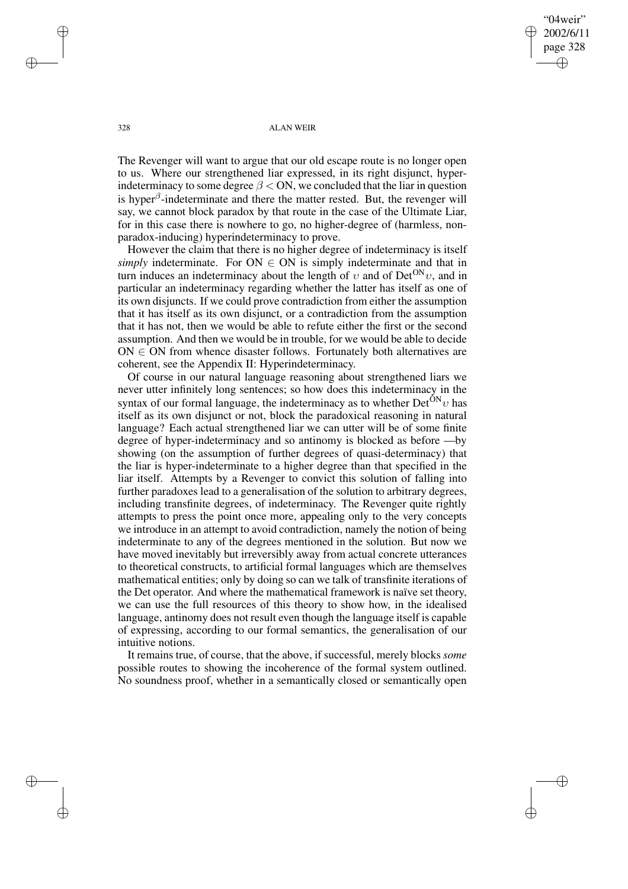"04weir" 2002/6/11 page 328 ✐ ✐

✐

✐

328 ALAN WEIR

The Revenger will want to argue that our old escape route is no longer open to us. Where our strengthened liar expressed, in its right disjunct, hyperindeterminacy to some degree  $\beta$  < ON, we concluded that the liar in question is hyper $\beta$ -indeterminate and there the matter rested. But, the revenger will say, we cannot block paradox by that route in the case of the Ultimate Liar, for in this case there is nowhere to go, no higher-degree of (harmless, nonparadox-inducing) hyperindeterminacy to prove.

However the claim that there is no higher degree of indeterminacy is itself *simply* indeterminate. For  $ON \in ON$  is simply indeterminate and that in turn induces an indeterminacy about the length of  $v$  and of Det<sup>ON</sup>v, and in particular an indeterminacy regarding whether the latter has itself as one of its own disjuncts. If we could prove contradiction from either the assumption that it has itself as its own disjunct, or a contradiction from the assumption that it has not, then we would be able to refute either the first or the second assumption. And then we would be in trouble, for we would be able to decide  $ON \in ON$  from whence disaster follows. Fortunately both alternatives are coherent, see the Appendix II: Hyperindeterminacy.

Of course in our natural language reasoning about strengthened liars we never utter infinitely long sentences; so how does this indeterminacy in the syntax of our formal language, the indeterminacy as to whether  $Det^{ON}v$  has itself as its own disjunct or not, block the paradoxical reasoning in natural language? Each actual strengthened liar we can utter will be of some finite degree of hyper-indeterminacy and so antinomy is blocked as before —by showing (on the assumption of further degrees of quasi-determinacy) that the liar is hyper-indeterminate to a higher degree than that specified in the liar itself. Attempts by a Revenger to convict this solution of falling into further paradoxes lead to a generalisation of the solution to arbitrary degrees, including transfinite degrees, of indeterminacy. The Revenger quite rightly attempts to press the point once more, appealing only to the very concepts we introduce in an attempt to avoid contradiction, namely the notion of being indeterminate to any of the degrees mentioned in the solution. But now we have moved inevitably but irreversibly away from actual concrete utterances to theoretical constructs, to artificial formal languages which are themselves mathematical entities; only by doing so can we talk of transfinite iterations of the Det operator. And where the mathematical framework is naïve set theory, we can use the full resources of this theory to show how, in the idealised language, antinomy does not result even though the language itself is capable of expressing, according to our formal semantics, the generalisation of our intuitive notions.

It remains true, of course, that the above, if successful, merely blocks *some* possible routes to showing the incoherence of the formal system outlined. No soundness proof, whether in a semantically closed or semantically open

✐

✐

✐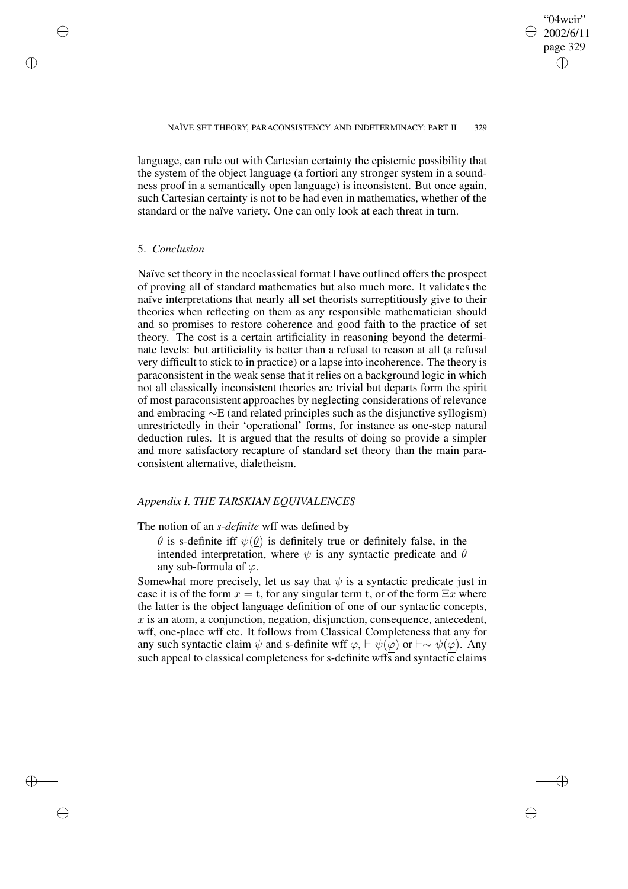✐

language, can rule out with Cartesian certainty the epistemic possibility that the system of the object language (a fortiori any stronger system in a soundness proof in a semantically open language) is inconsistent. But once again, such Cartesian certainty is not to be had even in mathematics, whether of the standard or the naïve variety. One can only look at each threat in turn.

### 5. *Conclusion*

✐

✐

✐

✐

Naïve set theory in the neoclassical format I have outlined offers the prospect of proving all of standard mathematics but also much more. It validates the naïve interpretations that nearly all set theorists surreptitiously give to their theories when reflecting on them as any responsible mathematician should and so promises to restore coherence and good faith to the practice of set theory. The cost is a certain artificiality in reasoning beyond the determinate levels: but artificiality is better than a refusal to reason at all (a refusal very difficult to stick to in practice) or a lapse into incoherence. The theory is paraconsistent in the weak sense that it relies on a background logic in which not all classically inconsistent theories are trivial but departs form the spirit of most paraconsistent approaches by neglecting considerations of relevance and embracing ∼E (and related principles such as the disjunctive syllogism) unrestrictedly in their 'operational' forms, for instance as one-step natural deduction rules. It is argued that the results of doing so provide a simpler and more satisfactory recapture of standard set theory than the main paraconsistent alternative, dialetheism.

# *Appendix I. THE TARSKIAN EQUIVALENCES*

### The notion of an *s-definite* wff was defined by

 $\theta$  is s-definite iff  $\psi(\theta)$  is definitely true or definitely false, in the intended interpretation, where  $\psi$  is any syntactic predicate and  $\theta$ any sub-formula of  $\varphi$ .

Somewhat more precisely, let us say that  $\psi$  is a syntactic predicate just in case it is of the form  $x = t$ , for any singular term t, or of the form  $\Xi x$  where the latter is the object language definition of one of our syntactic concepts,  $x$  is an atom, a conjunction, negation, disjunction, consequence, antecedent, wff, one-place wff etc. It follows from Classical Completeness that any for any such syntactic claim  $\psi$  and s-definite wff  $\varphi$ ,  $\vdash \psi(\varphi)$  or  $\vdash \sim \psi(\varphi)$ . Any such appeal to classical completeness for s-definite wffs and syntactic claims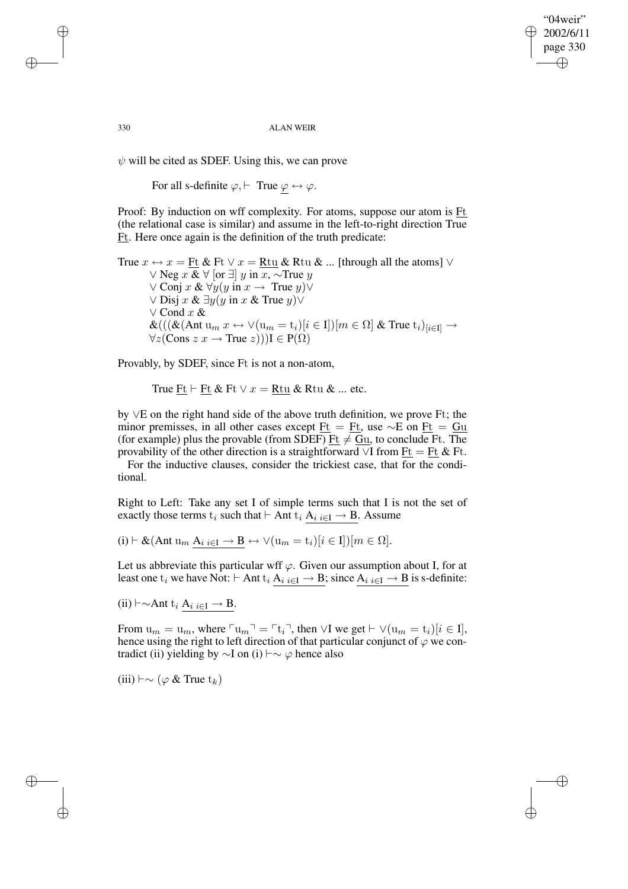"04weir" 2002/6/11 page 330 ✐ ✐

✐

✐

330 ALAN WEIR

 $\psi$  will be cited as SDEF. Using this, we can prove

For all s-definite  $\varphi$ ,  $\vdash$  True  $\varphi \leftrightarrow \varphi$ .

Proof: By induction on wff complexity. For atoms, suppose our atom is  $Ft$ </u> (the relational case is similar) and assume in the left-to-right direction True Ft. Here once again is the definition of the truth predicate:

True  $x \leftrightarrow x =$  Ft & Ft  $\lor x =$  Rtu & Rtu & ... [through all the atoms]  $\lor$ ∨ Neg  $x \& \forall$  [or  $\exists$ ]  $y$  in  $x, \sim$ True  $y$  $\vee$  Conj x &  $\forall y(y \text{ in } x \rightarrow \text{ True } y) \vee$  $\vee$  Disj x & ∃y(y in x & True y) $\vee$ ∨ Cond x &  $\&((\&(\text{Ant } u_m x \leftrightarrow \vee(u_m = t_i)[i \in I])[m \in \Omega] \& \text{ True } t_i)_{[i \in I]} \rightarrow$  $\forall z (Cons z x \rightarrow True z))$ I  $\in P(\Omega)$ 

Provably, by SDEF, since Ft is not a non-atom,

True Ft  $\vdash$  Ft & Ft  $\lor$   $x =$  Rtu & Rtu & ... etc.

by ∨E on the right hand side of the above truth definition, we prove Ft; the minor premisses, in all other cases except  $Ft = Ft$ , use  $\sim$ E on  $Ft = Gu$ </u></u> (for example) plus the provable (from SDEF)  $Et \neq Gu$ , to conclude Ft. The provability of the other direction is a straightforward  $\vee$ I from  $Ft = Ft \& Ft$ .

For the inductive clauses, consider the trickiest case, that for the conditional.

Right to Left: Take any set I of simple terms such that I is not the set of exactly those terms  $t_i$  such that  $\vdash$  Ant  $t_i$  A $_{i i \in I} \rightarrow B$ . Assume

 $(i) \vdash \&( \text{Ant } u_m \land_{i} \i\in I \rightarrow B \leftrightarrow \forall (u_m = t_i)[i \in I]) [m \in \Omega].$ 

Let us abbreviate this particular wff  $\varphi$ . Given our assumption about I, for at least one t<sub>i</sub> we have Not:  $\vdash$  Ant t<sub>i</sub> A<sub>i i∈I</sub>  $\rightarrow$  B; since A<sub>i i∈I</sub>  $\rightarrow$  B is s-definite:

 $(ii) \vdash \sim$ Ant t<sub>i</sub> A<sub>i i∈I</sub> → B.

From  $u_m = u_m$ , where  $\ulcorner u_m \urcorner = \ulcorner t_i \urcorner$ , then ∨I we get  $\vdash \lor (u_m = t_i)[i \in I],$ hence using the right to left direction of that particular conjunct of  $\varphi$  we contradict (ii) yielding by  $\sim$ I on (i)  $\vdash \sim \varphi$  hence also

(iii)  $\vdash \sim (\varphi \& \text{True } t_k)$ 

✐

✐

✐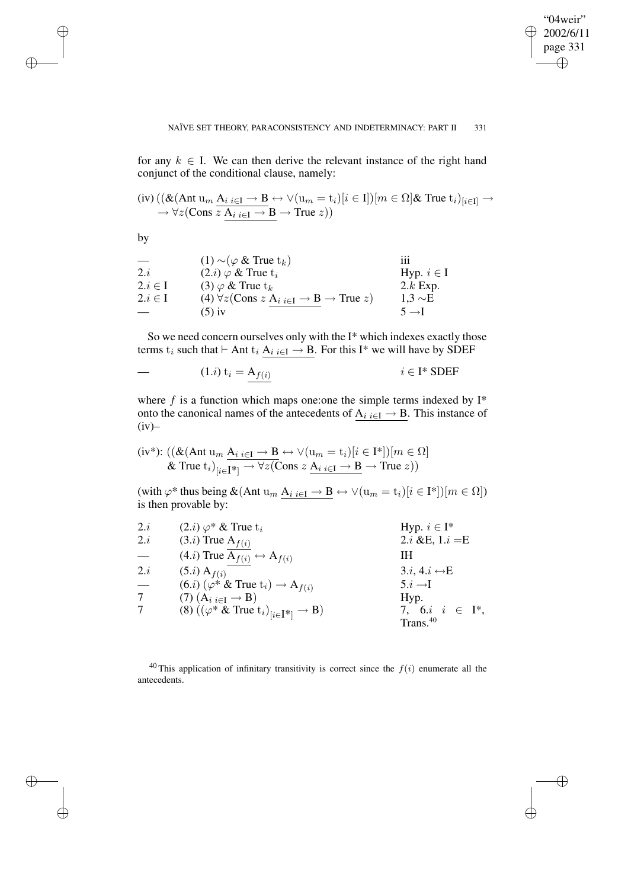✐

for any  $k \in I$ . We can then derive the relevant instance of the right hand conjunct of the conditional clause, namely:

(iv) 
$$
((\&(\text{Ant } u_m \underline{A}_{i} \underline{i\in I} \rightarrow \underline{B} \leftrightarrow \vee (u_m = t_i)[i \in I])[m \in \Omega]\&\text{ True } t_i)_{[i \in I]} \rightarrow
$$
 $\rightarrow \forall z (\text{Cons } z \underline{A}_{i} \underline{i\in I} \rightarrow \underline{B} \rightarrow \text{True } z))$ 

by

✐

✐

✐

✐

|             | $(1) \sim (\varphi \&$ True $t_k)$                                                                         | 111               |
|-------------|------------------------------------------------------------------------------------------------------------|-------------------|
| 2.i         | $(2.i) \varphi \&$ True $t_i$                                                                              | Hyp. $i \in I$    |
| $2.i \in I$ | $(3)$ $\varphi$ & True $t_k$                                                                               | $2.k$ Exp.        |
| $2.i \in I$ | (4) $\forall z$ (Cons z A <sub>i</sub> <sub>i<math>\in</math>I</sub> $\rightarrow$ B $\rightarrow$ True z) | $1.3 \sim E$      |
|             | $(5)$ iv                                                                                                   | $5 \rightarrow I$ |

So we need concern ourselves only with the I\* which indexes exactly those terms  $t_i$  such that  $\vdash$  Ant  $t_i$  A<sub>i i∈I</sub>  $\rightarrow$  B. For this I\* we will have by SDEF

$$
-(1.i) t_i = A_{f(i)} \qquad \qquad i \in I^* SDEF
$$

where  $f$  is a function which maps one: one the simple terms indexed by  $I^*$ onto the canonical names of the antecedents of  $A_i \nvert_{i \in I} \to B$ . This instance of  $(iv)$ 

$$
\text{(iv*): } ((\& (\text{Ant } \mathbf{u}_m \ \underline{\mathbf{A}}_{i \ i \in \mathbf{I}} \to \mathbf{B} \leftrightarrow \lor (\mathbf{u}_m = \mathbf{t}_i)[i \in \mathbf{I}^*]) [m \in \Omega]
$$
\n
$$
\& \text{True } \mathbf{t}_i)_{[i \in \mathbf{I}^*]} \to \forall z (\text{Cons } z \ \underline{\mathbf{A}}_{i \ i \in \mathbf{I}} \to \mathbf{B} \to \text{True } z))
$$

(with  $\varphi^*$  thus being  $\&$  (Ant  $u_m \underline{A_{i i \in I} \rightarrow B} \leftrightarrow \vee (u_m = t_i)[i \in I^*])[m \in \Omega]$ ) is then provable by:

| 2.i | $(2.i) \varphi^* \&$ True $t_i$                                     | Hyp. $i \in I^*$             |
|-----|---------------------------------------------------------------------|------------------------------|
| 2.i | $(3.i)$ True $A_{f(i)}$                                             | 2. <i>i</i> &E, $1.i = E$    |
|     | $(4.i)$ True $A_{f(i)} \leftrightarrow A_{f(i)}$                    | IН                           |
| 2.i | $(5.i)$ A <sub><math>f(i)</math></sub>                              | $3.i, 4.i \leftrightarrow E$ |
|     | $(6.i)$ $(\varphi^* \&$ True $t_i) \rightarrow A_{f(i)}$            | $5.i \rightarrow I$          |
|     | $(7)$ $(A_i)_{i \in I} \rightarrow B)$                              | Hyp.                         |
|     | (8) $((\varphi^* \& \text{True } t_i)_{[i \in I^*]} \rightarrow B)$ | 7, 6. <i>i</i> $i \in I^*$ , |
|     |                                                                     | Trans. <sup>40</sup>         |

<sup>40</sup> This application of infinitary transitivity is correct since the  $f(i)$  enumerate all the antecedents.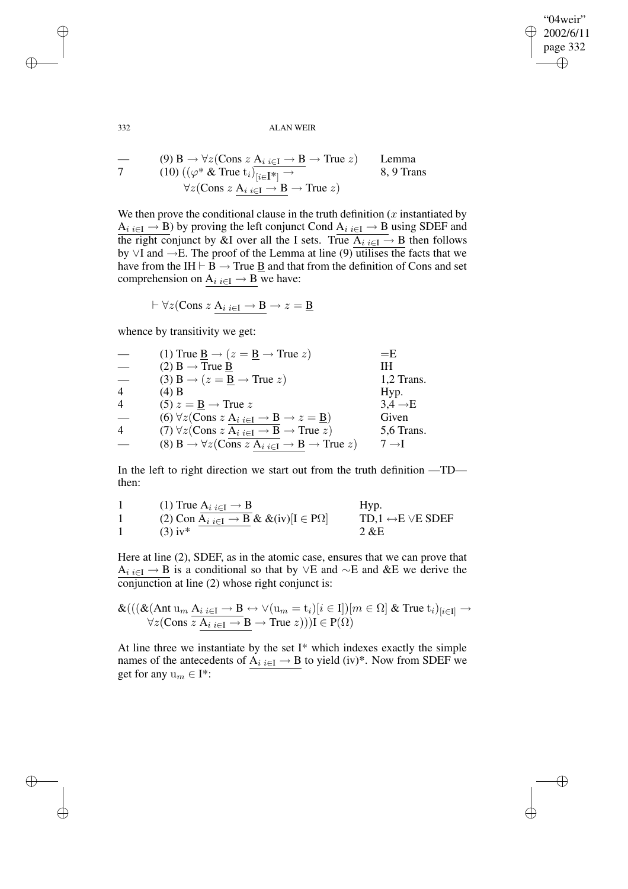"04weir" 2002/6/11 page 332 ✐ ✐

✐

✐

332 ALAN WEIR

$$
\begin{array}{ll}\n\text{---} & (9) \text{ B} \rightarrow \forall z (\text{Cons } z \text{ A}_{i} \text{ }_{i \in I} \rightarrow \text{ B} \rightarrow \text{True } z) & \text{Lemma} \\
\text{---} & (10) \left( (\varphi^* \& \text{True } t_i \right)_{[i \in I^*]} \rightarrow & \text{8, 9 Trans} \\
& \forall z (\text{Cons } z \text{ A}_{i} \text{ }_{i \in I} \rightarrow \text{ B} \rightarrow \text{True } z)\n\end{array}
$$

We then prove the conditional clause in the truth definition  $(x)$  instantiated by A<sub>i i∈I</sub>  $\rightarrow$  B) by proving the left conjunct Cond  $\underline{A_{i}{}_{i\in I}} \rightarrow \underline{B}$  using SDEF and the right conjunct by &I over all the I sets. True  $A_i \in \mathbb{R}$  ben follows by ∨I and →E. The proof of the Lemma at line (9) utilises the facts that we have from the IH  $\vdash$  B  $\rightarrow$  True <u>B</u> and that from the definition of Cons and set comprehension on  $A_i$ <sub>i</sub> $\in I \rightarrow B$  we have:

 $\vdash \forall z (\text{Cons } z \mathbf{A}_i |_{i \in I} \rightarrow \mathbf{B} \rightarrow z = \underline{\mathbf{B}}$ 

whence by transitivity we get:

|                | (1) True $\underline{B} \rightarrow (z = \underline{B} \rightarrow True z)$                                     | $=$ E               |
|----------------|-----------------------------------------------------------------------------------------------------------------|---------------------|
|                | $(2)$ B $\rightarrow$ True B                                                                                    | IН                  |
|                | (3) B $\rightarrow$ ( $z = \underline{B} \rightarrow$ True $z$ )                                                | 1,2 Trans.          |
| $\overline{4}$ | (4) B                                                                                                           | Hyp.                |
| $\overline{4}$ | $(5) z = B \rightarrow True z$                                                                                  | $3.4 \rightarrow E$ |
|                | (6) $\forall z$ (Cons z A <sub>i</sub> <sub>i</sub> $\in$ I $\rightarrow$ B $\rightarrow$ z = <u>B</u> )        | Given               |
| $\overline{4}$ | (7) $\forall z$ (Cons z A <sub>i</sub> <sub>i∈I</sub> $\rightarrow$ B $\rightarrow$ True z)                     | 5,6 Trans.          |
|                | (8) B $\rightarrow \forall z$ (Cons z A <sub>i</sub> <sub>i</sub> $\in$ I $\rightarrow$ B $\rightarrow$ True z) | $7 \rightarrow I$   |

In the left to right direction we start out from the truth definition —TD then:

| (1) True $A_i$ $_{i \in I} \rightarrow B$                                                         | Hyp.                                   |
|---------------------------------------------------------------------------------------------------|----------------------------------------|
| (2) Con A <sub>i</sub> <sub>i<math>\in</math>I</sub> $\rightarrow$ B & &(iv)[I $\in$ P $\Omega$ ] | TD,1 $\leftrightarrow$ E $\vee$ E SDEF |
| $(3)$ iv*                                                                                         | $2 \& E$                               |

Here at line (2), SDEF, as in the atomic case, ensures that we can prove that A<sub>i i∈I</sub> → B is a conditional so that by ∨E and ∼E and &E we derive the conjunction at line (2) whose right conjunct is:

$$
\mathcal{K}(((\&(\text{Ant } u_m \underline{A}_{i i \in I} \rightarrow B \leftrightarrow \vee (u_m = t_i)[i \in I])[m \in \Omega] \& \text{True } t_i)_{[i \in I]} \rightarrow \forall z (\text{Cons } z \underline{A}_{i i \in I} \rightarrow B \rightarrow \text{True } z)))I \in P(\Omega)
$$

At line three we instantiate by the set I\* which indexes exactly the simple names of the antecedents of A<sub>i i∈I</sub>  $\rightarrow$  B to yield (iv)<sup>\*</sup>. Now from SDEF we get for any  $u_m \in I^*$ :

✐

✐

✐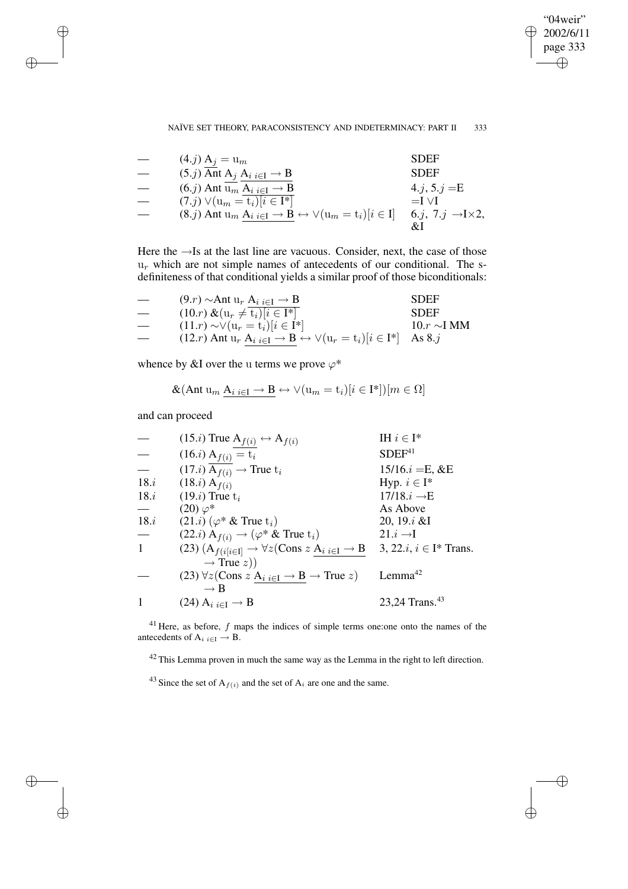"04weir" 2002/6/11 page 333 ✐ ✐

✐

### NAÏVE SET THEORY, PARACONSISTENCY AND INDETERMINACY: PART II 333

| $(4.j) A_i = u_m$                                                                          | <b>SDEF</b>                          |
|--------------------------------------------------------------------------------------------|--------------------------------------|
| $(5.j)$ Ant A <sub>j</sub> A <sub>i</sub> $_{i \in I} \rightarrow B$                       | <b>SDEF</b>                          |
| $(6. j)$ Ant $u_m A_i_{i \in I} \rightarrow B$                                             | 4.j, $5.j = E$                       |
| $(7. j) \vee (u_m = t_i)[i \in I^*]$                                                       | $=$ I $\vee$ I                       |
| $(8.j)$ Ant $u_m A_i_{i \in I} \rightarrow B \leftrightarrow \forall (u_m = t_i)[i \in I]$ | 6.j, 7.j $\rightarrow$ I $\times$ 2, |
|                                                                                            |                                      |

Here the →Is at the last line are vacuous. Consider, next, the case of those  $u_r$  which are not simple names of antecedents of our conditional. The sdefiniteness of that conditional yields a similar proof of those biconditionals:

| $\hspace{0.05cm}$ | $(9.r) \sim$ Ant u <sub>r</sub> A <sub>i</sub> <sub>i<math>\in</math>I</sub> $\rightarrow$ B                        | <b>SDEF</b>      |
|-------------------|---------------------------------------------------------------------------------------------------------------------|------------------|
|                   | $(10.r) \& (u_r \neq t_i)[i \in I^*]$                                                                               | <b>SDEF</b>      |
| $\hspace{0.05cm}$ | $(11.r) \sim \vee (u_r = t_i)[i \in I^*]$                                                                           | $10.r \sim I MM$ |
|                   | $(12.r)$ Ant $u_r$ A <sub>i</sub> $_{i \in I} \rightarrow B \leftrightarrow \forall (u_r = t_i)   i \in I^*$ As 8.j |                  |

whence by &I over the u terms we prove  $\varphi^*$ 

$$
\&(\text{Ant } \mathrm{u}_m \; \mathrm{A}_i \; {}_{i \in \mathrm{I}} \to \mathrm{B} \leftrightarrow \lor (\mathrm{u}_m = \mathrm{t}_i) [i \in \mathrm{I}^*]) [m \in \Omega]
$$

and can proceed

✐

✐

✐

✐

|      | $(15.i)$ True $A_{f(i)} \leftrightarrow A_{f(i)}$                                           | IH $i \in I^*$                       |
|------|---------------------------------------------------------------------------------------------|--------------------------------------|
|      | $(16.i) A_{f(i)} = t_i$                                                                     | SDEF <sup>41</sup>                   |
|      | $(17.i)$ A <sub>f(i)</sub> $\rightarrow$ True t <sub>i</sub>                                | $15/16.i = E, \&E$                   |
| 18.i | $(18.i)$ A <sub>f(i)</sub>                                                                  | Hyp. $i \in I^*$                     |
| 18.i | $(19.i)$ True $t_i$                                                                         | $17/18.i \rightarrow E$              |
|      | $(20)\varphi^*$                                                                             | As Above                             |
| 18.i | $(21.i)$ ( $\varphi^*$ & True $t_i$ )                                                       | 20, 19.i &                           |
|      | $(22.i)$ A <sub>f(i)</sub> $\rightarrow$ ( $\varphi^*$ & True t <sub>i</sub> )              | $21.i \rightarrow I$                 |
| 1    | (23) $(A_{f(i[i\in I]} \rightarrow \forall z (Cons z A_{i i\in I} \rightarrow B$            | 3, 22. <i>i</i> , $i \in I^*$ Trans. |
|      | $\rightarrow$ True z))                                                                      |                                      |
|      | (23) $\forall z$ (Cons $z$ A <sub>i</sub> $_{i \in I} \rightarrow B \rightarrow$ True $z$ ) | Lemma <sup>42</sup>                  |
|      | $\rightarrow$ B                                                                             |                                      |
|      | $(24)$ A <sub>i</sub> <sub>i</sub> $\epsilon$ <sub>I</sub> $\rightarrow$ B                  | 23,24 Trans. <sup>43</sup>           |

 $41$  Here, as before,  $f$  maps the indices of simple terms one: one onto the names of the antecedents of  $A_i$  i∈I  $\rightarrow$  B.

<sup>42</sup> This Lemma proven in much the same way as the Lemma in the right to left direction.

<sup>43</sup> Since the set of  $A_{f(i)}$  and the set of  $A_i$  are one and the same.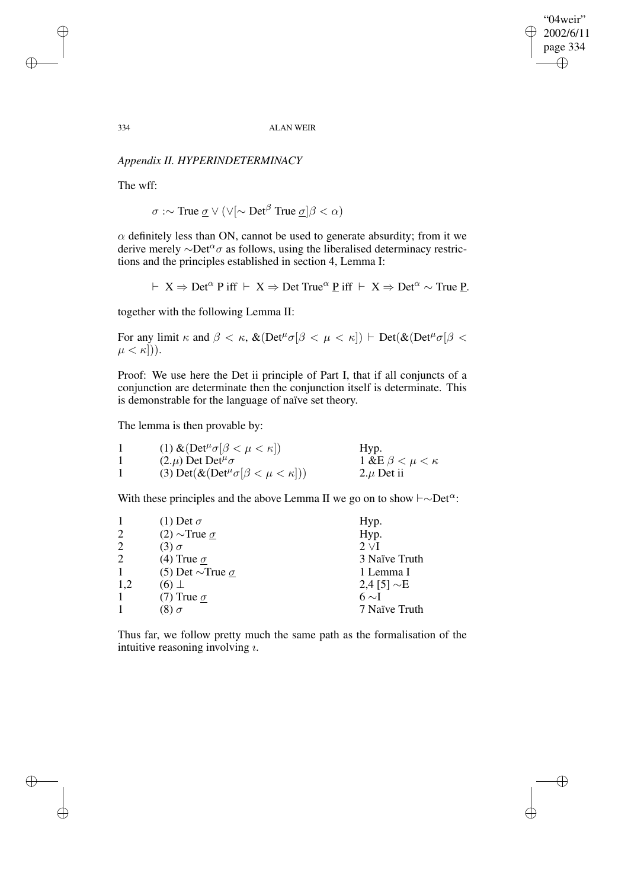"04weir" 2002/6/11 page 334 ✐ ✐

 $\bigoplus$ 

✐

334 ALAN WEIR

# *Appendix II. HYPERINDETERMINACY*

The wff:

 $\sigma$  :∼ True  $\underline{\sigma}$   $\vee$  ( $\vee$ [∼ Det<sup>β</sup> True  $\underline{\sigma}$ ] $\beta < \alpha$ )

 $\alpha$  definitely less than ON, cannot be used to generate absurdity; from it we derive merely  $\sim$ Det<sup> $\alpha$ </sup> as follows, using the liberalised determinacy restrictions and the principles established in section 4, Lemma I:

 $\vdash X \Rightarrow$  Det<sup> $\alpha$ </sup> P iff  $\vdash X \Rightarrow$  Det True<sup> $\alpha$ </sup> P iff  $\vdash X \Rightarrow$  Det $\alpha$  ∼ True P.

together with the following Lemma II:

For any limit  $\kappa$  and  $\beta < \kappa$ ,  $\&$ (Det<sup> $\mu$ </sup> $\sigma$ [ $\beta < \mu < \kappa$ ])  $\vdash$  Det( $\&$ (Det $\mu$ <sup> $\sigma$ </sup>[ $\beta$  <  $\mu < \kappa$ ])).

Proof: We use here the Det ii principle of Part I, that if all conjuncts of a conjunction are determinate then the conjunction itself is determinate. This is demonstrable for the language of naïve set theory.

The lemma is then provable by:

| (1) & $(\text{Det}^{\mu} \sigma[\beta < \mu < \kappa])$ | Hyp.                        |
|---------------------------------------------------------|-----------------------------|
| $(2.\mu)$ Det Det <sup><math>\mu</math></sup> $\sigma$  | 1 &E $\beta < \mu < \kappa$ |
| (3) Det $(\&(Det^{\mu}\sigma[\beta < \mu < \kappa]))$   | $2.\mu$ Det ii              |

With these principles and the above Lemma II we go on to show  $\vdash \sim$ Det<sup>α</sup>:

|                | (1) Det $\sigma$             | Hyp.             |
|----------------|------------------------------|------------------|
| 2              | $(2)$ ~True $\sigma$         | Hyp.             |
| $\overline{c}$ | $(3) \sigma$                 | $2 \vee I$       |
| $\overline{c}$ | (4) True $\sigma$            | 3 Naïve Truth    |
| 1              | (5) Det $\sim$ True $\sigma$ | 1 Lemma I        |
| 1,2            | $(6)$ $\perp$                | 2,4 [5] $\sim$ E |
|                | (7) True $\sigma$            | 6 $\sim$ I       |
|                | $(8) \sigma$                 | 7 Naïve Truth    |

Thus far, we follow pretty much the same path as the formalisation of the intuitive reasoning involving  $i$ .

✐

✐

✐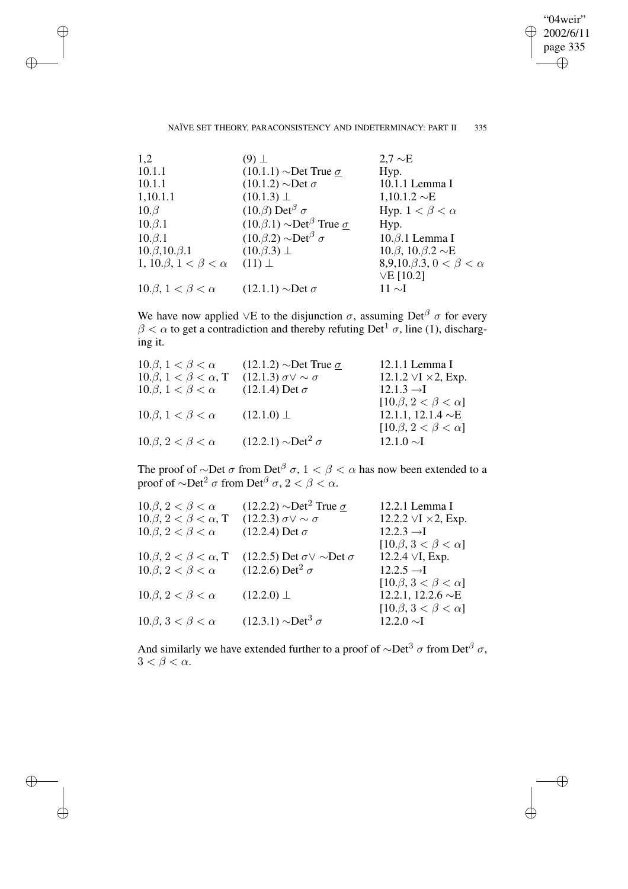"04weir" 2002/6/11 page 335 ✐ ✐

 $\oplus$ 

✐

### NAÏVE SET THEORY, PARACONSISTENCY AND INDETERMINACY: PART II 335

✐

✐

✐

✐

| 1,2                                   | $(9)$ $\perp$                                           | $2.7 \sim E$                               |
|---------------------------------------|---------------------------------------------------------|--------------------------------------------|
| 10.1.1                                | $(10.1.1)$ ~Det True $\sigma$                           | Hyp.                                       |
| 10.1.1                                | $(10.1.2) \sim Det \sigma$                              | 10.1.1 Lemma I                             |
| 1,10.1.1                              | $(10.1.3) \perp$                                        | $1,10.1.2 \sim E$                          |
| $10.\beta$                            | $(10.\beta)$ Det <sup><math>\beta</math></sup> $\sigma$ | Hyp. $1 < \beta < \alpha$                  |
| $10.\beta.1$                          | $(10.\beta.1) \sim Det^{\beta}$ True $\sigma$           | Hyp.                                       |
| $10.\beta.1$                          | $(10.\beta.2) \sim Det^{\beta} \sigma$                  | $10.\beta.1$ Lemma I                       |
| $10.\beta, 10.\beta.1$                | $(10.\beta.3) \perp$                                    | $10.\beta$ , $10.\beta.2 \sim E$           |
| 1, 10. $\beta$ , $1 < \beta < \alpha$ | $(11)$ $\perp$                                          | 8,9,10. $\beta$ .3, 0 < $\beta$ < $\alpha$ |
|                                       |                                                         | $VE$ [10.2]                                |
| $10.\beta, 1 < \beta < \alpha$        | $(12.1.1)$ $\sim$ Det $\sigma$                          | 11 $\sim$ I                                |
|                                       |                                                         |                                            |

We have now applied ∨E to the disjunction  $\sigma$ , assuming Det<sup>β</sup>  $\sigma$  for every  $\beta < \alpha$  to get a contradiction and thereby refuting Det<sup>1</sup>  $\sigma$ , line (1), discharging it.

| $10.\beta, 1 < \beta < \alpha$     | $(12.1.2)$ $\sim$ Det True $\sigma$ | 12.1.1 Lemma I                                              |
|------------------------------------|-------------------------------------|-------------------------------------------------------------|
| $10.\beta, 1 < \beta < \alpha$ , T | $(12.1.3) \sigma \vee \sim \sigma$  | 12.1.2 $\forall$ I $\times$ 2, Exp.                         |
| $10.\beta, 1 < \beta < \alpha$     | $(12.1.4)$ Det $\sigma$             | $12.1.3 \rightarrow I$                                      |
| $10.\beta, 1 < \beta < \alpha$     | $(12.1.0) \perp$                    | $[10.\beta, 2 < \beta < \alpha]$<br>12.1.1, 12.1.4 $\sim$ E |
| $10.\beta, 2 < \beta < \alpha$     | $(12.2.1) \sim Det^2 \sigma$        | $[10.\beta, 2 < \beta < \alpha]$<br>$12.1.0 \sim I$         |

The proof of ∼Det  $\sigma$  from Det<sup> $\beta$ </sup>  $\sigma$ ,  $1 < \beta < \alpha$  has now been extended to a proof of  $\sim$ Det<sup>2</sup>  $\sigma$  from Det<sup> $\beta$ </sup>  $\sigma$ , 2 <  $\beta$  <  $\alpha$ .

| $10.\beta, 2 < \beta < \alpha$     | $(12.2.2)$ $\sim$ Det <sup>2</sup> True $\sigma$ | 12.2.1 Lemma I                          |
|------------------------------------|--------------------------------------------------|-----------------------------------------|
| $10.\beta, 2 < \beta < \alpha$ , T | $(12.2.3) \sigma \vee \sim \sigma$               | 12.2.2 $\forall$ I $\times$ 2, Exp.     |
| $10.\beta, 2 < \beta < \alpha$     | $(12.2.4)$ Det $\sigma$                          | $12.2.3 \rightarrow I$                  |
|                                    |                                                  | [10. $\beta$ , 3 < $\beta$ < $\alpha$ ] |
| $10.\beta, 2 < \beta < \alpha$ , T | $(12.2.5)$ Det $\sigma \vee \sim$ Det $\sigma$   | 12.2.4 $\vee$ I, Exp.                   |
| $10.\beta, 2 < \beta < \alpha$     | $(12.2.6)$ Det <sup>2</sup> $\sigma$             | $12.2.5 \rightarrow I$                  |
|                                    |                                                  | $[10.\beta, 3 < \beta < \alpha]$        |
| $10.\beta, 2 < \beta < \alpha$     | $(12.2.0) \perp$                                 | 12.2.1, 12.2.6 $\sim$ E                 |
|                                    |                                                  | [10. $\beta$ , 3 < $\beta$ < $\alpha$ ] |
| $10.\beta, 3 < \beta < \alpha$     | $(12.3.1) \sim Det^3 \sigma$                     | $12.2.0 \sim I$                         |
|                                    |                                                  |                                         |

And similarly we have extended further to a proof of  $\sim$ Det<sup>3</sup>  $\sigma$  from Det<sup>β</sup>  $\sigma$ ,  $3 < \beta < \alpha$ .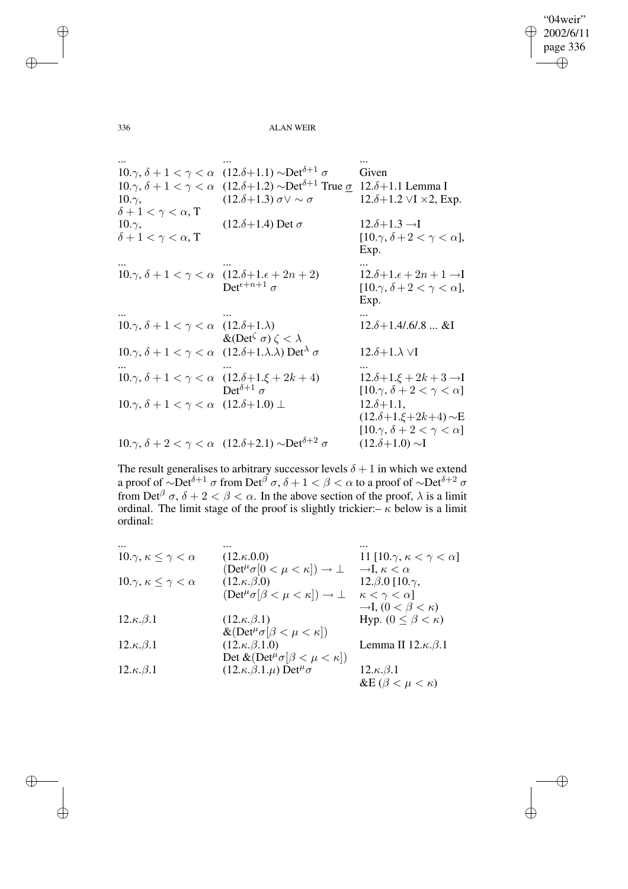"04weir" 2002/6/11 page 336 ✐ ✐

✐

✐

336 ALAN WEIR

... ... ... 10.γ,  $\delta + 1 < \gamma < \alpha$  (12.δ+1.1) ~Det<sup>δ+1</sup> σ Given 10.γ,  $\delta + 1 < \gamma < \alpha$  (12.δ+1.2) ~Det<sup>δ+1</sup> True σ 12.δ+1.1 Lemma I  $10.\gamma$ ,  $\delta + 1 < \gamma < \alpha$ , T  $(12. \delta + 1.3) \sigma \vee \sim \sigma$  12. $\delta + 1.2 \vee I \times 2$ , Exp.  $10.\gamma$ ,  $\delta + 1 < \gamma < \alpha$ , T  $(12.\delta+1.4)$  Det  $\sigma$  12. $\delta+1.3 \rightarrow I$  $[10.\gamma, \delta + 2 < \gamma < \alpha],$ Exp. ... ... ... 10. $\gamma$ ,  $\delta + 1 < \gamma < \alpha$  (12. $\delta + 1$ . $\epsilon + 2n + 2$ )  $\mathrm{Det}^{\epsilon+n+1}$  σ  $12.\delta+1.\epsilon+2n+1 \rightarrow I$  $[10.\gamma, \delta + 2 < \gamma < \alpha],$ Exp. ... ... ... 10. $\gamma$ ,  $\delta + 1 < \gamma < \alpha$  (12. $\delta + 1$ . $\lambda$ )  $\&$ (Det<sup> $\zeta \sigma$ </sup>)  $\zeta < \lambda$  $12.\delta + 1.4/.6/.8...$ &I 10.γ,  $\delta + 1 < \gamma < \alpha$  (12.δ+1.λ.λ) Det<sup>λ</sup> σ 12.δ+1.λ ∨I ... ... ... 10. $\gamma$ ,  $\delta + 1 < \gamma < \alpha$  (12. $\delta + 1.\xi + 2k + 4$ ) Det<sup> $\delta+1$ </sup>  $\sigma$  $12.\delta+1.\xi+2k+3 \rightarrow I$  $[10.\gamma, \delta + 2 < \gamma < \alpha]$ 10. $\gamma$ ,  $\delta + 1 < \gamma < \alpha$  (12. $\delta + 1.0$ ) ⊥ 12. $\delta + 1.1$ , (12.δ+1.ξ+2k+4) ∼E  $[10.\gamma, \delta + 2 < \gamma < \alpha]$ 10. $\gamma$ ,  $\delta + 2 < \gamma < \alpha$  (12.δ+2.1)  $\sim$ Det<sup> $\delta+2$ </sup>  $\sigma$  (12.δ+1.0)  $\sim$ I

The result generalises to arbitrary successor levels  $\delta + 1$  in which we extend a proof of  $\sim$ Det<sup> $\delta+1$ </sup>  $\sigma$  from Det<sup> $\beta$ </sup>  $\sigma$ ,  $\delta+1 < \beta < \alpha$  to a proof of  $\sim$ Det $\delta+2$   $\sigma$ from Det<sup> $\beta$ </sup>  $\sigma$ ,  $\delta + 2 < \beta < \alpha$ . In the above section of the proof,  $\lambda$  is a limit ordinal. The limit stage of the proof is slightly trickier:–  $\kappa$  below is a limit ordinal:

| 10. $\gamma$ , $\kappa \leq \gamma < \alpha$ | $(12.\kappa.0.0)$                                                                                                            | 11 [10. $\gamma, \kappa < \gamma < \alpha$ ]                                                            |
|----------------------------------------------|------------------------------------------------------------------------------------------------------------------------------|---------------------------------------------------------------------------------------------------------|
| 10. $\gamma$ , $\kappa \leq \gamma < \alpha$ | $(\text{Det}^{\mu}\sigma[0 < \mu < \kappa]) \rightarrow \bot$<br>$(12.\kappa.\beta.0)$                                       | $\rightarrow$ I, $\kappa < \alpha$<br>12. $\beta$ .0 [10. $\gamma$ ,                                    |
| $12.\kappa.\beta.1$                          | $(\text{Det}^{\mu} \sigma[\beta < \mu < \kappa]) \rightarrow \bot$<br>$(12.\kappa.\beta.1)$                                  | $\kappa < \gamma < \alpha$<br>$\rightarrow$ I, $(0 < \beta < \kappa)$<br>Hyp. $(0 \leq \beta < \kappa)$ |
| $12.\kappa.\beta.1$                          | $\&(\mathrm{Det}^{\mu}\sigma[\beta < \mu < \kappa])$<br>$(12.\kappa.\beta.1.0)$                                              | Lemma II $12.\kappa.\beta.1$                                                                            |
| $12.\kappa.\beta.1$                          | Det $\&(\text{Det}^{\mu}\sigma[\beta < \mu < \kappa])$<br>$(12.\kappa.\beta.1.\mu)$ Det <sup><math>\mu</math></sup> $\sigma$ | $12.\kappa.\beta.1$<br>&E $(\beta < \mu < \kappa)$                                                      |

✐

✐

✐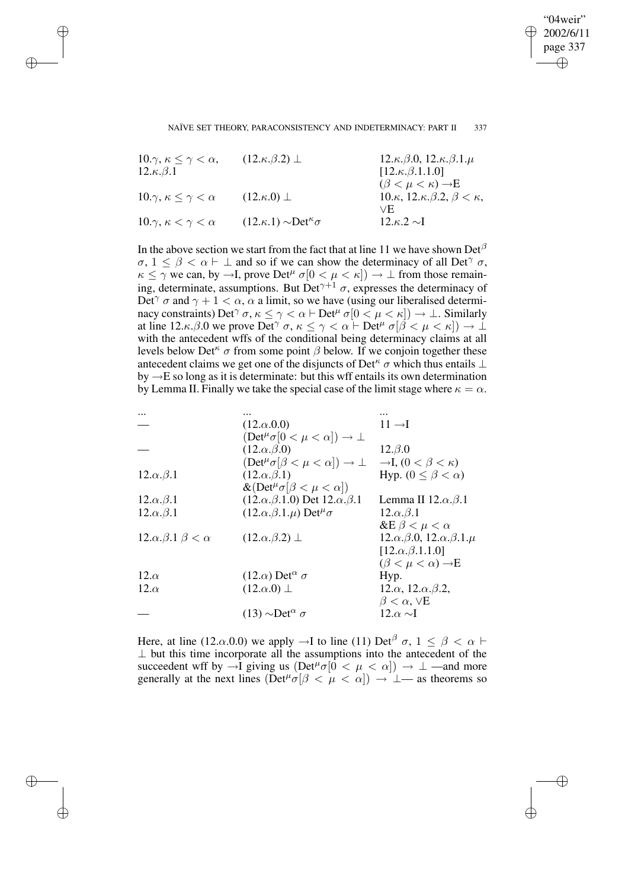"04weir" 2002/6/11 page 337 ✐ ✐

✐

#### NAÏVE SET THEORY, PARACONSISTENCY AND INDETERMINACY: PART II 337

| $10.\gamma, \kappa \leq \gamma < \alpha$ | $(12.\kappa.\beta.2) \perp$              | $12.\kappa.\beta.0, 12.\kappa.\beta.1.\mu$                   |
|------------------------------------------|------------------------------------------|--------------------------------------------------------------|
| $12.\kappa.\beta.1$                      |                                          | $[12.\kappa.\beta.1.1.0]$                                    |
|                                          |                                          | $(\beta < \mu < \kappa) \rightarrow E$                       |
| $10.\gamma, \kappa \leq \gamma < \alpha$ | $(12.\kappa.0)$ $\perp$                  | 10. $\kappa$ , 12. $\kappa$ . $\beta$ .2, $\beta < \kappa$ , |
|                                          |                                          | VE.                                                          |
| $10.\gamma, \kappa < \gamma < \alpha$    | $(12.\kappa.1) \sim Det^{\kappa} \sigma$ | $12.6.2 \sim I$                                              |

✐

✐

✐

✐

In the above section we start from the fact that at line 11 we have shown  $Det^{\beta}$  $\sigma$ ,  $1 \leq \beta < \alpha \vdash \bot$  and so if we can show the determinacy of all Det<sup> $\gamma$ </sup>  $\sigma$ ,  $\kappa \leq \gamma$  we can, by  $\to I$ , prove Det<sup> $\mu$ </sup>  $\sigma$ [ $0 < \mu < \kappa$ ])  $\to \bot$  from those remaining, determinate, assumptions. But Det<sup> $\gamma+1$ </sup>  $\sigma$ , expresses the determinacy of Det<sup> $\gamma$ </sup>  $\sigma$  and  $\gamma + 1 < \alpha$ ,  $\alpha$  a limit, so we have (using our liberalised determinacy constraints) Det<sup> $\gamma$ </sup>  $\sigma$ ,  $\kappa \leq \gamma < \alpha \vdash$  Det<sup> $\mu$ </sup>  $\sigma$ [ $0 < \mu < \kappa$ ])  $\to \bot$ . Similarly at line 12. $\kappa$ . $\beta$ .0 we prove Det<sup> $\gamma$ </sup>  $\sigma$ ,  $\kappa \le \gamma < \alpha \vdash$  Det<sup> $\mu$ </sup>  $\sigma[\beta < \mu < \kappa]$ )  $\to \bot$ with the antecedent wffs of the conditional being determinacy claims at all levels below Det<sup> $κ$ </sup> σ from some point  $β$  below. If we conjoin together these antecedent claims we get one of the disjuncts of Det<sup> $\kappa$ </sup>  $\sigma$  which thus entails ⊥ by  $\rightarrow$ E so long as it is determinate: but this wff entails its own determination by Lemma II. Finally we take the special case of the limit stage where  $\kappa = \alpha$ .

|                                            | $(12.\alpha.0.0)$                                                  | $11 \rightarrow I$                         |
|--------------------------------------------|--------------------------------------------------------------------|--------------------------------------------|
|                                            | $(\text{Det}^{\mu}\sigma[0 < \mu < \alpha]) \rightarrow \bot$      |                                            |
|                                            | $(12.\alpha.\beta.0)$                                              | $12.\beta.0$                               |
|                                            | $(\text{Det}^{\mu} \sigma[\beta < \mu < \alpha]) \rightarrow \bot$ | $\rightarrow I$ , $(0 < \beta < \kappa)$   |
| $12.\alpha.\beta.1$                        | $(12.\alpha.\beta.1)$                                              | Hyp. $(0 \leq \beta < \alpha)$             |
|                                            | $\&(Det^{\mu}\sigma[\beta < \mu < \alpha])$                        |                                            |
| $12.\alpha.\beta.1$                        | $(12.\alpha.\beta.1.0)$ Det $12.\alpha.\beta.1$                    | Lemma II $12.\alpha.\beta.1$               |
| $12.\alpha.\beta.1$                        | $(12.\alpha.\beta.1.\mu)$ Det <sup><math>\mu</math></sup> $\sigma$ | $12.\alpha.\beta.1$                        |
|                                            |                                                                    | &E $\beta < \mu < \alpha$                  |
| 12. $\alpha$ . $\beta$ .1 $\beta < \alpha$ | $(12.\alpha.\beta.2) \perp$                                        | $12.\alpha.\beta.0, 12.\alpha.\beta.1.\mu$ |
|                                            |                                                                    | $[12.\alpha.\beta.1.1.0]$                  |
|                                            |                                                                    | $(\beta < \mu < \alpha) \rightarrow E$     |
| $12.\alpha$                                | $(12.\alpha)$ Det <sup><math>\alpha</math></sup> $\sigma$          | Hyp.                                       |
| $12.\alpha$                                | $(12.\alpha.0)$ $\perp$                                            | $12.\alpha$ , $12.\alpha.\beta.2$ ,        |
|                                            |                                                                    | $\beta < \alpha, \forall E$                |
|                                            | $(13) \sim Det^{\alpha} \sigma$                                    | 12. $\alpha \sim I$                        |
|                                            |                                                                    |                                            |

Here, at line (12. $\alpha$ .0.0) we apply  $\rightarrow$ I to line (11) Det<sup> $\beta$ </sup>  $\sigma$ , 1  $\leq \beta < \alpha$   $\vdash$ ⊥ but this time incorporate all the assumptions into the antecedent of the succeedent wff by  $\rightarrow I$  giving us  $(\text{Det}^{\mu}\sigma[\bar{0} < \mu < \alpha]) \rightarrow \bot$  —and more generally at the next lines ( $\text{Det}^{\mu} \sigma[\beta < \mu < \alpha]$ )  $\rightarrow$   $\perp$  as theorems so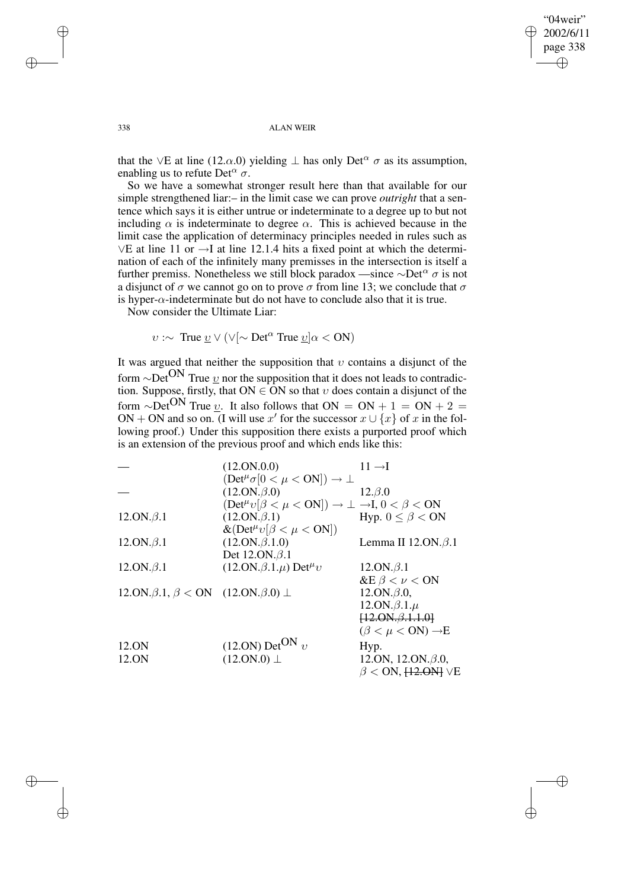✐

#### 338 ALAN WEIR

that the ∨E at line (12. $\alpha$ .0) yielding  $\perp$  has only Det<sup> $\alpha$ </sup>  $\sigma$  as its assumption, enabling us to refute Det<sup> $\alpha$ </sup>  $\sigma$ .

So we have a somewhat stronger result here than that available for our simple strengthened liar:– in the limit case we can prove *outright* that a sentence which says it is either untrue or indeterminate to a degree up to but not including  $\alpha$  is indeterminate to degree  $\alpha$ . This is achieved because in the limit case the application of determinacy principles needed in rules such as ∨E at line 11 or →I at line 12.1.4 hits a fixed point at which the determination of each of the infinitely many premisses in the intersection is itself a further premiss. Nonetheless we still block paradox —since  $\sim$ Det<sup> $\alpha$ </sup>  $\sigma$  is not a disjunct of  $\sigma$  we cannot go on to prove  $\sigma$  from line 13; we conclude that  $\sigma$ is hyper- $\alpha$ -indeterminate but do not have to conclude also that it is true.

Now consider the Ultimate Liar:

✐

✐

✐

✐

 $v : \sim$  True  $\underline{v} \vee (\vee \sim \text{Det}^{\alpha}$  True  $\underline{v} | \alpha < \text{ON})$ 

It was argued that neither the supposition that  $v$  contains a disjunct of the form ∼Det<sup>ON</sup> True  $v$  nor the supposition that it does not leads to contradic-</u> tion. Suppose, firstly, that ON  $\in$  ON so that  $v$  does contain a disjunct of the form ∼Det<sup>ON</sup> True <u>v</u>. It also follows that ON = ON + 1 = ON + 2 = ON + ON and so on. (I will use x' for the successor  $x \cup \{x\}$  of x in the following proof.) Under this supposition there exists a purported proof which is an extension of the previous proof and which ends like this:

|                                                             | (12.0N.0.0)                                                                                          | $11 \rightarrow I$                        |
|-------------------------------------------------------------|------------------------------------------------------------------------------------------------------|-------------------------------------------|
|                                                             | $(\text{Det}^{\mu} \sigma[0 < \mu < \text{ON}]) \rightarrow \bot$                                    |                                           |
|                                                             | $(12.0N.\beta.0)$                                                                                    | $12.\beta.0$                              |
|                                                             | $(\text{Det}^{\mu}v[\beta < \mu < \text{ON}]) \rightarrow \bot \rightarrow I, 0 < \beta < \text{ON}$ |                                           |
| $12.ON.\beta.1$                                             | $(12.0N.\beta.1)$                                                                                    | Hyp. $0 \leq \beta < ON$                  |
|                                                             | $\&(\text{Det}^{\mu}v[\beta < \mu < \text{ON}])$                                                     |                                           |
| $12.ON.\beta.1$                                             | $(12.0N.\beta.1.0)$                                                                                  | Lemma II $12.ON.\beta.1$                  |
|                                                             | Det $12.0N.\beta.1$                                                                                  |                                           |
| $12.ON.\beta.1$                                             | $(12.0N.\beta.1.\mu)$ Det <sup><math>\mu</math></sup> v                                              | $12.ON.\beta.1$                           |
|                                                             |                                                                                                      | &E $\beta < \nu <$ ON                     |
| 12.0N. $\beta$ .1, $\beta$ < 0N (12.0N. $\beta$ .0) $\perp$ |                                                                                                      | $12.ON.\beta.0,$                          |
|                                                             |                                                                                                      | $12.ON.\beta.1.\mu$                       |
|                                                             |                                                                                                      | $[12.0N.\beta.1.1.0]$                     |
|                                                             |                                                                                                      | $(\beta < \mu < \text{ON}) \rightarrow E$ |
| 12.ON                                                       | $(12.0N)$ Det <sup>ON</sup> v                                                                        | Hyp.                                      |
| 12.ON                                                       | $(12.0N.0) \perp$                                                                                    | 12.0N, 12.0N. $\beta$ .0,                 |
|                                                             |                                                                                                      | $\beta$ < ON, $\overline{12.9N1}$ VE      |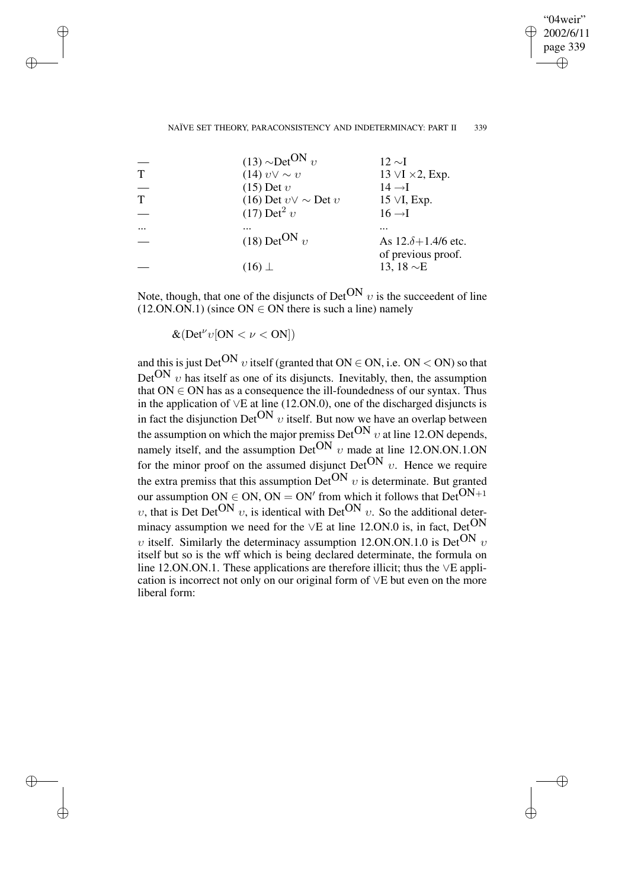"04weir" 2002/6/11 page 339 ✐ ✐

✐

#### NAÏVE SET THEORY, PARACONSISTENCY AND INDETERMINACY: PART II 339

| $(13) \sim Det^{ON} v$         | $12 \sim I$                                       |
|--------------------------------|---------------------------------------------------|
| $(14) v \vee \sim v$           | 13 $\forall$ I $\times$ 2, Exp.                   |
| $(15)$ Det $v$                 | $14 \rightarrow I$                                |
| (16) Det $v \vee \sim$ Det $v$ | $15 \vee I$ , Exp.                                |
| $(17)$ Det <sup>2</sup> v      | $16 \rightarrow I$                                |
|                                | .                                                 |
| $(18)$ Det <sup>ON</sup> v     | As $12.\delta + 1.4/6$ etc.<br>of previous proof. |
| $(16)$ $\perp$                 | 13, 18 $\sim$ E                                   |

Note, though, that one of the disjuncts of Det<sup>ON</sup>  $v$  is the succeedent of line  $(12.ON.ON.1)$  (since ON  $\in$  ON there is such a line) namely

 $\&(Det^{\nu}v[ON < \nu < ON])$ 

✐

✐

✐

✐

and this is just Det<sup>ON</sup> v itself (granted that ON  $\in$  ON, i.e. ON  $\lt$  ON) so that  $Det^{ON}$  v has itself as one of its disjuncts. Inevitably, then, the assumption that  $ON \in ON$  has as a consequence the ill-foundedness of our syntax. Thus in the application of ∨E at line (12.ON.0), one of the discharged disjuncts is in fact the disjunction Det<sup>ON</sup>  $v$  itself. But now we have an overlap between the assumption on which the major premiss  $Det^{ON} v$  at line 12.0N depends, namely itself, and the assumption Det<sup>ON</sup>  $v$  made at line 12.ON.ON.1.ON for the minor proof on the assumed disjunct Det<sup>ON</sup>  $v$ . Hence we require the extra premiss that this assumption  $\text{Det}^{\text{ON}} v$  is determinate. But granted our assumption ON  $\in$  ON, ON = ON' from which it follows that Det<sup>ON+1</sup> υ, that is Det Det<sup>ON</sup> v, is identical with Det<sup>ON</sup> v. So the additional determinacy assumption we need for the  $\vee$ E at line 12.ON.0 is, in fact, Det<sup>ON</sup> υ itself. Similarly the determinacy assumption 12.0N.0N.1.0 is Det<sup>ON</sup> υ itself but so is the wff which is being declared determinate, the formula on line 12.ON.ON.1. These applications are therefore illicit; thus the ∨E application is incorrect not only on our original form of ∨E but even on the more liberal form: